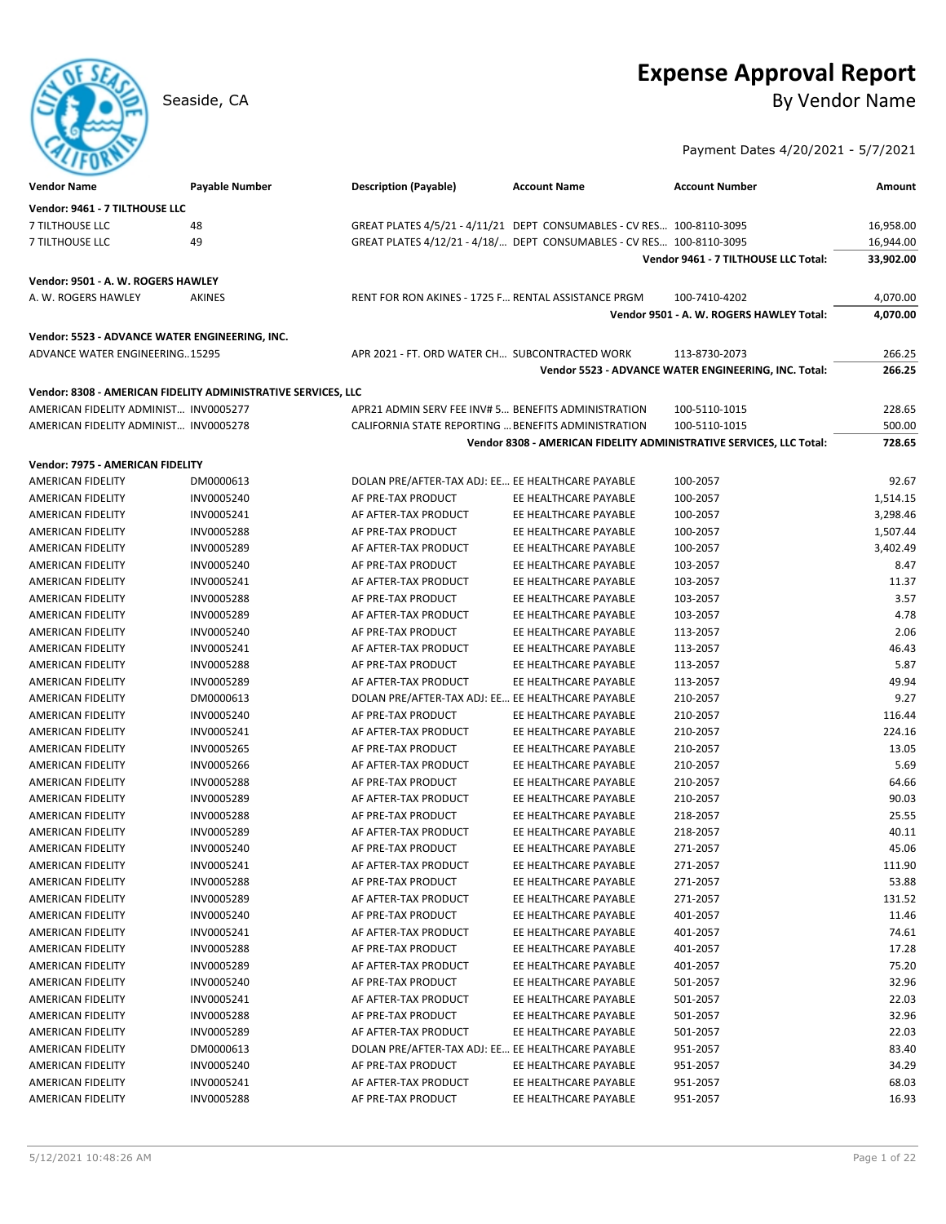# **Expense Approval Report** Seaside, CA By Vendor Name

Payment Dates 4/20/2021 - 5/7/2021

| <b>Vendor Name</b>                                            | <b>Payable Number</b> | <b>Description (Payable)</b>                                          | <b>Account Name</b>                            | <b>Account Number</b>                                               | Amount          |
|---------------------------------------------------------------|-----------------------|-----------------------------------------------------------------------|------------------------------------------------|---------------------------------------------------------------------|-----------------|
| Vendor: 9461 - 7 TILTHOUSE LLC                                |                       |                                                                       |                                                |                                                                     |                 |
| 7 TILTHOUSE LLC                                               | 48                    | GREAT PLATES 4/5/21 - 4/11/21 DEPT CONSUMABLES - CV RES 100-8110-3095 |                                                |                                                                     | 16,958.00       |
| 7 TILTHOUSE LLC                                               | 49                    | GREAT PLATES 4/12/21 - 4/18/ DEPT CONSUMABLES - CV RES 100-8110-3095  |                                                |                                                                     | 16,944.00       |
|                                                               |                       |                                                                       |                                                | Vendor 9461 - 7 TILTHOUSE LLC Total:                                | 33,902.00       |
| Vendor: 9501 - A. W. ROGERS HAWLEY                            |                       |                                                                       |                                                |                                                                     |                 |
| A. W. ROGERS HAWLEY                                           | AKINES                | RENT FOR RON AKINES - 1725 F RENTAL ASSISTANCE PRGM                   |                                                | 100-7410-4202                                                       | 4,070.00        |
|                                                               |                       |                                                                       |                                                | Vendor 9501 - A. W. ROGERS HAWLEY Total:                            | 4,070.00        |
| Vendor: 5523 - ADVANCE WATER ENGINEERING, INC.                |                       |                                                                       |                                                |                                                                     |                 |
| ADVANCE WATER ENGINEERING15295                                |                       | APR 2021 - FT. ORD WATER CH SUBCONTRACTED WORK                        |                                                | 113-8730-2073                                                       | 266.25          |
|                                                               |                       |                                                                       |                                                | Vendor 5523 - ADVANCE WATER ENGINEERING, INC. Total:                | 266.25          |
| Vendor: 8308 - AMERICAN FIDELITY ADMINISTRATIVE SERVICES, LLC |                       |                                                                       |                                                |                                                                     |                 |
| AMERICAN FIDELITY ADMINIST INV0005277                         |                       | APR21 ADMIN SERV FEE INV# 5 BENEFITS ADMINISTRATION                   |                                                | 100-5110-1015                                                       | 228.65          |
| AMERICAN FIDELITY ADMINIST INV0005278                         |                       | CALIFORNIA STATE REPORTING  BENEFITS ADMINISTRATION                   |                                                | 100-5110-1015                                                       | 500.00          |
|                                                               |                       |                                                                       |                                                | Vendor 8308 - AMERICAN FIDELITY ADMINISTRATIVE SERVICES, LLC Total: | 728.65          |
| Vendor: 7975 - AMERICAN FIDELITY                              |                       |                                                                       |                                                |                                                                     |                 |
| AMERICAN FIDELITY                                             | DM0000613             | DOLAN PRE/AFTER-TAX ADJ: EE EE HEALTHCARE PAYABLE                     |                                                | 100-2057                                                            | 92.67           |
| AMERICAN FIDELITY                                             | INV0005240            | AF PRE-TAX PRODUCT                                                    | EE HEALTHCARE PAYABLE                          | 100-2057                                                            | 1,514.15        |
| <b>AMERICAN FIDELITY</b>                                      | INV0005241            | AF AFTER-TAX PRODUCT                                                  | EE HEALTHCARE PAYABLE                          | 100-2057                                                            | 3,298.46        |
| AMERICAN FIDELITY                                             | INV0005288            | AF PRE-TAX PRODUCT                                                    | EE HEALTHCARE PAYABLE                          | 100-2057                                                            | 1,507.44        |
| <b>AMERICAN FIDELITY</b>                                      | INV0005289            | AF AFTER-TAX PRODUCT                                                  | EE HEALTHCARE PAYABLE                          | 100-2057                                                            | 3.402.49        |
| <b>AMERICAN FIDELITY</b>                                      | INV0005240            | AF PRE-TAX PRODUCT                                                    | EE HEALTHCARE PAYABLE                          | 103-2057                                                            | 8.47            |
| AMERICAN FIDELITY                                             | INV0005241            | AF AFTER-TAX PRODUCT                                                  | EE HEALTHCARE PAYABLE                          | 103-2057                                                            | 11.37           |
| AMERICAN FIDELITY                                             | INV0005288            | AF PRE-TAX PRODUCT                                                    | EE HEALTHCARE PAYABLE                          | 103-2057                                                            | 3.57            |
| <b>AMERICAN FIDELITY</b>                                      | INV0005289            | AF AFTER-TAX PRODUCT                                                  | EE HEALTHCARE PAYABLE                          | 103-2057                                                            | 4.78            |
| AMERICAN FIDELITY                                             | INV0005240            | AF PRE-TAX PRODUCT                                                    | EE HEALTHCARE PAYABLE                          | 113-2057                                                            | 2.06            |
| <b>AMERICAN FIDELITY</b>                                      | INV0005241            | AF AFTER-TAX PRODUCT                                                  | EE HEALTHCARE PAYABLE                          | 113-2057                                                            | 46.43           |
| AMERICAN FIDELITY                                             | INV0005288            | AF PRE-TAX PRODUCT                                                    | EE HEALTHCARE PAYABLE                          | 113-2057                                                            | 5.87            |
| AMERICAN FIDELITY                                             | INV0005289            | AF AFTER-TAX PRODUCT                                                  | EE HEALTHCARE PAYABLE                          | 113-2057                                                            | 49.94           |
| AMERICAN FIDELITY                                             | DM0000613             | DOLAN PRE/AFTER-TAX ADJ: EE EE HEALTHCARE PAYABLE                     |                                                | 210-2057                                                            | 9.27            |
| AMERICAN FIDELITY                                             | INV0005240            | AF PRE-TAX PRODUCT                                                    | EE HEALTHCARE PAYABLE                          | 210-2057                                                            | 116.44          |
| AMERICAN FIDELITY                                             | INV0005241            | AF AFTER-TAX PRODUCT                                                  | EE HEALTHCARE PAYABLE                          | 210-2057                                                            | 224.16          |
| AMERICAN FIDELITY                                             | INV0005265            | AF PRE-TAX PRODUCT                                                    | EE HEALTHCARE PAYABLE                          | 210-2057                                                            | 13.05           |
| AMERICAN FIDELITY                                             | INV0005266            | AF AFTER-TAX PRODUCT                                                  | EE HEALTHCARE PAYABLE                          | 210-2057                                                            | 5.69            |
| AMERICAN FIDELITY                                             | INV0005288            | AF PRE-TAX PRODUCT                                                    | EE HEALTHCARE PAYABLE                          | 210-2057                                                            | 64.66           |
| AMERICAN FIDELITY                                             | INV0005289            | AF AFTER-TAX PRODUCT                                                  | EE HEALTHCARE PAYABLE                          | 210-2057                                                            | 90.03           |
| <b>AMERICAN FIDELITY</b>                                      | INV0005288            | AF PRE-TAX PRODUCT                                                    | EE HEALTHCARE PAYABLE                          | 218-2057                                                            | 25.55           |
| <b>AMERICAN FIDELITY</b>                                      | INV0005289            | AF AFTER-TAX PRODUCT                                                  | EE HEALTHCARE PAYABLE                          | 218-2057                                                            | 40.11           |
| <b>AMERICAN FIDELITY</b>                                      | INV0005240            | AF PRE-TAX PRODUCT                                                    | EE HEALTHCARE PAYABLE                          | 271-2057                                                            | 45.06           |
|                                                               | INV0005241            |                                                                       |                                                |                                                                     | 111.90          |
| AMERICAN FIDELITY                                             |                       | AF AFTER-TAX PRODUCT                                                  | EE HEALTHCARE PAYABLE                          | 271-2057                                                            |                 |
| AMERICAN FIDELITY                                             | INV0005288            | AF PRE-TAX PRODUCT                                                    | EE HEALTHCARE PAYABLE                          | 271-2057                                                            | 53.88           |
| AMERICAN FIDELITY                                             | INV0005289            | AF AFTER-TAX PRODUCT<br>AF PRE-TAX PRODUCT                            | EE HEALTHCARE PAYABLE<br>EE HEALTHCARE PAYABLE | 271-2057                                                            | 131.52<br>11.46 |
| AMERICAN FIDELITY                                             | INV0005240            | AF AFTER-TAX PRODUCT                                                  |                                                | 401-2057<br>401-2057                                                | 74.61           |
| AMERICAN FIDELITY                                             | INV0005241            |                                                                       | EE HEALTHCARE PAYABLE                          |                                                                     |                 |
| AMERICAN FIDELITY                                             | INV0005288            | AF PRE-TAX PRODUCT                                                    | EE HEALTHCARE PAYABLE                          | 401-2057                                                            | 17.28           |
| AMERICAN FIDELITY                                             | INV0005289            | AF AFTER-TAX PRODUCT                                                  | EE HEALTHCARE PAYABLE                          | 401-2057                                                            | 75.20           |
| AMERICAN FIDELITY                                             | INV0005240            | AF PRE-TAX PRODUCT                                                    | EE HEALTHCARE PAYABLE                          | 501-2057                                                            | 32.96           |
| AMERICAN FIDELITY                                             | INV0005241            | AF AFTER-TAX PRODUCT                                                  | EE HEALTHCARE PAYABLE                          | 501-2057                                                            | 22.03           |
| AMERICAN FIDELITY                                             | INV0005288            | AF PRE-TAX PRODUCT                                                    | EE HEALTHCARE PAYABLE                          | 501-2057                                                            | 32.96           |
| AMERICAN FIDELITY                                             | INV0005289            | AF AFTER-TAX PRODUCT                                                  | EE HEALTHCARE PAYABLE                          | 501-2057                                                            | 22.03           |
| AMERICAN FIDELITY                                             | DM0000613             | DOLAN PRE/AFTER-TAX ADJ: EE EE HEALTHCARE PAYABLE                     |                                                | 951-2057                                                            | 83.40           |
| AMERICAN FIDELITY                                             | INV0005240            | AF PRE-TAX PRODUCT                                                    | EE HEALTHCARE PAYABLE                          | 951-2057                                                            | 34.29           |
| AMERICAN FIDELITY                                             | INV0005241            | AF AFTER-TAX PRODUCT                                                  | EE HEALTHCARE PAYABLE                          | 951-2057                                                            | 68.03           |
| AMERICAN FIDELITY                                             | INV0005288            | AF PRE-TAX PRODUCT                                                    | EE HEALTHCARE PAYABLE                          | 951-2057                                                            | 16.93           |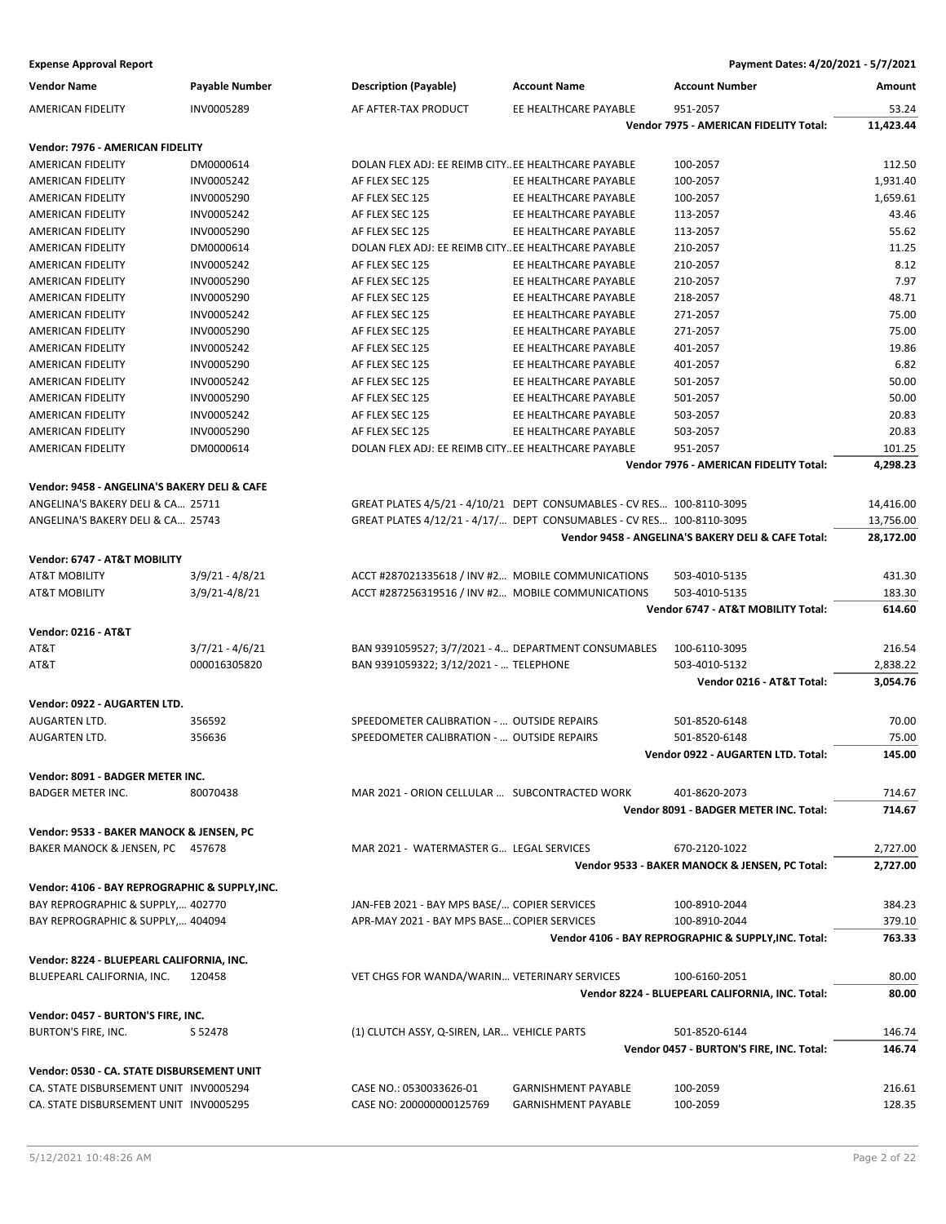| <b>Vendor Name</b>                             | <b>Payable Number</b> | <b>Description (Payable)</b>                                          | <b>Account Name</b>        | <b>Account Number</b>                                | Amount    |
|------------------------------------------------|-----------------------|-----------------------------------------------------------------------|----------------------------|------------------------------------------------------|-----------|
| AMERICAN FIDELITY                              | INV0005289            | AF AFTER-TAX PRODUCT                                                  | EE HEALTHCARE PAYABLE      | 951-2057                                             | 53.24     |
|                                                |                       |                                                                       |                            | Vendor 7975 - AMERICAN FIDELITY Total:               | 11,423.44 |
| Vendor: 7976 - AMERICAN FIDELITY               |                       |                                                                       |                            |                                                      |           |
| AMERICAN FIDELITY                              | DM0000614             | DOLAN FLEX ADJ: EE REIMB CITYEE HEALTHCARE PAYABLE                    |                            | 100-2057                                             | 112.50    |
| AMERICAN FIDELITY                              | INV0005242            | AF FLEX SEC 125                                                       | EE HEALTHCARE PAYABLE      | 100-2057                                             | 1,931.40  |
| AMERICAN FIDELITY                              | INV0005290            | AF FLEX SEC 125                                                       | EE HEALTHCARE PAYABLE      | 100-2057                                             | 1,659.61  |
| <b>AMERICAN FIDELITY</b>                       | INV0005242            | AF FLEX SEC 125                                                       | EE HEALTHCARE PAYABLE      | 113-2057                                             | 43.46     |
| AMERICAN FIDELITY                              | INV0005290            | AF FLEX SEC 125                                                       | EE HEALTHCARE PAYABLE      | 113-2057                                             | 55.62     |
| <b>AMERICAN FIDELITY</b>                       | DM0000614             | DOLAN FLEX ADJ: EE REIMB CITYEE HEALTHCARE PAYABLE                    |                            | 210-2057                                             | 11.25     |
| AMERICAN FIDELITY                              | INV0005242            | AF FLEX SEC 125                                                       | EE HEALTHCARE PAYABLE      | 210-2057                                             | 8.12      |
| AMERICAN FIDELITY                              | INV0005290            | AF FLEX SEC 125                                                       | EE HEALTHCARE PAYABLE      | 210-2057                                             | 7.97      |
| AMERICAN FIDELITY                              | INV0005290            | AF FLEX SEC 125                                                       | EE HEALTHCARE PAYABLE      | 218-2057                                             | 48.71     |
| AMERICAN FIDELITY                              | INV0005242            | AF FLEX SEC 125                                                       | EE HEALTHCARE PAYABLE      | 271-2057                                             | 75.00     |
| AMERICAN FIDELITY                              | INV0005290            | AF FLEX SEC 125                                                       | EE HEALTHCARE PAYABLE      | 271-2057                                             | 75.00     |
| AMERICAN FIDELITY                              | INV0005242            | AF FLEX SEC 125                                                       | EE HEALTHCARE PAYABLE      | 401-2057                                             | 19.86     |
| AMERICAN FIDELITY                              | INV0005290            | AF FLEX SEC 125                                                       | EE HEALTHCARE PAYABLE      | 401-2057                                             | 6.82      |
| AMERICAN FIDELITY                              | INV0005242            | AF FLEX SEC 125                                                       | EE HEALTHCARE PAYABLE      | 501-2057                                             | 50.00     |
| <b>AMERICAN FIDELITY</b>                       | INV0005290            | AF FLEX SEC 125                                                       | EE HEALTHCARE PAYABLE      | 501-2057                                             | 50.00     |
| AMERICAN FIDELITY                              | INV0005242            | AF FLEX SEC 125                                                       | EE HEALTHCARE PAYABLE      | 503-2057                                             | 20.83     |
| AMERICAN FIDELITY                              | INV0005290            | AF FLEX SEC 125                                                       | EE HEALTHCARE PAYABLE      | 503-2057                                             | 20.83     |
| AMERICAN FIDELITY                              | DM0000614             | DOLAN FLEX ADJ: EE REIMB CITYEE HEALTHCARE PAYABLE                    |                            | 951-2057                                             | 101.25    |
|                                                |                       |                                                                       |                            | Vendor 7976 - AMERICAN FIDELITY Total:               | 4,298.23  |
| Vendor: 9458 - ANGELINA'S BAKERY DELI & CAFE   |                       |                                                                       |                            |                                                      |           |
| ANGELINA'S BAKERY DELI & CA 25711              |                       | GREAT PLATES 4/5/21 - 4/10/21 DEPT CONSUMABLES - CV RES 100-8110-3095 |                            |                                                      | 14,416.00 |
| ANGELINA'S BAKERY DELI & CA 25743              |                       | GREAT PLATES 4/12/21 - 4/17/ DEPT CONSUMABLES - CV RES 100-8110-3095  |                            |                                                      | 13,756.00 |
|                                                |                       |                                                                       |                            | Vendor 9458 - ANGELINA'S BAKERY DELI & CAFE Total:   | 28,172.00 |
|                                                |                       |                                                                       |                            |                                                      |           |
| Vendor: 6747 - AT&T MOBILITY                   |                       |                                                                       |                            |                                                      |           |
| <b>AT&amp;T MOBILITY</b>                       | $3/9/21 - 4/8/21$     | ACCT #287021335618 / INV #2 MOBILE COMMUNICATIONS                     |                            | 503-4010-5135                                        | 431.30    |
| <b>AT&amp;T MOBILITY</b>                       | $3/9/21 - 4/8/21$     | ACCT #287256319516 / INV #2 MOBILE COMMUNICATIONS                     |                            | 503-4010-5135                                        | 183.30    |
|                                                |                       |                                                                       |                            | Vendor 6747 - AT&T MOBILITY Total:                   | 614.60    |
| <b>Vendor: 0216 - AT&amp;T</b>                 |                       |                                                                       |                            |                                                      |           |
| AT&T                                           | $3/7/21 - 4/6/21$     | BAN 9391059527; 3/7/2021 - 4 DEPARTMENT CONSUMABLES                   |                            | 100-6110-3095                                        | 216.54    |
| AT&T                                           | 000016305820          | BAN 9391059322; 3/12/2021 -  TELEPHONE                                |                            | 503-4010-5132                                        | 2,838.22  |
|                                                |                       |                                                                       |                            | Vendor 0216 - AT&T Total:                            | 3,054.76  |
| Vendor: 0922 - AUGARTEN LTD.                   |                       |                                                                       |                            |                                                      |           |
| AUGARTEN LTD.                                  | 356592                | SPEEDOMETER CALIBRATION -  OUTSIDE REPAIRS                            |                            | 501-8520-6148                                        | 70.00     |
| AUGARTEN LTD.                                  | 356636                | SPEEDOMETER CALIBRATION -  OUTSIDE REPAIRS                            |                            | 501-8520-6148                                        | 75.00     |
|                                                |                       |                                                                       |                            | Vendor 0922 - AUGARTEN LTD. Total:                   | 145.00    |
| Vendor: 8091 - BADGER METER INC.               |                       |                                                                       |                            |                                                      |           |
| BADGER METER INC.                              | 80070438              | MAR 2021 - ORION CELLULAR  SUBCONTRACTED WORK                         |                            | 401-8620-2073                                        | 714.67    |
|                                                |                       |                                                                       |                            | Vendor 8091 - BADGER METER INC. Total:               | 714.67    |
|                                                |                       |                                                                       |                            |                                                      |           |
| Vendor: 9533 - BAKER MANOCK & JENSEN, PC       |                       |                                                                       |                            |                                                      |           |
| BAKER MANOCK & JENSEN, PC 457678               |                       | MAR 2021 - WATERMASTER G LEGAL SERVICES                               |                            | 670-2120-1022                                        | 2,727.00  |
|                                                |                       |                                                                       |                            | Vendor 9533 - BAKER MANOCK & JENSEN, PC Total:       | 2,727.00  |
| Vendor: 4106 - BAY REPROGRAPHIC & SUPPLY, INC. |                       |                                                                       |                            |                                                      |           |
| BAY REPROGRAPHIC & SUPPLY, 402770              |                       | JAN-FEB 2021 - BAY MPS BASE/ COPIER SERVICES                          |                            | 100-8910-2044                                        | 384.23    |
| BAY REPROGRAPHIC & SUPPLY, 404094              |                       | APR-MAY 2021 - BAY MPS BASE COPIER SERVICES                           |                            | 100-8910-2044                                        | 379.10    |
|                                                |                       |                                                                       |                            | Vendor 4106 - BAY REPROGRAPHIC & SUPPLY, INC. Total: | 763.33    |
| Vendor: 8224 - BLUEPEARL CALIFORNIA, INC.      |                       |                                                                       |                            |                                                      |           |
| BLUEPEARL CALIFORNIA, INC.                     | 120458                | VET CHGS FOR WANDA/WARIN VETERINARY SERVICES                          |                            | 100-6160-2051                                        | 80.00     |
|                                                |                       |                                                                       |                            | Vendor 8224 - BLUEPEARL CALIFORNIA, INC. Total:      | 80.00     |
| Vendor: 0457 - BURTON'S FIRE, INC.             |                       |                                                                       |                            |                                                      |           |
| BURTON'S FIRE, INC.                            | S 52478               | (1) CLUTCH ASSY, Q-SIREN, LAR VEHICLE PARTS                           |                            | 501-8520-6144                                        | 146.74    |
|                                                |                       |                                                                       |                            | Vendor 0457 - BURTON'S FIRE, INC. Total:             | 146.74    |
|                                                |                       |                                                                       |                            |                                                      |           |
| Vendor: 0530 - CA. STATE DISBURSEMENT UNIT     |                       |                                                                       |                            |                                                      |           |
| CA. STATE DISBURSEMENT UNIT INV0005294         |                       | CASE NO.: 0530033626-01                                               | <b>GARNISHMENT PAYABLE</b> | 100-2059                                             | 216.61    |
| CA. STATE DISBURSEMENT UNIT INV0005295         |                       | CASE NO: 200000000125769                                              | <b>GARNISHMENT PAYABLE</b> | 100-2059                                             | 128.35    |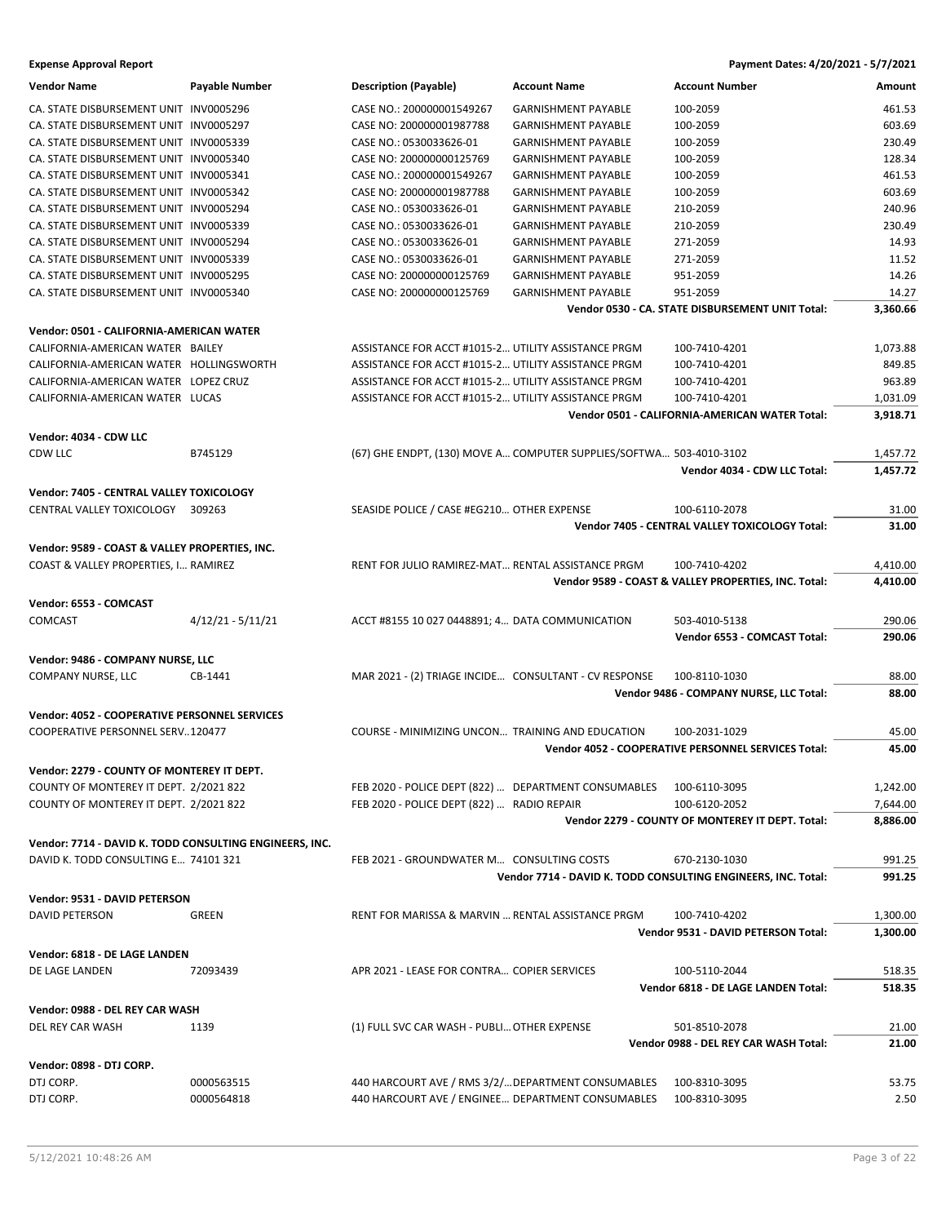| <b>Vendor Name</b>                                      | Payable Number      | <b>Description (Payable)</b>                          | <b>Account Name</b>                                                 | <b>Account Number</b>                                         | Amount   |
|---------------------------------------------------------|---------------------|-------------------------------------------------------|---------------------------------------------------------------------|---------------------------------------------------------------|----------|
| CA. STATE DISBURSEMENT UNIT INV0005296                  |                     | CASE NO.: 200000001549267                             | <b>GARNISHMENT PAYABLE</b>                                          | 100-2059                                                      | 461.53   |
| CA. STATE DISBURSEMENT UNIT INV0005297                  |                     | CASE NO: 200000001987788                              | <b>GARNISHMENT PAYABLE</b>                                          | 100-2059                                                      | 603.69   |
| CA. STATE DISBURSEMENT UNIT INV0005339                  |                     | CASE NO.: 0530033626-01                               | <b>GARNISHMENT PAYABLE</b>                                          | 100-2059                                                      | 230.49   |
| CA. STATE DISBURSEMENT UNIT INV0005340                  |                     | CASE NO: 200000000125769                              | <b>GARNISHMENT PAYABLE</b>                                          | 100-2059                                                      | 128.34   |
| CA. STATE DISBURSEMENT UNIT INV0005341                  |                     | CASE NO.: 200000001549267                             | <b>GARNISHMENT PAYABLE</b>                                          | 100-2059                                                      | 461.53   |
| CA. STATE DISBURSEMENT UNIT INV0005342                  |                     | CASE NO: 200000001987788                              | <b>GARNISHMENT PAYABLE</b>                                          | 100-2059                                                      | 603.69   |
| CA. STATE DISBURSEMENT UNIT INV0005294                  |                     | CASE NO.: 0530033626-01                               | <b>GARNISHMENT PAYABLE</b>                                          | 210-2059                                                      | 240.96   |
| CA. STATE DISBURSEMENT UNIT INV0005339                  |                     | CASE NO.: 0530033626-01                               | <b>GARNISHMENT PAYABLE</b>                                          | 210-2059                                                      | 230.49   |
| CA. STATE DISBURSEMENT UNIT INV0005294                  |                     | CASE NO.: 0530033626-01                               | <b>GARNISHMENT PAYABLE</b>                                          | 271-2059                                                      | 14.93    |
| CA. STATE DISBURSEMENT UNIT INV0005339                  |                     | CASE NO.: 0530033626-01                               | <b>GARNISHMENT PAYABLE</b>                                          | 271-2059                                                      | 11.52    |
| CA. STATE DISBURSEMENT UNIT INV0005295                  |                     | CASE NO: 200000000125769                              | <b>GARNISHMENT PAYABLE</b>                                          | 951-2059                                                      | 14.26    |
| CA. STATE DISBURSEMENT UNIT INV0005340                  |                     | CASE NO: 200000000125769                              | <b>GARNISHMENT PAYABLE</b>                                          | 951-2059                                                      | 14.27    |
|                                                         |                     |                                                       |                                                                     | Vendor 0530 - CA. STATE DISBURSEMENT UNIT Total:              | 3,360.66 |
| Vendor: 0501 - CALIFORNIA-AMERICAN WATER                |                     |                                                       |                                                                     |                                                               |          |
| CALIFORNIA-AMERICAN WATER BAILEY                        |                     | ASSISTANCE FOR ACCT #1015-2 UTILITY ASSISTANCE PRGM   |                                                                     | 100-7410-4201                                                 | 1,073.88 |
| CALIFORNIA-AMERICAN WATER HOLLINGSWORTH                 |                     | ASSISTANCE FOR ACCT #1015-2 UTILITY ASSISTANCE PRGM   |                                                                     | 100-7410-4201                                                 | 849.85   |
| CALIFORNIA-AMERICAN WATER LOPEZ CRUZ                    |                     | ASSISTANCE FOR ACCT #1015-2 UTILITY ASSISTANCE PRGM   |                                                                     | 100-7410-4201                                                 | 963.89   |
| CALIFORNIA-AMERICAN WATER LUCAS                         |                     | ASSISTANCE FOR ACCT #1015-2 UTILITY ASSISTANCE PRGM   |                                                                     | 100-7410-4201                                                 | 1,031.09 |
|                                                         |                     |                                                       |                                                                     | Vendor 0501 - CALIFORNIA-AMERICAN WATER Total:                | 3,918.71 |
| Vendor: 4034 - CDW LLC                                  |                     |                                                       |                                                                     |                                                               |          |
| <b>CDW LLC</b>                                          | B745129             |                                                       | (67) GHE ENDPT, (130) MOVE A COMPUTER SUPPLIES/SOFTWA 503-4010-3102 |                                                               | 1,457.72 |
|                                                         |                     |                                                       |                                                                     | Vendor 4034 - CDW LLC Total:                                  | 1,457.72 |
|                                                         |                     |                                                       |                                                                     |                                                               |          |
| Vendor: 7405 - CENTRAL VALLEY TOXICOLOGY                |                     |                                                       |                                                                     |                                                               |          |
| CENTRAL VALLEY TOXICOLOGY 309263                        |                     | SEASIDE POLICE / CASE #EG210 OTHER EXPENSE            |                                                                     | 100-6110-2078                                                 | 31.00    |
|                                                         |                     |                                                       |                                                                     | Vendor 7405 - CENTRAL VALLEY TOXICOLOGY Total:                | 31.00    |
| Vendor: 9589 - COAST & VALLEY PROPERTIES, INC.          |                     |                                                       |                                                                     |                                                               |          |
| COAST & VALLEY PROPERTIES, I RAMIREZ                    |                     | RENT FOR JULIO RAMIREZ-MAT RENTAL ASSISTANCE PRGM     |                                                                     | 100-7410-4202                                                 | 4,410.00 |
|                                                         |                     |                                                       |                                                                     | Vendor 9589 - COAST & VALLEY PROPERTIES, INC. Total:          | 4,410.00 |
| Vendor: 6553 - COMCAST                                  |                     |                                                       |                                                                     |                                                               |          |
| <b>COMCAST</b>                                          | $4/12/21 - 5/11/21$ | ACCT #8155 10 027 0448891; 4 DATA COMMUNICATION       |                                                                     | 503-4010-5138                                                 | 290.06   |
|                                                         |                     |                                                       |                                                                     | Vendor 6553 - COMCAST Total:                                  | 290.06   |
| Vendor: 9486 - COMPANY NURSE, LLC                       |                     |                                                       |                                                                     |                                                               |          |
| COMPANY NURSE, LLC                                      | CB-1441             | MAR 2021 - (2) TRIAGE INCIDE CONSULTANT - CV RESPONSE |                                                                     | 100-8110-1030                                                 | 88.00    |
|                                                         |                     |                                                       |                                                                     | Vendor 9486 - COMPANY NURSE, LLC Total:                       | 88.00    |
| Vendor: 4052 - COOPERATIVE PERSONNEL SERVICES           |                     |                                                       |                                                                     |                                                               |          |
| COOPERATIVE PERSONNEL SERV120477                        |                     | COURSE - MINIMIZING UNCON TRAINING AND EDUCATION      |                                                                     | 100-2031-1029                                                 | 45.00    |
|                                                         |                     |                                                       |                                                                     | Vendor 4052 - COOPERATIVE PERSONNEL SERVICES Total:           | 45.00    |
|                                                         |                     |                                                       |                                                                     |                                                               |          |
| Vendor: 2279 - COUNTY OF MONTEREY IT DEPT.              |                     |                                                       |                                                                     |                                                               |          |
| COUNTY OF MONTEREY IT DEPT. 2/2021 822                  |                     | FEB 2020 - POLICE DEPT (822)  DEPARTMENT CONSUMABLES  |                                                                     | 100-6110-3095                                                 | 1,242.00 |
| COUNTY OF MONTEREY IT DEPT. 2/2021 822                  |                     | FEB 2020 - POLICE DEPT (822)  RADIO REPAIR            |                                                                     | 100-6120-2052                                                 | 7,644.00 |
|                                                         |                     |                                                       |                                                                     | Vendor 2279 - COUNTY OF MONTEREY IT DEPT. Total:              | 8,886.00 |
| Vendor: 7714 - DAVID K. TODD CONSULTING ENGINEERS, INC. |                     |                                                       |                                                                     |                                                               |          |
| DAVID K. TODD CONSULTING E 74101 321                    |                     | FEB 2021 - GROUNDWATER M CONSULTING COSTS             |                                                                     | 670-2130-1030                                                 | 991.25   |
|                                                         |                     |                                                       |                                                                     | Vendor 7714 - DAVID K. TODD CONSULTING ENGINEERS, INC. Total: | 991.25   |
| Vendor: 9531 - DAVID PETERSON                           |                     |                                                       |                                                                     |                                                               |          |
| DAVID PETERSON                                          | GREEN               | RENT FOR MARISSA & MARVIN  RENTAL ASSISTANCE PRGM     |                                                                     | 100-7410-4202                                                 | 1,300.00 |
|                                                         |                     |                                                       |                                                                     | Vendor 9531 - DAVID PETERSON Total:                           | 1,300.00 |
| Vendor: 6818 - DE LAGE LANDEN                           |                     |                                                       |                                                                     |                                                               |          |
| DE LAGE LANDEN                                          | 72093439            | APR 2021 - LEASE FOR CONTRA COPIER SERVICES           |                                                                     | 100-5110-2044                                                 | 518.35   |
|                                                         |                     |                                                       |                                                                     | Vendor 6818 - DE LAGE LANDEN Total:                           | 518.35   |
| Vendor: 0988 - DEL REY CAR WASH                         |                     |                                                       |                                                                     |                                                               |          |
| DEL REY CAR WASH                                        | 1139                | (1) FULL SVC CAR WASH - PUBLI OTHER EXPENSE           |                                                                     | 501-8510-2078                                                 | 21.00    |
|                                                         |                     |                                                       |                                                                     | Vendor 0988 - DEL REY CAR WASH Total:                         | 21.00    |
|                                                         |                     |                                                       |                                                                     |                                                               |          |
| Vendor: 0898 - DTJ CORP.                                |                     |                                                       |                                                                     |                                                               |          |
| DTJ CORP.                                               | 0000563515          | 440 HARCOURT AVE / RMS 3/2/ DEPARTMENT CONSUMABLES    |                                                                     | 100-8310-3095                                                 | 53.75    |
| DTJ CORP.                                               | 0000564818          | 440 HARCOURT AVE / ENGINEE DEPARTMENT CONSUMABLES     |                                                                     | 100-8310-3095                                                 | 2.50     |
|                                                         |                     |                                                       |                                                                     |                                                               |          |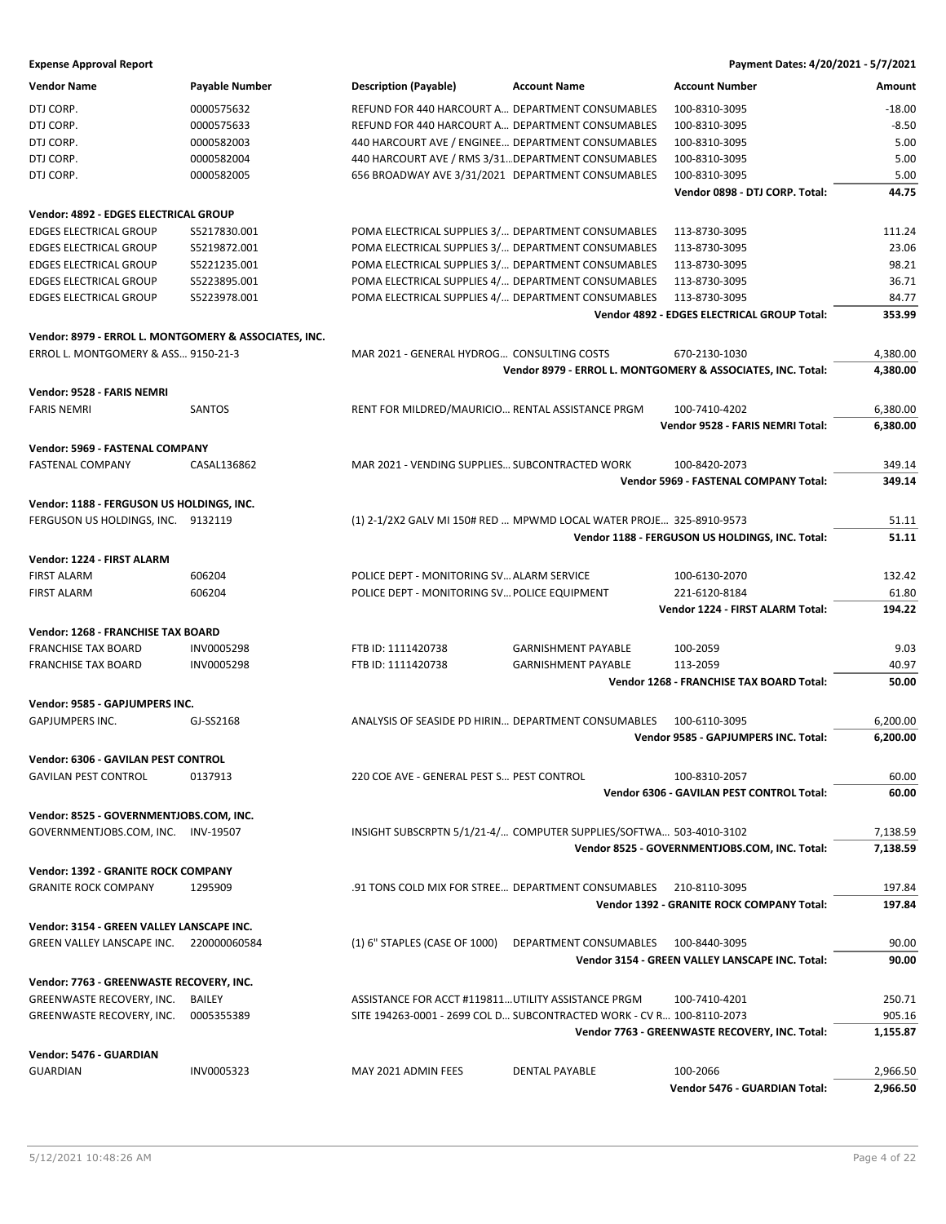| <b>Vendor Name</b>                                    | <b>Payable Number</b> | <b>Description (Payable)</b>                        | <b>Account Name</b>                                                   | <b>Account Number</b>                                       | Amount   |
|-------------------------------------------------------|-----------------------|-----------------------------------------------------|-----------------------------------------------------------------------|-------------------------------------------------------------|----------|
| DTJ CORP.                                             | 0000575632            | REFUND FOR 440 HARCOURT A DEPARTMENT CONSUMABLES    |                                                                       | 100-8310-3095                                               | $-18.00$ |
| DTJ CORP.                                             | 0000575633            | REFUND FOR 440 HARCOURT A DEPARTMENT CONSUMABLES    |                                                                       | 100-8310-3095                                               | $-8.50$  |
| DTJ CORP.                                             | 0000582003            | 440 HARCOURT AVE / ENGINEE DEPARTMENT CONSUMABLES   |                                                                       | 100-8310-3095                                               | 5.00     |
| DTJ CORP.                                             | 0000582004            | 440 HARCOURT AVE / RMS 3/31 DEPARTMENT CONSUMABLES  |                                                                       | 100-8310-3095                                               | 5.00     |
| DTJ CORP.                                             | 0000582005            | 656 BROADWAY AVE 3/31/2021 DEPARTMENT CONSUMABLES   |                                                                       | 100-8310-3095                                               | 5.00     |
|                                                       |                       |                                                     |                                                                       | Vendor 0898 - DTJ CORP. Total:                              | 44.75    |
|                                                       |                       |                                                     |                                                                       |                                                             |          |
| Vendor: 4892 - EDGES ELECTRICAL GROUP                 |                       |                                                     |                                                                       |                                                             |          |
| <b>EDGES ELECTRICAL GROUP</b>                         | S5217830.001          | POMA ELECTRICAL SUPPLIES 3/ DEPARTMENT CONSUMABLES  |                                                                       | 113-8730-3095                                               | 111.24   |
| <b>EDGES ELECTRICAL GROUP</b>                         | S5219872.001          | POMA ELECTRICAL SUPPLIES 3/ DEPARTMENT CONSUMABLES  |                                                                       | 113-8730-3095                                               | 23.06    |
| <b>EDGES ELECTRICAL GROUP</b>                         | S5221235.001          | POMA ELECTRICAL SUPPLIES 3/ DEPARTMENT CONSUMABLES  |                                                                       | 113-8730-3095                                               | 98.21    |
| <b>EDGES ELECTRICAL GROUP</b>                         | S5223895.001          | POMA ELECTRICAL SUPPLIES 4/ DEPARTMENT CONSUMABLES  |                                                                       | 113-8730-3095                                               | 36.71    |
| <b>EDGES ELECTRICAL GROUP</b>                         | S5223978.001          | POMA ELECTRICAL SUPPLIES 4/ DEPARTMENT CONSUMABLES  |                                                                       | 113-8730-3095                                               | 84.77    |
|                                                       |                       |                                                     |                                                                       | Vendor 4892 - EDGES ELECTRICAL GROUP Total:                 | 353.99   |
| Vendor: 8979 - ERROL L. MONTGOMERY & ASSOCIATES, INC. |                       |                                                     |                                                                       |                                                             |          |
| ERROL L. MONTGOMERY & ASS 9150-21-3                   |                       | MAR 2021 - GENERAL HYDROG CONSULTING COSTS          |                                                                       | 670-2130-1030                                               | 4,380.00 |
|                                                       |                       |                                                     |                                                                       | Vendor 8979 - ERROL L. MONTGOMERY & ASSOCIATES, INC. Total: | 4,380.00 |
|                                                       |                       |                                                     |                                                                       |                                                             |          |
| Vendor: 9528 - FARIS NEMRI                            |                       |                                                     |                                                                       |                                                             |          |
| <b>FARIS NEMRI</b>                                    | <b>SANTOS</b>         | RENT FOR MILDRED/MAURICIO RENTAL ASSISTANCE PRGM    |                                                                       | 100-7410-4202                                               | 6,380.00 |
|                                                       |                       |                                                     |                                                                       | Vendor 9528 - FARIS NEMRI Total:                            | 6,380.00 |
| Vendor: 5969 - FASTENAL COMPANY                       |                       |                                                     |                                                                       |                                                             |          |
| <b>FASTENAL COMPANY</b>                               | CASAL136862           | MAR 2021 - VENDING SUPPLIES SUBCONTRACTED WORK      |                                                                       | 100-8420-2073                                               | 349.14   |
|                                                       |                       |                                                     |                                                                       | <b>Vendor 5969 - FASTENAL COMPANY Total:</b>                | 349.14   |
|                                                       |                       |                                                     |                                                                       |                                                             |          |
| Vendor: 1188 - FERGUSON US HOLDINGS, INC.             |                       |                                                     |                                                                       |                                                             |          |
| FERGUSON US HOLDINGS, INC. 9132119                    |                       |                                                     | (1) 2-1/2X2 GALV MI 150# RED  MPWMD LOCAL WATER PROJE 325-8910-9573   |                                                             | 51.11    |
|                                                       |                       |                                                     |                                                                       | Vendor 1188 - FERGUSON US HOLDINGS, INC. Total:             | 51.11    |
| Vendor: 1224 - FIRST ALARM                            |                       |                                                     |                                                                       |                                                             |          |
| <b>FIRST ALARM</b>                                    | 606204                | POLICE DEPT - MONITORING SV ALARM SERVICE           |                                                                       | 100-6130-2070                                               | 132.42   |
| <b>FIRST ALARM</b>                                    | 606204                | POLICE DEPT - MONITORING SV POLICE EQUIPMENT        |                                                                       | 221-6120-8184                                               | 61.80    |
|                                                       |                       |                                                     |                                                                       | Vendor 1224 - FIRST ALARM Total:                            | 194.22   |
|                                                       |                       |                                                     |                                                                       |                                                             |          |
| Vendor: 1268 - FRANCHISE TAX BOARD                    |                       |                                                     |                                                                       |                                                             |          |
| <b>FRANCHISE TAX BOARD</b>                            | <b>INV0005298</b>     | FTB ID: 1111420738                                  | <b>GARNISHMENT PAYABLE</b>                                            | 100-2059                                                    | 9.03     |
| <b>FRANCHISE TAX BOARD</b>                            | <b>INV0005298</b>     | FTB ID: 1111420738                                  | <b>GARNISHMENT PAYABLE</b>                                            | 113-2059                                                    | 40.97    |
|                                                       |                       |                                                     |                                                                       | Vendor 1268 - FRANCHISE TAX BOARD Total:                    | 50.00    |
| Vendor: 9585 - GAPJUMPERS INC.                        |                       |                                                     |                                                                       |                                                             |          |
| <b>GAPJUMPERS INC.</b>                                | GJ-SS2168             | ANALYSIS OF SEASIDE PD HIRIN DEPARTMENT CONSUMABLES |                                                                       | 100-6110-3095                                               | 6,200.00 |
|                                                       |                       |                                                     |                                                                       | Vendor 9585 - GAPJUMPERS INC. Total:                        | 6,200.00 |
| Vendor: 6306 - GAVILAN PEST CONTROL                   |                       |                                                     |                                                                       |                                                             |          |
|                                                       |                       |                                                     |                                                                       |                                                             |          |
| <b>GAVILAN PEST CONTROL</b>                           | 0137913               | 220 COE AVE - GENERAL PEST S PEST CONTROL           |                                                                       | 100-8310-2057                                               | 60.00    |
|                                                       |                       |                                                     |                                                                       | Vendor 6306 - GAVILAN PEST CONTROL Total:                   | 60.00    |
| Vendor: 8525 - GOVERNMENTJOBS.COM, INC.               |                       |                                                     |                                                                       |                                                             |          |
| GOVERNMENTJOBS.COM, INC.                              | INV-19507             |                                                     | INSIGHT SUBSCRPTN 5/1/21-4/ COMPUTER SUPPLIES/SOFTWA 503-4010-3102    |                                                             | 7,138.59 |
|                                                       |                       |                                                     |                                                                       | Vendor 8525 - GOVERNMENTJOBS.COM, INC. Total:               | 7,138.59 |
| Vendor: 1392 - GRANITE ROCK COMPANY                   |                       |                                                     |                                                                       |                                                             |          |
| <b>GRANITE ROCK COMPANY</b>                           | 1295909               | .91 TONS COLD MIX FOR STREE DEPARTMENT CONSUMABLES  |                                                                       | 210-8110-3095                                               | 197.84   |
|                                                       |                       |                                                     |                                                                       | <b>Vendor 1392 - GRANITE ROCK COMPANY Total:</b>            | 197.84   |
|                                                       |                       |                                                     |                                                                       |                                                             |          |
| Vendor: 3154 - GREEN VALLEY LANSCAPE INC.             |                       |                                                     |                                                                       |                                                             |          |
| GREEN VALLEY LANSCAPE INC. 220000060584               |                       | (1) 6" STAPLES (CASE OF 1000)                       | DEPARTMENT CONSUMABLES                                                | 100-8440-3095                                               | 90.00    |
|                                                       |                       |                                                     |                                                                       | Vendor 3154 - GREEN VALLEY LANSCAPE INC. Total:             | 90.00    |
| Vendor: 7763 - GREENWASTE RECOVERY, INC.              |                       |                                                     |                                                                       |                                                             |          |
| GREENWASTE RECOVERY, INC.                             | BAILEY                | ASSISTANCE FOR ACCT #119811 UTILITY ASSISTANCE PRGM |                                                                       | 100-7410-4201                                               | 250.71   |
| GREENWASTE RECOVERY, INC.                             | 0005355389            |                                                     | SITE 194263-0001 - 2699 COL D SUBCONTRACTED WORK - CV R 100-8110-2073 |                                                             | 905.16   |
|                                                       |                       |                                                     |                                                                       | Vendor 7763 - GREENWASTE RECOVERY, INC. Total:              | 1,155.87 |
|                                                       |                       |                                                     |                                                                       |                                                             |          |
| Vendor: 5476 - GUARDIAN                               |                       |                                                     |                                                                       |                                                             |          |
| <b>GUARDIAN</b>                                       | INV0005323            | MAY 2021 ADMIN FEES                                 | <b>DENTAL PAYABLE</b>                                                 | 100-2066                                                    | 2,966.50 |
|                                                       |                       |                                                     |                                                                       | Vendor 5476 - GUARDIAN Total:                               | 2,966.50 |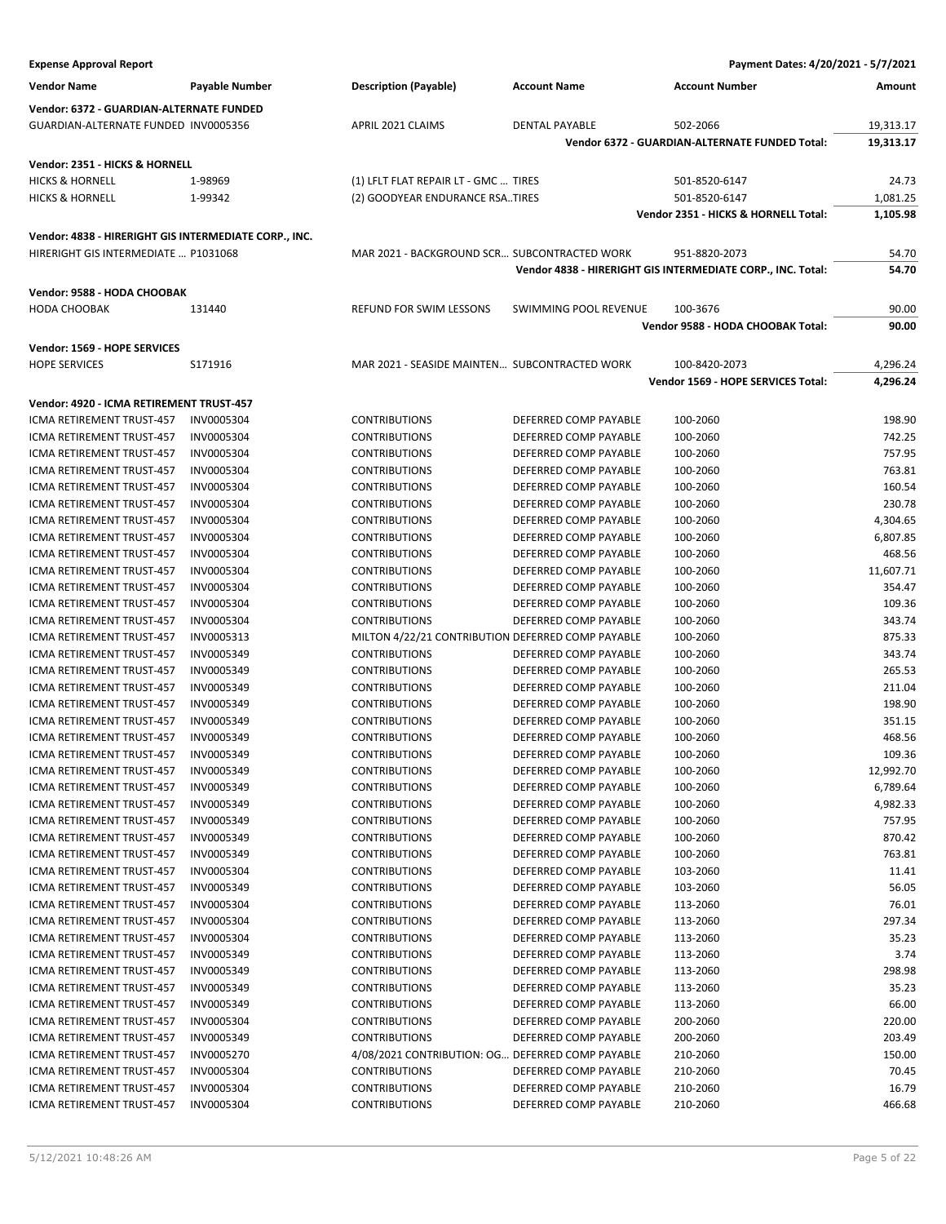| Payment Dates: 4/20/2021 - 5/7/2021<br><b>Expense Approval Report</b>                         |                   |                                                   |                       |                                                             |                |
|-----------------------------------------------------------------------------------------------|-------------------|---------------------------------------------------|-----------------------|-------------------------------------------------------------|----------------|
| <b>Vendor Name</b>                                                                            | Payable Number    | <b>Description (Payable)</b>                      | <b>Account Name</b>   | <b>Account Number</b>                                       | Amount         |
| Vendor: 6372 - GUARDIAN-ALTERNATE FUNDED                                                      |                   |                                                   |                       |                                                             |                |
| GUARDIAN-ALTERNATE FUNDED INV0005356                                                          |                   | APRIL 2021 CLAIMS                                 | <b>DENTAL PAYABLE</b> | 502-2066                                                    | 19,313.17      |
|                                                                                               |                   |                                                   |                       | Vendor 6372 - GUARDIAN-ALTERNATE FUNDED Total:              | 19,313.17      |
| Vendor: 2351 - HICKS & HORNELL                                                                |                   |                                                   |                       |                                                             |                |
| <b>HICKS &amp; HORNELL</b>                                                                    | 1-98969           | (1) LFLT FLAT REPAIR LT - GMC  TIRES              |                       | 501-8520-6147                                               | 24.73          |
| <b>HICKS &amp; HORNELL</b>                                                                    | 1-99342           | (2) GOODYEAR ENDURANCE RSATIRES                   |                       | 501-8520-6147                                               | 1,081.25       |
|                                                                                               |                   |                                                   |                       | Vendor 2351 - HICKS & HORNELL Total:                        | 1,105.98       |
|                                                                                               |                   |                                                   |                       |                                                             |                |
| Vendor: 4838 - HIRERIGHT GIS INTERMEDIATE CORP., INC.<br>HIRERIGHT GIS INTERMEDIATE  P1031068 |                   | MAR 2021 - BACKGROUND SCR SUBCONTRACTED WORK      |                       | 951-8820-2073                                               | 54.70          |
|                                                                                               |                   |                                                   |                       | Vendor 4838 - HIRERIGHT GIS INTERMEDIATE CORP., INC. Total: | 54.70          |
|                                                                                               |                   |                                                   |                       |                                                             |                |
| Vendor: 9588 - HODA CHOOBAK                                                                   |                   |                                                   |                       |                                                             |                |
| <b>HODA CHOOBAK</b>                                                                           | 131440            | REFUND FOR SWIM LESSONS                           | SWIMMING POOL REVENUE | 100-3676<br>Vendor 9588 - HODA CHOOBAK Total:               | 90.00<br>90.00 |
|                                                                                               |                   |                                                   |                       |                                                             |                |
| Vendor: 1569 - HOPE SERVICES                                                                  |                   |                                                   |                       |                                                             |                |
| <b>HOPE SERVICES</b>                                                                          | S171916           | MAR 2021 - SEASIDE MAINTEN SUBCONTRACTED WORK     |                       | 100-8420-2073                                               | 4,296.24       |
|                                                                                               |                   |                                                   |                       | Vendor 1569 - HOPE SERVICES Total:                          | 4,296.24       |
| Vendor: 4920 - ICMA RETIREMENT TRUST-457                                                      |                   |                                                   |                       |                                                             |                |
| <b>ICMA RETIREMENT TRUST-457</b>                                                              | <b>INV0005304</b> | <b>CONTRIBUTIONS</b>                              | DEFERRED COMP PAYABLE | 100-2060                                                    | 198.90         |
| ICMA RETIREMENT TRUST-457                                                                     | INV0005304        | <b>CONTRIBUTIONS</b>                              | DEFERRED COMP PAYABLE | 100-2060                                                    | 742.25         |
| ICMA RETIREMENT TRUST-457                                                                     | INV0005304        | <b>CONTRIBUTIONS</b>                              | DEFERRED COMP PAYABLE | 100-2060                                                    | 757.95         |
| ICMA RETIREMENT TRUST-457                                                                     | INV0005304        | <b>CONTRIBUTIONS</b>                              | DEFERRED COMP PAYABLE | 100-2060                                                    | 763.81         |
| ICMA RETIREMENT TRUST-457                                                                     | INV0005304        | <b>CONTRIBUTIONS</b>                              | DEFERRED COMP PAYABLE | 100-2060                                                    | 160.54         |
| ICMA RETIREMENT TRUST-457                                                                     | <b>INV0005304</b> | <b>CONTRIBUTIONS</b>                              | DEFERRED COMP PAYABLE | 100-2060                                                    | 230.78         |
| ICMA RETIREMENT TRUST-457                                                                     | INV0005304        | <b>CONTRIBUTIONS</b>                              | DEFERRED COMP PAYABLE | 100-2060                                                    | 4,304.65       |
| ICMA RETIREMENT TRUST-457                                                                     | INV0005304        | <b>CONTRIBUTIONS</b>                              | DEFERRED COMP PAYABLE | 100-2060                                                    | 6,807.85       |
| ICMA RETIREMENT TRUST-457                                                                     | INV0005304        | <b>CONTRIBUTIONS</b>                              | DEFERRED COMP PAYABLE | 100-2060                                                    | 468.56         |
| ICMA RETIREMENT TRUST-457                                                                     | <b>INV0005304</b> | <b>CONTRIBUTIONS</b>                              | DEFERRED COMP PAYABLE | 100-2060                                                    | 11,607.71      |
| ICMA RETIREMENT TRUST-457                                                                     | INV0005304        | <b>CONTRIBUTIONS</b>                              | DEFERRED COMP PAYABLE | 100-2060                                                    | 354.47         |
| ICMA RETIREMENT TRUST-457                                                                     | INV0005304        | <b>CONTRIBUTIONS</b>                              | DEFERRED COMP PAYABLE | 100-2060                                                    | 109.36         |
| ICMA RETIREMENT TRUST-457                                                                     | INV0005304        | <b>CONTRIBUTIONS</b>                              | DEFERRED COMP PAYABLE | 100-2060                                                    | 343.74         |
| ICMA RETIREMENT TRUST-457                                                                     | INV0005313        | MILTON 4/22/21 CONTRIBUTION DEFERRED COMP PAYABLE |                       | 100-2060                                                    | 875.33         |
| ICMA RETIREMENT TRUST-457                                                                     | INV0005349        | <b>CONTRIBUTIONS</b>                              | DEFERRED COMP PAYABLE | 100-2060                                                    | 343.74         |
| ICMA RETIREMENT TRUST-457                                                                     | INV0005349        | <b>CONTRIBUTIONS</b>                              | DEFERRED COMP PAYABLE | 100-2060                                                    | 265.53         |
| ICMA RETIREMENT TRUST-457                                                                     | INV0005349        | <b>CONTRIBUTIONS</b>                              | DEFERRED COMP PAYABLE | 100-2060                                                    | 211.04         |
| ICMA RETIREMENT TRUST-457                                                                     | INV0005349        | <b>CONTRIBUTIONS</b>                              | DEFERRED COMP PAYABLE | 100-2060                                                    | 198.90         |
| ICMA RETIREMENT TRUST-457                                                                     | INV0005349        | <b>CONTRIBUTIONS</b>                              | DEFERRED COMP PAYABLE | 100-2060                                                    | 351.15         |
| ICMA RETIREMENT TRUST-457                                                                     | INV0005349        | <b>CONTRIBUTIONS</b>                              | DEFERRED COMP PAYABLE | 100-2060                                                    | 468.56         |
| ICMA RETIREMENT TRUST-457                                                                     | INV0005349        | <b>CONTRIBUTIONS</b>                              | DEFERRED COMP PAYABLE | 100-2060                                                    | 109.36         |
| ICMA RETIREMENT TRUST-457                                                                     | INV0005349        | <b>CONTRIBUTIONS</b>                              | DEFERRED COMP PAYABLE | 100-2060                                                    | 12,992.70      |
| ICMA RETIREMENT TRUST-457                                                                     | INV0005349        | <b>CONTRIBUTIONS</b>                              | DEFERRED COMP PAYABLE | 100-2060                                                    | 6,789.64       |
| ICMA RETIREMENT TRUST-457                                                                     | INV0005349        | <b>CONTRIBUTIONS</b>                              | DEFERRED COMP PAYABLE | 100-2060                                                    | 4,982.33       |
| ICMA RETIREMENT TRUST-457                                                                     | INV0005349        | <b>CONTRIBUTIONS</b>                              | DEFERRED COMP PAYABLE | 100-2060                                                    | 757.95         |
| ICMA RETIREMENT TRUST-457                                                                     | INV0005349        | <b>CONTRIBUTIONS</b>                              | DEFERRED COMP PAYABLE | 100-2060                                                    | 870.42         |
| ICMA RETIREMENT TRUST-457                                                                     | INV0005349        | <b>CONTRIBUTIONS</b>                              | DEFERRED COMP PAYABLE | 100-2060                                                    | 763.81         |
| <b>ICMA RETIREMENT TRUST-457</b>                                                              | INV0005304        | <b>CONTRIBUTIONS</b>                              | DEFERRED COMP PAYABLE | 103-2060                                                    | 11.41          |
| ICMA RETIREMENT TRUST-457                                                                     | INV0005349        | <b>CONTRIBUTIONS</b>                              | DEFERRED COMP PAYABLE | 103-2060                                                    | 56.05          |
| ICMA RETIREMENT TRUST-457                                                                     | INV0005304        | <b>CONTRIBUTIONS</b>                              | DEFERRED COMP PAYABLE | 113-2060                                                    | 76.01          |
| ICMA RETIREMENT TRUST-457                                                                     | INV0005304        | <b>CONTRIBUTIONS</b>                              | DEFERRED COMP PAYABLE | 113-2060                                                    | 297.34         |
| ICMA RETIREMENT TRUST-457                                                                     | INV0005304        | <b>CONTRIBUTIONS</b>                              | DEFERRED COMP PAYABLE | 113-2060                                                    | 35.23          |
| ICMA RETIREMENT TRUST-457                                                                     | INV0005349        | <b>CONTRIBUTIONS</b>                              | DEFERRED COMP PAYABLE | 113-2060                                                    | 3.74           |
| ICMA RETIREMENT TRUST-457                                                                     | INV0005349        | <b>CONTRIBUTIONS</b>                              | DEFERRED COMP PAYABLE | 113-2060                                                    | 298.98         |
| ICMA RETIREMENT TRUST-457                                                                     | INV0005349        | <b>CONTRIBUTIONS</b>                              | DEFERRED COMP PAYABLE | 113-2060                                                    | 35.23          |
| ICMA RETIREMENT TRUST-457                                                                     | INV0005349        | <b>CONTRIBUTIONS</b>                              | DEFERRED COMP PAYABLE | 113-2060                                                    | 66.00          |
| ICMA RETIREMENT TRUST-457                                                                     | INV0005304        | <b>CONTRIBUTIONS</b>                              | DEFERRED COMP PAYABLE | 200-2060                                                    | 220.00         |
| ICMA RETIREMENT TRUST-457                                                                     | INV0005349        | <b>CONTRIBUTIONS</b>                              | DEFERRED COMP PAYABLE | 200-2060                                                    | 203.49         |
| ICMA RETIREMENT TRUST-457                                                                     | INV0005270        | 4/08/2021 CONTRIBUTION: OG DEFERRED COMP PAYABLE  |                       | 210-2060                                                    | 150.00         |
| ICMA RETIREMENT TRUST-457                                                                     | INV0005304        | <b>CONTRIBUTIONS</b>                              | DEFERRED COMP PAYABLE | 210-2060                                                    | 70.45          |
| ICMA RETIREMENT TRUST-457                                                                     | INV0005304        | <b>CONTRIBUTIONS</b>                              | DEFERRED COMP PAYABLE | 210-2060                                                    | 16.79          |
| ICMA RETIREMENT TRUST-457                                                                     | INV0005304        | <b>CONTRIBUTIONS</b>                              | DEFERRED COMP PAYABLE | 210-2060                                                    | 466.68         |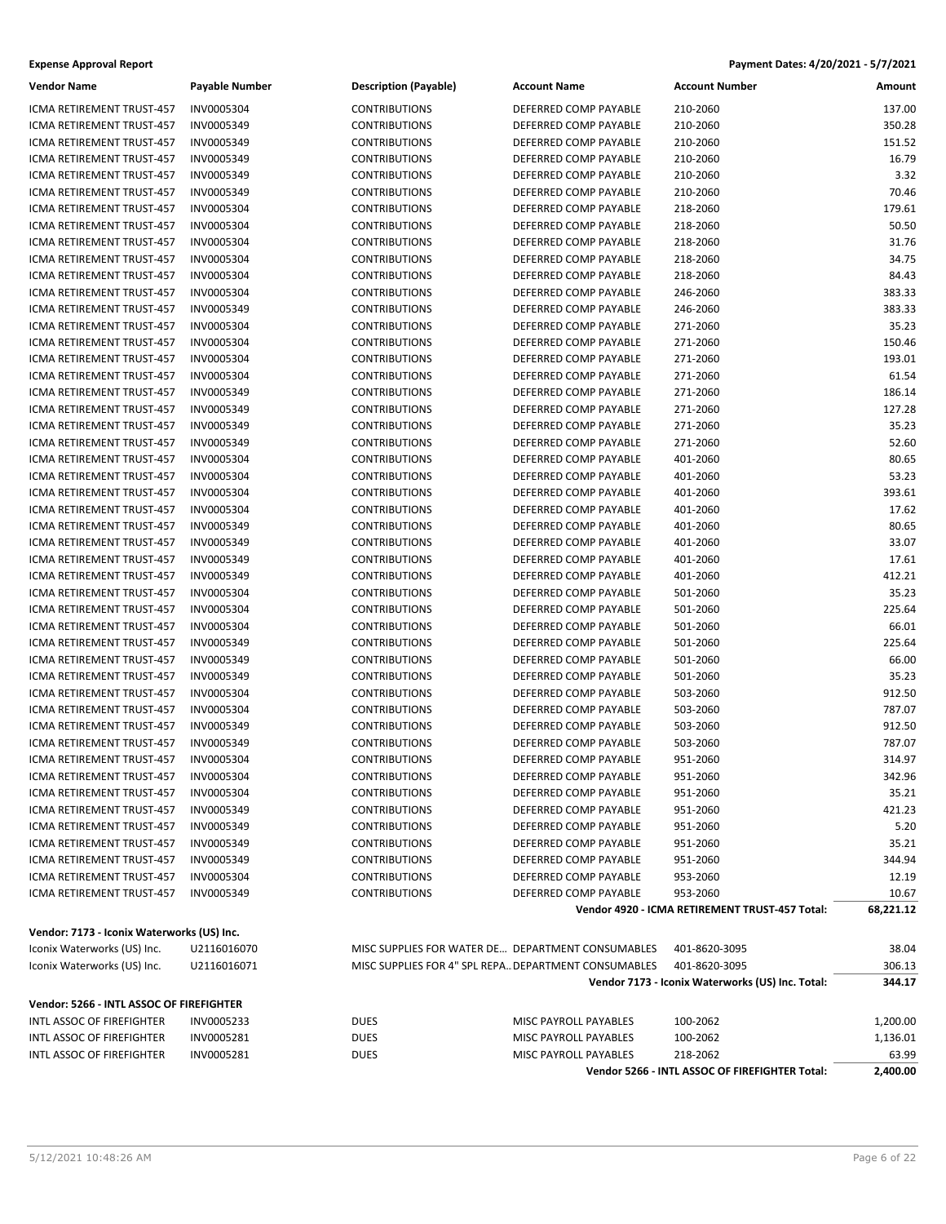| <b>Expense Approval Report</b> | Payment Dates: 4/20/2021 - 5/7/2021 |
|--------------------------------|-------------------------------------|
|                                |                                     |

| <b>Vendor Name</b>                                     | <b>Payable Number</b>    | <b>Description (Payable)</b>                         | <b>Account Name</b>                            | <b>Account Number</b>                            | Amount            |
|--------------------------------------------------------|--------------------------|------------------------------------------------------|------------------------------------------------|--------------------------------------------------|-------------------|
| <b>ICMA RETIREMENT TRUST-457</b>                       | INV0005304               | <b>CONTRIBUTIONS</b>                                 | DEFERRED COMP PAYABLE                          | 210-2060                                         | 137.00            |
| ICMA RETIREMENT TRUST-457                              | INV0005349               | <b>CONTRIBUTIONS</b>                                 | DEFERRED COMP PAYABLE                          | 210-2060                                         | 350.28            |
| ICMA RETIREMENT TRUST-457                              | INV0005349               | <b>CONTRIBUTIONS</b>                                 | DEFERRED COMP PAYABLE                          | 210-2060                                         | 151.52            |
| ICMA RETIREMENT TRUST-457                              | INV0005349               | <b>CONTRIBUTIONS</b>                                 | DEFERRED COMP PAYABLE                          | 210-2060                                         | 16.79             |
| ICMA RETIREMENT TRUST-457                              | INV0005349               | <b>CONTRIBUTIONS</b>                                 | DEFERRED COMP PAYABLE                          | 210-2060                                         | 3.32              |
| ICMA RETIREMENT TRUST-457                              | INV0005349               | <b>CONTRIBUTIONS</b>                                 | DEFERRED COMP PAYABLE                          | 210-2060                                         | 70.46             |
| ICMA RETIREMENT TRUST-457                              | INV0005304               | <b>CONTRIBUTIONS</b>                                 | DEFERRED COMP PAYABLE                          | 218-2060                                         | 179.61            |
| ICMA RETIREMENT TRUST-457                              | INV0005304               | <b>CONTRIBUTIONS</b>                                 | DEFERRED COMP PAYABLE                          | 218-2060                                         | 50.50             |
| ICMA RETIREMENT TRUST-457                              | INV0005304               | <b>CONTRIBUTIONS</b>                                 | DEFERRED COMP PAYABLE                          | 218-2060                                         | 31.76             |
| ICMA RETIREMENT TRUST-457                              | INV0005304               | <b>CONTRIBUTIONS</b>                                 | DEFERRED COMP PAYABLE                          | 218-2060                                         | 34.75             |
| ICMA RETIREMENT TRUST-457                              | INV0005304               | <b>CONTRIBUTIONS</b>                                 | DEFERRED COMP PAYABLE                          | 218-2060                                         | 84.43             |
| ICMA RETIREMENT TRUST-457                              | INV0005304               | <b>CONTRIBUTIONS</b>                                 | DEFERRED COMP PAYABLE                          | 246-2060                                         | 383.33            |
| ICMA RETIREMENT TRUST-457                              | INV0005349               | <b>CONTRIBUTIONS</b>                                 | DEFERRED COMP PAYABLE                          | 246-2060                                         | 383.33            |
| ICMA RETIREMENT TRUST-457                              | INV0005304               | <b>CONTRIBUTIONS</b>                                 | DEFERRED COMP PAYABLE                          | 271-2060                                         | 35.23             |
| ICMA RETIREMENT TRUST-457                              | INV0005304               | <b>CONTRIBUTIONS</b>                                 | DEFERRED COMP PAYABLE                          | 271-2060                                         | 150.46            |
| ICMA RETIREMENT TRUST-457                              | INV0005304               | <b>CONTRIBUTIONS</b>                                 | DEFERRED COMP PAYABLE                          | 271-2060                                         | 193.01            |
| ICMA RETIREMENT TRUST-457                              | INV0005304               | <b>CONTRIBUTIONS</b>                                 | DEFERRED COMP PAYABLE                          | 271-2060                                         | 61.54             |
| ICMA RETIREMENT TRUST-457                              | INV0005349               | <b>CONTRIBUTIONS</b>                                 | DEFERRED COMP PAYABLE                          | 271-2060                                         | 186.14            |
| ICMA RETIREMENT TRUST-457                              | INV0005349               | <b>CONTRIBUTIONS</b>                                 | DEFERRED COMP PAYABLE                          | 271-2060                                         | 127.28            |
| ICMA RETIREMENT TRUST-457                              | INV0005349               |                                                      | DEFERRED COMP PAYABLE                          | 271-2060                                         | 35.23             |
| ICMA RETIREMENT TRUST-457                              | INV0005349               | <b>CONTRIBUTIONS</b><br><b>CONTRIBUTIONS</b>         | DEFERRED COMP PAYABLE                          | 271-2060                                         | 52.60             |
|                                                        |                          |                                                      |                                                |                                                  | 80.65             |
| ICMA RETIREMENT TRUST-457                              | INV0005304               | <b>CONTRIBUTIONS</b>                                 | DEFERRED COMP PAYABLE                          | 401-2060                                         | 53.23             |
| ICMA RETIREMENT TRUST-457                              | INV0005304               | <b>CONTRIBUTIONS</b>                                 | DEFERRED COMP PAYABLE                          | 401-2060                                         |                   |
| ICMA RETIREMENT TRUST-457                              | INV0005304               | <b>CONTRIBUTIONS</b>                                 | DEFERRED COMP PAYABLE                          | 401-2060                                         | 393.61            |
| ICMA RETIREMENT TRUST-457                              | INV0005304               | <b>CONTRIBUTIONS</b>                                 | DEFERRED COMP PAYABLE                          | 401-2060                                         | 17.62             |
| ICMA RETIREMENT TRUST-457                              | INV0005349               | <b>CONTRIBUTIONS</b>                                 | DEFERRED COMP PAYABLE                          | 401-2060                                         | 80.65             |
| ICMA RETIREMENT TRUST-457                              | INV0005349               | <b>CONTRIBUTIONS</b>                                 | DEFERRED COMP PAYABLE                          | 401-2060                                         | 33.07             |
| ICMA RETIREMENT TRUST-457                              | INV0005349               | <b>CONTRIBUTIONS</b>                                 | DEFERRED COMP PAYABLE                          | 401-2060                                         | 17.61             |
| ICMA RETIREMENT TRUST-457                              | INV0005349               | <b>CONTRIBUTIONS</b>                                 | DEFERRED COMP PAYABLE                          | 401-2060                                         | 412.21            |
| ICMA RETIREMENT TRUST-457                              | INV0005304               | <b>CONTRIBUTIONS</b>                                 | DEFERRED COMP PAYABLE                          | 501-2060                                         | 35.23             |
| ICMA RETIREMENT TRUST-457                              | INV0005304               | <b>CONTRIBUTIONS</b>                                 | DEFERRED COMP PAYABLE                          | 501-2060                                         | 225.64            |
| ICMA RETIREMENT TRUST-457                              | INV0005304               | <b>CONTRIBUTIONS</b>                                 | DEFERRED COMP PAYABLE                          | 501-2060                                         | 66.01             |
| ICMA RETIREMENT TRUST-457                              | INV0005349               | <b>CONTRIBUTIONS</b>                                 | DEFERRED COMP PAYABLE                          | 501-2060                                         | 225.64            |
| ICMA RETIREMENT TRUST-457                              | INV0005349               | <b>CONTRIBUTIONS</b>                                 | DEFERRED COMP PAYABLE                          | 501-2060                                         | 66.00             |
| ICMA RETIREMENT TRUST-457                              | INV0005349               | <b>CONTRIBUTIONS</b>                                 | DEFERRED COMP PAYABLE                          | 501-2060                                         | 35.23             |
| ICMA RETIREMENT TRUST-457                              | INV0005304               | <b>CONTRIBUTIONS</b>                                 | DEFERRED COMP PAYABLE                          | 503-2060                                         | 912.50            |
| ICMA RETIREMENT TRUST-457                              | INV0005304               | <b>CONTRIBUTIONS</b>                                 | DEFERRED COMP PAYABLE                          | 503-2060                                         | 787.07            |
| ICMA RETIREMENT TRUST-457                              | INV0005349               | <b>CONTRIBUTIONS</b>                                 | DEFERRED COMP PAYABLE                          | 503-2060                                         | 912.50            |
| <b>ICMA RETIREMENT TRUST-457</b>                       | INV0005349               | <b>CONTRIBUTIONS</b>                                 | DEFERRED COMP PAYABLE                          | 503-2060                                         | 787.07            |
| ICMA RETIREMENT TRUST-457                              | INV0005304               | <b>CONTRIBUTIONS</b>                                 | DEFERRED COMP PAYABLE                          | 951-2060                                         | 314.97            |
| ICMA RETIREMENT TRUST-457                              | INV0005304               | <b>CONTRIBUTIONS</b>                                 | DEFERRED COMP PAYABLE                          | 951-2060                                         | 342.96            |
| ICMA RETIREMENT TRUST-457                              | INV0005304               | <b>CONTRIBUTIONS</b>                                 | DEFERRED COMP PAYABLE                          | 951-2060                                         | 35.21             |
| ICMA RETIREMENT TRUST-457                              | INV0005349               | <b>CONTRIBUTIONS</b>                                 | DEFERRED COMP PAYABLE                          | 951-2060                                         | 421.23            |
| ICMA RETIREMENT TRUST-457                              | INV0005349               | <b>CONTRIBUTIONS</b>                                 | DEFERRED COMP PAYABLE                          | 951-2060                                         | 5.20              |
| ICMA RETIREMENT TRUST-457                              | INV0005349               | <b>CONTRIBUTIONS</b>                                 | DEFERRED COMP PAYABLE                          | 951-2060                                         | 35.21             |
| ICMA RETIREMENT TRUST-457                              | INV0005349               | <b>CONTRIBUTIONS</b>                                 | DEFERRED COMP PAYABLE                          | 951-2060                                         | 344.94            |
| ICMA RETIREMENT TRUST-457                              | INV0005304               | <b>CONTRIBUTIONS</b>                                 | DEFERRED COMP PAYABLE                          | 953-2060                                         | 12.19             |
| ICMA RETIREMENT TRUST-457                              | INV0005349               | <b>CONTRIBUTIONS</b>                                 | DEFERRED COMP PAYABLE                          | 953-2060                                         | 10.67             |
|                                                        |                          |                                                      |                                                | Vendor 4920 - ICMA RETIREMENT TRUST-457 Total:   | 68,221.12         |
| Vendor: 7173 - Iconix Waterworks (US) Inc.             |                          |                                                      |                                                |                                                  |                   |
| Iconix Waterworks (US) Inc.                            | U2116016070              | MISC SUPPLIES FOR WATER DE DEPARTMENT CONSUMABLES    |                                                | 401-8620-3095                                    | 38.04             |
| Iconix Waterworks (US) Inc.                            | U2116016071              | MISC SUPPLIES FOR 4" SPL REPA DEPARTMENT CONSUMABLES |                                                | 401-8620-3095                                    | 306.13            |
|                                                        |                          |                                                      |                                                | Vendor 7173 - Iconix Waterworks (US) Inc. Total: | 344.17            |
| Vendor: 5266 - INTL ASSOC OF FIREFIGHTER               |                          |                                                      |                                                |                                                  |                   |
| INTL ASSOC OF FIREFIGHTER                              | INV0005233               | DUES                                                 | MISC PAYROLL PAYABLES                          | 100-2062                                         | 1,200.00          |
| INTL ASSOC OF FIREFIGHTER<br>INTL ASSOC OF FIREFIGHTER | INV0005281<br>INV0005281 | <b>DUES</b>                                          | MISC PAYROLL PAYABLES<br>MISC PAYROLL PAYABLES | 100-2062<br>218-2062                             | 1,136.01          |
|                                                        |                          | <b>DUES</b>                                          |                                                | Vendor 5266 - INTL ASSOC OF FIREFIGHTER Total:   | 63.99<br>2,400.00 |
|                                                        |                          |                                                      |                                                |                                                  |                   |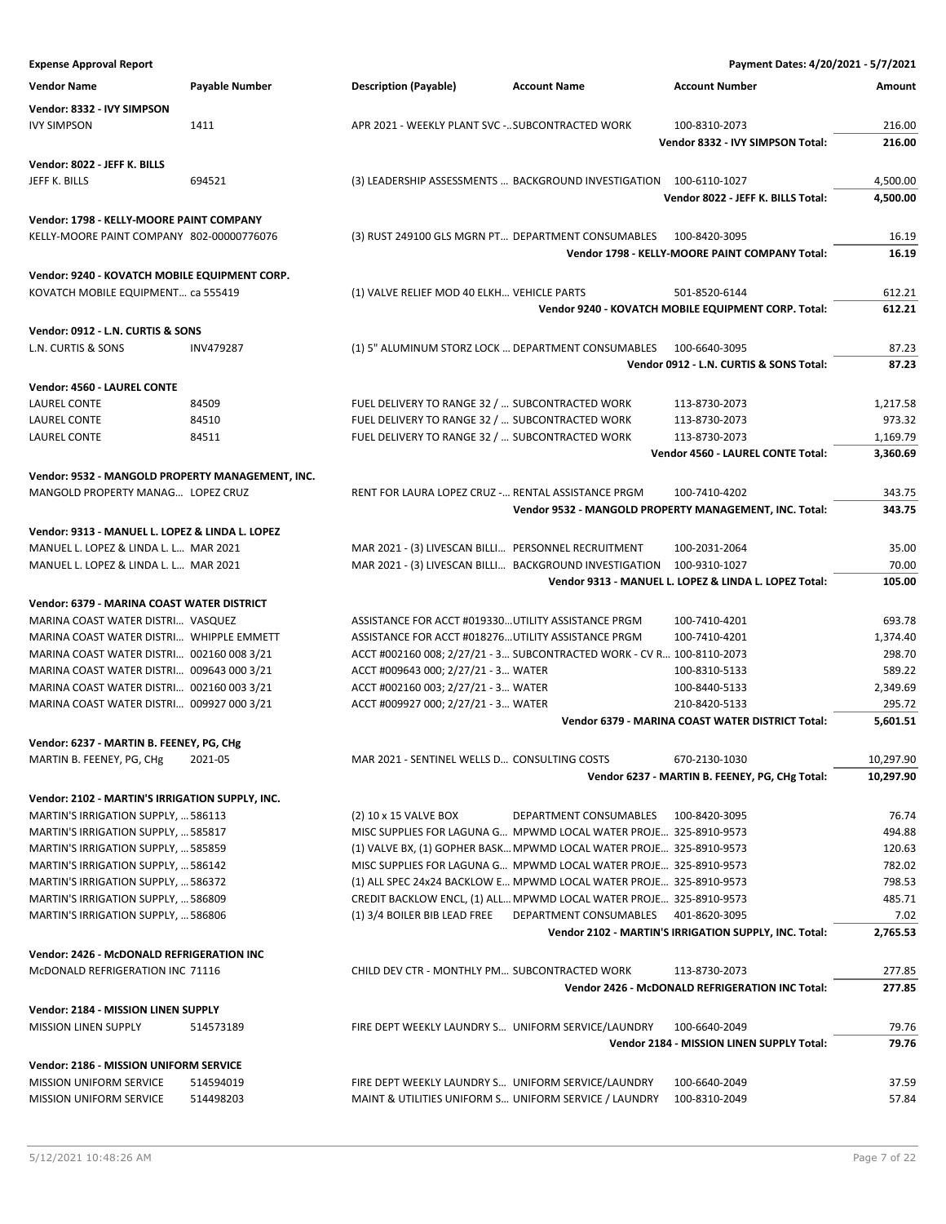| <b>Vendor Name</b>                               | Payable Number   | <b>Description (Payable)</b>                          | <b>Account Name</b>                                                   | <b>Account Number</b>                                  | Amount    |
|--------------------------------------------------|------------------|-------------------------------------------------------|-----------------------------------------------------------------------|--------------------------------------------------------|-----------|
| Vendor: 8332 - IVY SIMPSON                       |                  |                                                       |                                                                       |                                                        |           |
| <b>IVY SIMPSON</b>                               | 1411             | APR 2021 - WEEKLY PLANT SVC - SUBCONTRACTED WORK      |                                                                       | 100-8310-2073                                          | 216.00    |
|                                                  |                  |                                                       |                                                                       | Vendor 8332 - IVY SIMPSON Total:                       | 216.00    |
|                                                  |                  |                                                       |                                                                       |                                                        |           |
| Vendor: 8022 - JEFF K. BILLS                     |                  |                                                       |                                                                       |                                                        |           |
| JEFF K. BILLS                                    | 694521           |                                                       | (3) LEADERSHIP ASSESSMENTS  BACKGROUND INVESTIGATION 100-6110-1027    |                                                        | 4,500.00  |
|                                                  |                  |                                                       |                                                                       | Vendor 8022 - JEFF K. BILLS Total:                     | 4,500.00  |
| Vendor: 1798 - KELLY-MOORE PAINT COMPANY         |                  |                                                       |                                                                       |                                                        |           |
| KELLY-MOORE PAINT COMPANY 802-00000776076        |                  |                                                       | (3) RUST 249100 GLS MGRN PT DEPARTMENT CONSUMABLES 100-8420-3095      |                                                        | 16.19     |
|                                                  |                  |                                                       |                                                                       | Vendor 1798 - KELLY-MOORE PAINT COMPANY Total:         | 16.19     |
| Vendor: 9240 - KOVATCH MOBILE EQUIPMENT CORP.    |                  |                                                       |                                                                       |                                                        |           |
| KOVATCH MOBILE EQUIPMENT ca 555419               |                  | (1) VALVE RELIEF MOD 40 ELKH VEHICLE PARTS            |                                                                       | 501-8520-6144                                          | 612.21    |
|                                                  |                  |                                                       |                                                                       | Vendor 9240 - KOVATCH MOBILE EQUIPMENT CORP. Total:    | 612.21    |
|                                                  |                  |                                                       |                                                                       |                                                        |           |
| Vendor: 0912 - L.N. CURTIS & SONS                |                  |                                                       |                                                                       |                                                        |           |
| L.N. CURTIS & SONS                               | <b>INV479287</b> | (1) 5" ALUMINUM STORZ LOCK  DEPARTMENT CONSUMABLES    |                                                                       | 100-6640-3095                                          | 87.23     |
|                                                  |                  |                                                       |                                                                       | Vendor 0912 - L.N. CURTIS & SONS Total:                | 87.23     |
| Vendor: 4560 - LAUREL CONTE                      |                  |                                                       |                                                                       |                                                        |           |
| LAUREL CONTE                                     | 84509            | FUEL DELIVERY TO RANGE 32 /  SUBCONTRACTED WORK       |                                                                       | 113-8730-2073                                          | 1,217.58  |
| LAUREL CONTE                                     | 84510            | FUEL DELIVERY TO RANGE 32 /  SUBCONTRACTED WORK       |                                                                       | 113-8730-2073                                          | 973.32    |
| LAUREL CONTE                                     | 84511            | FUEL DELIVERY TO RANGE 32 /  SUBCONTRACTED WORK       |                                                                       | 113-8730-2073                                          | 1,169.79  |
|                                                  |                  |                                                       |                                                                       | Vendor 4560 - LAUREL CONTE Total:                      | 3,360.69  |
| Vendor: 9532 - MANGOLD PROPERTY MANAGEMENT, INC. |                  |                                                       |                                                                       |                                                        |           |
| MANGOLD PROPERTY MANAG LOPEZ CRUZ                |                  | RENT FOR LAURA LOPEZ CRUZ - RENTAL ASSISTANCE PRGM    |                                                                       | 100-7410-4202                                          | 343.75    |
|                                                  |                  |                                                       |                                                                       | Vendor 9532 - MANGOLD PROPERTY MANAGEMENT, INC. Total: | 343.75    |
|                                                  |                  |                                                       |                                                                       |                                                        |           |
| Vendor: 9313 - MANUEL L. LOPEZ & LINDA L. LOPEZ  |                  |                                                       |                                                                       |                                                        |           |
| MANUEL L. LOPEZ & LINDA L. L MAR 2021            |                  | MAR 2021 - (3) LIVESCAN BILLI PERSONNEL RECRUITMENT   |                                                                       | 100-2031-2064                                          | 35.00     |
| MANUEL L. LOPEZ & LINDA L. L MAR 2021            |                  |                                                       | MAR 2021 - (3) LIVESCAN BILLI BACKGROUND INVESTIGATION 100-9310-1027  |                                                        | 70.00     |
|                                                  |                  |                                                       |                                                                       | Vendor 9313 - MANUEL L. LOPEZ & LINDA L. LOPEZ Total:  | 105.00    |
| Vendor: 6379 - MARINA COAST WATER DISTRICT       |                  |                                                       |                                                                       |                                                        |           |
| MARINA COAST WATER DISTRI VASQUEZ                |                  | ASSISTANCE FOR ACCT #019330 UTILITY ASSISTANCE PRGM   |                                                                       | 100-7410-4201                                          | 693.78    |
| MARINA COAST WATER DISTRI WHIPPLE EMMETT         |                  | ASSISTANCE FOR ACCT #018276 UTILITY ASSISTANCE PRGM   |                                                                       | 100-7410-4201                                          | 1,374.40  |
| MARINA COAST WATER DISTRI 002160 008 3/21        |                  |                                                       | ACCT #002160 008; 2/27/21 - 3 SUBCONTRACTED WORK - CV R 100-8110-2073 |                                                        | 298.70    |
| MARINA COAST WATER DISTRI 009643 000 3/21        |                  | ACCT #009643 000; 2/27/21 - 3 WATER                   |                                                                       | 100-8310-5133                                          | 589.22    |
| MARINA COAST WATER DISTRI 002160 003 3/21        |                  | ACCT #002160 003; 2/27/21 - 3 WATER                   |                                                                       | 100-8440-5133                                          | 2,349.69  |
| MARINA COAST WATER DISTRI 009927 000 3/21        |                  | ACCT #009927 000; 2/27/21 - 3 WATER                   |                                                                       | 210-8420-5133                                          | 295.72    |
|                                                  |                  |                                                       |                                                                       | Vendor 6379 - MARINA COAST WATER DISTRICT Total:       | 5,601.51  |
| Vendor: 6237 - MARTIN B. FEENEY, PG, CHg         |                  |                                                       |                                                                       |                                                        |           |
| MARTIN B. FEENEY, PG, CHg 2021-05                |                  | MAR 2021 - SENTINEL WELLS D CONSULTING COSTS          |                                                                       | 670-2130-1030                                          | 10,297.90 |
|                                                  |                  |                                                       |                                                                       | Vendor 6237 - MARTIN B. FEENEY, PG, CHg Total:         | 10,297.90 |
|                                                  |                  |                                                       |                                                                       |                                                        |           |
| Vendor: 2102 - MARTIN'S IRRIGATION SUPPLY, INC.  |                  |                                                       |                                                                       |                                                        |           |
| MARTIN'S IRRIGATION SUPPLY,  586113              |                  | (2) 10 x 15 VALVE BOX                                 | DEPARTMENT CONSUMABLES                                                | 100-8420-3095                                          | 76.74     |
| MARTIN'S IRRIGATION SUPPLY,  585817              |                  |                                                       | MISC SUPPLIES FOR LAGUNA G MPWMD LOCAL WATER PROJE 325-8910-9573      |                                                        | 494.88    |
| MARTIN'S IRRIGATION SUPPLY,  585859              |                  |                                                       | (1) VALVE BX, (1) GOPHER BASK MPWMD LOCAL WATER PROJE 325-8910-9573   |                                                        | 120.63    |
| MARTIN'S IRRIGATION SUPPLY,  586142              |                  |                                                       | MISC SUPPLIES FOR LAGUNA G MPWMD LOCAL WATER PROJE 325-8910-9573      |                                                        | 782.02    |
| MARTIN'S IRRIGATION SUPPLY,  586372              |                  |                                                       | (1) ALL SPEC 24x24 BACKLOW E MPWMD LOCAL WATER PROJE 325-8910-9573    |                                                        | 798.53    |
| MARTIN'S IRRIGATION SUPPLY,  586809              |                  |                                                       | CREDIT BACKLOW ENCL, (1) ALL MPWMD LOCAL WATER PROJE 325-8910-9573    |                                                        | 485.71    |
| MARTIN'S IRRIGATION SUPPLY,  586806              |                  | (1) 3/4 BOILER BIB LEAD FREE                          | DEPARTMENT CONSUMABLES                                                | 401-8620-3095                                          | 7.02      |
|                                                  |                  |                                                       |                                                                       | Vendor 2102 - MARTIN'S IRRIGATION SUPPLY, INC. Total:  | 2,765.53  |
| Vendor: 2426 - McDONALD REFRIGERATION INC        |                  |                                                       |                                                                       |                                                        |           |
| McDONALD REFRIGERATION INC 71116                 |                  | CHILD DEV CTR - MONTHLY PM SUBCONTRACTED WORK         |                                                                       | 113-8730-2073                                          | 277.85    |
|                                                  |                  |                                                       |                                                                       | Vendor 2426 - McDONALD REFRIGERATION INC Total:        | 277.85    |
|                                                  |                  |                                                       |                                                                       |                                                        |           |
| Vendor: 2184 - MISSION LINEN SUPPLY              | 514573189        | FIRE DEPT WEEKLY LAUNDRY S UNIFORM SERVICE/LAUNDRY    |                                                                       |                                                        | 79.76     |
| <b>MISSION LINEN SUPPLY</b>                      |                  |                                                       |                                                                       | 100-6640-2049                                          |           |
|                                                  |                  |                                                       |                                                                       | Vendor 2184 - MISSION LINEN SUPPLY Total:              | 79.76     |
| Vendor: 2186 - MISSION UNIFORM SERVICE           |                  |                                                       |                                                                       |                                                        |           |
| <b>MISSION UNIFORM SERVICE</b>                   | 514594019        | FIRE DEPT WEEKLY LAUNDRY S UNIFORM SERVICE/LAUNDRY    |                                                                       | 100-6640-2049                                          | 37.59     |
| <b>MISSION UNIFORM SERVICE</b>                   | 514498203        | MAINT & UTILITIES UNIFORM S UNIFORM SERVICE / LAUNDRY |                                                                       | 100-8310-2049                                          | 57.84     |
|                                                  |                  |                                                       |                                                                       |                                                        |           |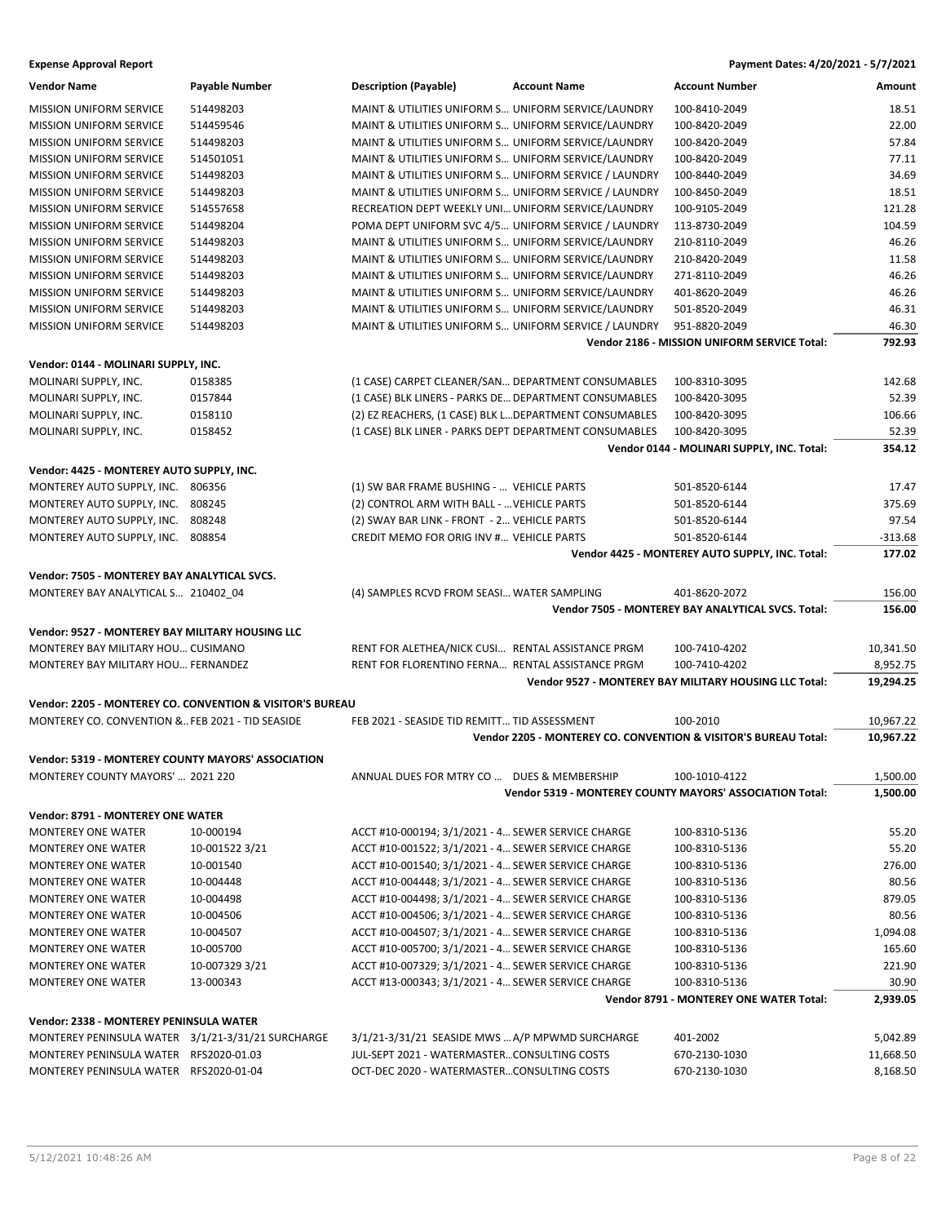| <b>Vendor Name</b>                                 | <b>Payable Number</b>                                     | <b>Description (Payable)</b>                           | <b>Account Name</b>                                   | <b>Account Number</b>                                           | Amount    |
|----------------------------------------------------|-----------------------------------------------------------|--------------------------------------------------------|-------------------------------------------------------|-----------------------------------------------------------------|-----------|
| <b>MISSION UNIFORM SERVICE</b>                     | 514498203                                                 | MAINT & UTILITIES UNIFORM S UNIFORM SERVICE/LAUNDRY    |                                                       | 100-8410-2049                                                   | 18.51     |
| <b>MISSION UNIFORM SERVICE</b>                     | 514459546                                                 | MAINT & UTILITIES UNIFORM S UNIFORM SERVICE/LAUNDRY    |                                                       | 100-8420-2049                                                   | 22.00     |
| <b>MISSION UNIFORM SERVICE</b>                     | 514498203                                                 | MAINT & UTILITIES UNIFORM S UNIFORM SERVICE/LAUNDRY    |                                                       | 100-8420-2049                                                   | 57.84     |
| <b>MISSION UNIFORM SERVICE</b>                     | 514501051                                                 | MAINT & UTILITIES UNIFORM S UNIFORM SERVICE/LAUNDRY    |                                                       | 100-8420-2049                                                   | 77.11     |
| MISSION UNIFORM SERVICE                            | 514498203                                                 | MAINT & UTILITIES UNIFORM S UNIFORM SERVICE / LAUNDRY  |                                                       | 100-8440-2049                                                   | 34.69     |
| <b>MISSION UNIFORM SERVICE</b>                     | 514498203                                                 | MAINT & UTILITIES UNIFORM S UNIFORM SERVICE / LAUNDRY  |                                                       | 100-8450-2049                                                   | 18.51     |
| <b>MISSION UNIFORM SERVICE</b>                     | 514557658                                                 | RECREATION DEPT WEEKLY UNI UNIFORM SERVICE/LAUNDRY     |                                                       | 100-9105-2049                                                   | 121.28    |
| <b>MISSION UNIFORM SERVICE</b>                     | 514498204                                                 | POMA DEPT UNIFORM SVC 4/5 UNIFORM SERVICE / LAUNDRY    |                                                       | 113-8730-2049                                                   | 104.59    |
| <b>MISSION UNIFORM SERVICE</b>                     | 514498203                                                 | MAINT & UTILITIES UNIFORM S UNIFORM SERVICE/LAUNDRY    |                                                       | 210-8110-2049                                                   | 46.26     |
| MISSION UNIFORM SERVICE                            | 514498203                                                 | MAINT & UTILITIES UNIFORM S UNIFORM SERVICE/LAUNDRY    |                                                       | 210-8420-2049                                                   | 11.58     |
| <b>MISSION UNIFORM SERVICE</b>                     | 514498203                                                 | MAINT & UTILITIES UNIFORM S UNIFORM SERVICE/LAUNDRY    |                                                       | 271-8110-2049                                                   | 46.26     |
| <b>MISSION UNIFORM SERVICE</b>                     | 514498203                                                 | MAINT & UTILITIES UNIFORM S UNIFORM SERVICE/LAUNDRY    |                                                       | 401-8620-2049                                                   | 46.26     |
| <b>MISSION UNIFORM SERVICE</b>                     | 514498203                                                 | MAINT & UTILITIES UNIFORM S UNIFORM SERVICE/LAUNDRY    |                                                       | 501-8520-2049                                                   | 46.31     |
| <b>MISSION UNIFORM SERVICE</b>                     | 514498203                                                 |                                                        | MAINT & UTILITIES UNIFORM S UNIFORM SERVICE / LAUNDRY | 951-8820-2049                                                   | 46.30     |
|                                                    |                                                           |                                                        |                                                       | Vendor 2186 - MISSION UNIFORM SERVICE Total:                    | 792.93    |
| Vendor: 0144 - MOLINARI SUPPLY, INC.               |                                                           |                                                        |                                                       |                                                                 |           |
| MOLINARI SUPPLY, INC.                              | 0158385                                                   | (1 CASE) CARPET CLEANER/SAN DEPARTMENT CONSUMABLES     |                                                       | 100-8310-3095                                                   | 142.68    |
| MOLINARI SUPPLY, INC.                              | 0157844                                                   | (1 CASE) BLK LINERS - PARKS DE DEPARTMENT CONSUMABLES  |                                                       | 100-8420-3095                                                   | 52.39     |
| MOLINARI SUPPLY, INC.                              | 0158110                                                   | (2) EZ REACHERS, (1 CASE) BLK LDEPARTMENT CONSUMABLES  |                                                       | 100-8420-3095                                                   | 106.66    |
| MOLINARI SUPPLY, INC.                              | 0158452                                                   | (1 CASE) BLK LINER - PARKS DEPT DEPARTMENT CONSUMABLES |                                                       | 100-8420-3095                                                   | 52.39     |
|                                                    |                                                           |                                                        |                                                       | Vendor 0144 - MOLINARI SUPPLY, INC. Total:                      | 354.12    |
|                                                    |                                                           |                                                        |                                                       |                                                                 |           |
| Vendor: 4425 - MONTEREY AUTO SUPPLY, INC.          |                                                           |                                                        |                                                       |                                                                 |           |
| MONTEREY AUTO SUPPLY, INC. 806356                  |                                                           | (1) SW BAR FRAME BUSHING -  VEHICLE PARTS              |                                                       | 501-8520-6144                                                   | 17.47     |
| MONTEREY AUTO SUPPLY, INC. 808245                  |                                                           | (2) CONTROL ARM WITH BALL -  VEHICLE PARTS             |                                                       | 501-8520-6144                                                   | 375.69    |
| MONTEREY AUTO SUPPLY, INC. 808248                  |                                                           | (2) SWAY BAR LINK - FRONT - 2 VEHICLE PARTS            |                                                       | 501-8520-6144                                                   | 97.54     |
| MONTEREY AUTO SUPPLY, INC. 808854                  |                                                           | CREDIT MEMO FOR ORIG INV # VEHICLE PARTS               |                                                       | 501-8520-6144                                                   | $-313.68$ |
|                                                    |                                                           |                                                        |                                                       | Vendor 4425 - MONTEREY AUTO SUPPLY, INC. Total:                 | 177.02    |
| Vendor: 7505 - MONTEREY BAY ANALYTICAL SVCS.       |                                                           |                                                        |                                                       |                                                                 |           |
| MONTEREY BAY ANALYTICAL S 210402_04                |                                                           | (4) SAMPLES RCVD FROM SEASI WATER SAMPLING             |                                                       | 401-8620-2072                                                   | 156.00    |
|                                                    |                                                           |                                                        |                                                       | Vendor 7505 - MONTEREY BAY ANALYTICAL SVCS. Total:              | 156.00    |
| Vendor: 9527 - MONTEREY BAY MILITARY HOUSING LLC   |                                                           |                                                        |                                                       |                                                                 |           |
| MONTEREY BAY MILITARY HOU CUSIMANO                 |                                                           | RENT FOR ALETHEA/NICK CUSI RENTAL ASSISTANCE PRGM      |                                                       | 100-7410-4202                                                   | 10,341.50 |
| MONTEREY BAY MILITARY HOU FERNANDEZ                |                                                           | RENT FOR FLORENTINO FERNA RENTAL ASSISTANCE PRGM       |                                                       | 100-7410-4202                                                   | 8,952.75  |
|                                                    |                                                           |                                                        |                                                       | Vendor 9527 - MONTEREY BAY MILITARY HOUSING LLC Total:          | 19,294.25 |
|                                                    | Vendor: 2205 - MONTEREY CO. CONVENTION & VISITOR'S BUREAU |                                                        |                                                       |                                                                 |           |
| MONTEREY CO. CONVENTION & FEB 2021 - TID SEASIDE   |                                                           | FEB 2021 - SEASIDE TID REMITT TID ASSESSMENT           |                                                       | 100-2010                                                        | 10,967.22 |
|                                                    |                                                           |                                                        |                                                       | Vendor 2205 - MONTEREY CO. CONVENTION & VISITOR'S BUREAU Total: | 10,967.22 |
| Vendor: 5319 - MONTEREY COUNTY MAYORS' ASSOCIATION |                                                           |                                                        |                                                       |                                                                 |           |
| MONTEREY COUNTY MAYORS'  2021 220                  |                                                           | ANNUAL DUES FOR MTRY CO  DUES & MEMBERSHIP             |                                                       | 100-1010-4122                                                   | 1,500.00  |
|                                                    |                                                           |                                                        |                                                       | Vendor 5319 - MONTEREY COUNTY MAYORS' ASSOCIATION Total:        | 1,500.00  |
| Vendor: 8791 - MONTEREY ONE WATER                  |                                                           |                                                        |                                                       |                                                                 |           |
| <b>MONTEREY ONE WATER</b>                          | 10-000194                                                 | ACCT #10-000194; 3/1/2021 - 4 SEWER SERVICE CHARGE     |                                                       | 100-8310-5136                                                   | 55.20     |
| <b>MONTEREY ONE WATER</b>                          | 10-001522 3/21                                            | ACCT #10-001522; 3/1/2021 - 4 SEWER SERVICE CHARGE     |                                                       | 100-8310-5136                                                   | 55.20     |
| <b>MONTEREY ONE WATER</b>                          | 10-001540                                                 | ACCT #10-001540; 3/1/2021 - 4 SEWER SERVICE CHARGE     |                                                       | 100-8310-5136                                                   | 276.00    |
| <b>MONTEREY ONE WATER</b>                          | 10-004448                                                 | ACCT #10-004448; 3/1/2021 - 4 SEWER SERVICE CHARGE     |                                                       | 100-8310-5136                                                   | 80.56     |
| MONTEREY ONE WATER                                 | 10-004498                                                 | ACCT #10-004498; 3/1/2021 - 4 SEWER SERVICE CHARGE     |                                                       | 100-8310-5136                                                   | 879.05    |
| <b>MONTEREY ONE WATER</b>                          | 10-004506                                                 | ACCT #10-004506; 3/1/2021 - 4 SEWER SERVICE CHARGE     |                                                       | 100-8310-5136                                                   | 80.56     |
| <b>MONTEREY ONE WATER</b>                          | 10-004507                                                 | ACCT #10-004507; 3/1/2021 - 4 SEWER SERVICE CHARGE     |                                                       | 100-8310-5136                                                   | 1,094.08  |
| <b>MONTEREY ONE WATER</b>                          | 10-005700                                                 | ACCT #10-005700; 3/1/2021 - 4 SEWER SERVICE CHARGE     |                                                       | 100-8310-5136                                                   | 165.60    |
| <b>MONTEREY ONE WATER</b>                          | 10-007329 3/21                                            | ACCT #10-007329; 3/1/2021 - 4 SEWER SERVICE CHARGE     |                                                       | 100-8310-5136                                                   | 221.90    |
| <b>MONTEREY ONE WATER</b>                          | 13-000343                                                 | ACCT #13-000343; 3/1/2021 - 4 SEWER SERVICE CHARGE     |                                                       | 100-8310-5136                                                   | 30.90     |
|                                                    |                                                           |                                                        |                                                       | Vendor 8791 - MONTEREY ONE WATER Total:                         | 2,939.05  |
| Vendor: 2338 - MONTEREY PENINSULA WATER            |                                                           |                                                        |                                                       |                                                                 |           |
| MONTEREY PENINSULA WATER 3/1/21-3/31/21 SURCHARGE  |                                                           | 3/1/21-3/31/21 SEASIDE MWS  A/P MPWMD SURCHARGE        |                                                       | 401-2002                                                        | 5,042.89  |
| MONTEREY PENINSULA WATER RFS2020-01.03             |                                                           | JUL-SEPT 2021 - WATERMASTERCONSULTING COSTS            |                                                       | 670-2130-1030                                                   | 11,668.50 |
| MONTEREY PENINSULA WATER RFS2020-01-04             |                                                           | OCT-DEC 2020 - WATERMASTERCONSULTING COSTS             |                                                       | 670-2130-1030                                                   | 8,168.50  |
|                                                    |                                                           |                                                        |                                                       |                                                                 |           |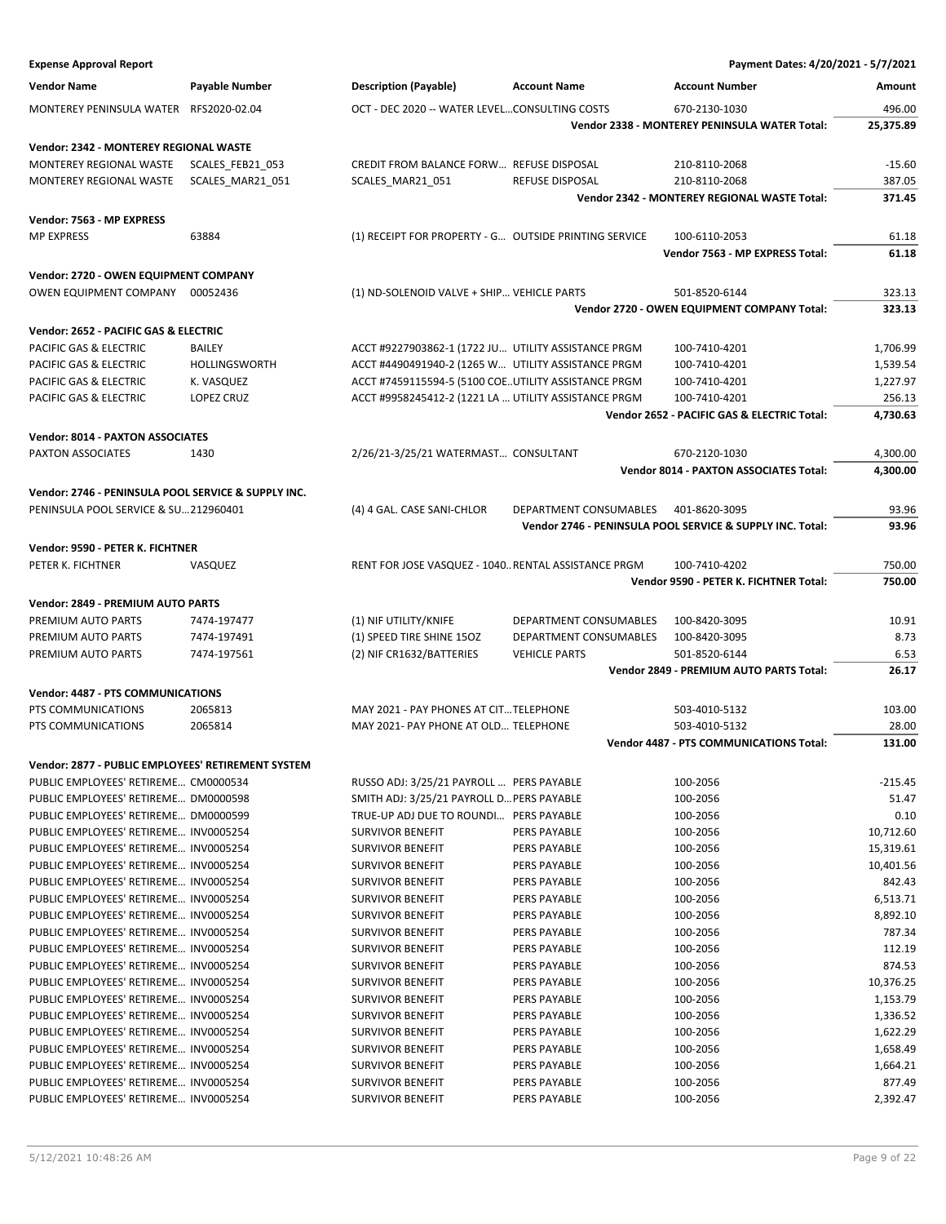| <b>Expense Approval Report</b>                      |                      |                                                       |                        | Payment Dates: 4/20/2021 - 5/7/2021                       |                      |
|-----------------------------------------------------|----------------------|-------------------------------------------------------|------------------------|-----------------------------------------------------------|----------------------|
| <b>Vendor Name</b>                                  | Payable Number       | <b>Description (Payable)</b>                          | <b>Account Name</b>    | <b>Account Number</b>                                     | Amount               |
| MONTEREY PENINSULA WATER                            | RFS2020-02.04        | OCT - DEC 2020 -- WATER LEVELCONSULTING COSTS         |                        | 670-2130-1030                                             | 496.00               |
|                                                     |                      |                                                       |                        | Vendor 2338 - MONTEREY PENINSULA WATER Total:             | 25,375.89            |
|                                                     |                      |                                                       |                        |                                                           |                      |
| Vendor: 2342 - MONTEREY REGIONAL WASTE              |                      |                                                       |                        |                                                           |                      |
| MONTEREY REGIONAL WASTE                             | SCALES_FEB21_053     | CREDIT FROM BALANCE FORW REFUSE DISPOSAL              | <b>REFUSE DISPOSAL</b> | 210-8110-2068<br>210-8110-2068                            | $-15.60$<br>387.05   |
| MONTEREY REGIONAL WASTE                             | SCALES_MAR21_051     | SCALES_MAR21_051                                      |                        | Vendor 2342 - MONTEREY REGIONAL WASTE Total:              | 371.45               |
|                                                     |                      |                                                       |                        |                                                           |                      |
| Vendor: 7563 - MP EXPRESS                           |                      |                                                       |                        |                                                           |                      |
| <b>MP EXPRESS</b>                                   | 63884                | (1) RECEIPT FOR PROPERTY - G OUTSIDE PRINTING SERVICE |                        | 100-6110-2053                                             | 61.18                |
|                                                     |                      |                                                       |                        | Vendor 7563 - MP EXPRESS Total:                           | 61.18                |
| Vendor: 2720 - OWEN EQUIPMENT COMPANY               |                      |                                                       |                        |                                                           |                      |
| OWEN EQUIPMENT COMPANY                              | 00052436             | (1) ND-SOLENOID VALVE + SHIP VEHICLE PARTS            |                        | 501-8520-6144                                             | 323.13               |
|                                                     |                      |                                                       |                        | Vendor 2720 - OWEN EQUIPMENT COMPANY Total:               | 323.13               |
| Vendor: 2652 - PACIFIC GAS & ELECTRIC               |                      |                                                       |                        |                                                           |                      |
| PACIFIC GAS & ELECTRIC                              | <b>BAILEY</b>        | ACCT #9227903862-1 (1722 JU UTILITY ASSISTANCE PRGM   |                        | 100-7410-4201                                             | 1,706.99             |
| PACIFIC GAS & ELECTRIC                              | <b>HOLLINGSWORTH</b> | ACCT #4490491940-2 (1265 W UTILITY ASSISTANCE PRGM    |                        | 100-7410-4201                                             | 1,539.54             |
| PACIFIC GAS & ELECTRIC                              | K. VASQUEZ           | ACCT #7459115594-5 (5100 COEUTILITY ASSISTANCE PRGM   |                        | 100-7410-4201                                             | 1,227.97             |
| PACIFIC GAS & ELECTRIC                              | <b>LOPEZ CRUZ</b>    | ACCT #9958245412-2 (1221 LA  UTILITY ASSISTANCE PRGM  |                        | 100-7410-4201                                             | 256.13               |
|                                                     |                      |                                                       |                        | Vendor 2652 - PACIFIC GAS & ELECTRIC Total:               | 4,730.63             |
|                                                     |                      |                                                       |                        |                                                           |                      |
| Vendor: 8014 - PAXTON ASSOCIATES                    |                      |                                                       |                        |                                                           |                      |
| <b>PAXTON ASSOCIATES</b>                            | 1430                 | 2/26/21-3/25/21 WATERMAST CONSULTANT                  |                        | 670-2120-1030<br>Vendor 8014 - PAXTON ASSOCIATES Total:   | 4,300.00<br>4,300.00 |
|                                                     |                      |                                                       |                        |                                                           |                      |
| Vendor: 2746 - PENINSULA POOL SERVICE & SUPPLY INC. |                      |                                                       |                        |                                                           |                      |
| PENINSULA POOL SERVICE & SU212960401                |                      | (4) 4 GAL. CASE SANI-CHLOR                            | DEPARTMENT CONSUMABLES | 401-8620-3095                                             | 93.96                |
|                                                     |                      |                                                       |                        | Vendor 2746 - PENINSULA POOL SERVICE & SUPPLY INC. Total: | 93.96                |
| Vendor: 9590 - PETER K. FICHTNER                    |                      |                                                       |                        |                                                           |                      |
| PETER K. FICHTNER                                   | VASQUEZ              | RENT FOR JOSE VASQUEZ - 1040 RENTAL ASSISTANCE PRGM   |                        | 100-7410-4202                                             | 750.00               |
|                                                     |                      |                                                       |                        | Vendor 9590 - PETER K. FICHTNER Total:                    | 750.00               |
| Vendor: 2849 - PREMIUM AUTO PARTS                   |                      |                                                       |                        |                                                           |                      |
| PREMIUM AUTO PARTS                                  | 7474-197477          | (1) NIF UTILITY/KNIFE                                 | DEPARTMENT CONSUMABLES | 100-8420-3095                                             | 10.91                |
| PREMIUM AUTO PARTS                                  | 7474-197491          | (1) SPEED TIRE SHINE 15OZ                             | DEPARTMENT CONSUMABLES | 100-8420-3095                                             | 8.73                 |
| PREMIUM AUTO PARTS                                  | 7474-197561          | (2) NIF CR1632/BATTERIES                              | <b>VEHICLE PARTS</b>   | 501-8520-6144                                             | 6.53                 |
|                                                     |                      |                                                       |                        | Vendor 2849 - PREMIUM AUTO PARTS Total:                   | 26.17                |
|                                                     |                      |                                                       |                        |                                                           |                      |
| Vendor: 4487 - PTS COMMUNICATIONS                   |                      |                                                       |                        |                                                           |                      |
| PTS COMMUNICATIONS                                  | 2065813              | MAY 2021 - PAY PHONES AT CIT TELEPHONE                |                        | 503-4010-5132                                             | 103.00               |
| PTS COMMUNICATIONS                                  | 2065814              | MAY 2021- PAY PHONE AT OLD TELEPHONE                  |                        | 503-4010-5132                                             | 28.00                |
|                                                     |                      |                                                       |                        | Vendor 4487 - PTS COMMUNICATIONS Total:                   | 131.00               |
| Vendor: 2877 - PUBLIC EMPLOYEES' RETIREMENT SYSTEM  |                      |                                                       |                        |                                                           |                      |
| PUBLIC EMPLOYEES' RETIREME CM0000534                |                      | RUSSO ADJ: 3/25/21 PAYROLL  PERS PAYABLE              |                        | 100-2056                                                  | $-215.45$            |
| PUBLIC EMPLOYEES' RETIREME DM0000598                |                      | SMITH ADJ: 3/25/21 PAYROLL D PERS PAYABLE             |                        | 100-2056                                                  | 51.47                |
| PUBLIC EMPLOYEES' RETIREME DM0000599                |                      | TRUE-UP ADJ DUE TO ROUNDI PERS PAYABLE                |                        | 100-2056                                                  | 0.10                 |
| PUBLIC EMPLOYEES' RETIREME INV0005254               |                      | <b>SURVIVOR BENEFIT</b>                               | PERS PAYABLE           | 100-2056                                                  | 10,712.60            |
| PUBLIC EMPLOYEES' RETIREME INV0005254               |                      | <b>SURVIVOR BENEFIT</b>                               | PERS PAYABLE           | 100-2056                                                  | 15,319.61            |
| PUBLIC EMPLOYEES' RETIREME INV0005254               |                      | <b>SURVIVOR BENEFIT</b>                               | PERS PAYABLE           | 100-2056                                                  | 10,401.56            |
| PUBLIC EMPLOYEES' RETIREME INV0005254               |                      | <b>SURVIVOR BENEFIT</b>                               | PERS PAYABLE           | 100-2056                                                  | 842.43               |
| PUBLIC EMPLOYEES' RETIREME INV0005254               |                      | <b>SURVIVOR BENEFIT</b>                               | PERS PAYABLE           | 100-2056                                                  | 6,513.71             |
| PUBLIC EMPLOYEES' RETIREME INV0005254               |                      | <b>SURVIVOR BENEFIT</b>                               | PERS PAYABLE           | 100-2056                                                  | 8,892.10             |
| PUBLIC EMPLOYEES' RETIREME INV0005254               |                      | <b>SURVIVOR BENEFIT</b>                               | PERS PAYABLE           | 100-2056                                                  | 787.34               |
| PUBLIC EMPLOYEES' RETIREME INV0005254               |                      | <b>SURVIVOR BENEFIT</b>                               | PERS PAYABLE           | 100-2056                                                  | 112.19               |
| PUBLIC EMPLOYEES' RETIREME INV0005254               |                      | <b>SURVIVOR BENEFIT</b>                               | PERS PAYABLE           | 100-2056                                                  | 874.53               |
| PUBLIC EMPLOYEES' RETIREME INV0005254               |                      | <b>SURVIVOR BENEFIT</b>                               | PERS PAYABLE           | 100-2056                                                  | 10,376.25            |
| PUBLIC EMPLOYEES' RETIREME INV0005254               |                      | <b>SURVIVOR BENEFIT</b>                               | PERS PAYABLE           | 100-2056                                                  | 1,153.79             |
| PUBLIC EMPLOYEES' RETIREME INV0005254               |                      | <b>SURVIVOR BENEFIT</b>                               | PERS PAYABLE           | 100-2056                                                  | 1,336.52             |
| PUBLIC EMPLOYEES' RETIREME INV0005254               |                      | <b>SURVIVOR BENEFIT</b>                               | PERS PAYABLE           | 100-2056                                                  | 1,622.29             |
| PUBLIC EMPLOYEES' RETIREME INV0005254               |                      | <b>SURVIVOR BENEFIT</b>                               | PERS PAYABLE           | 100-2056                                                  | 1,658.49             |
| PUBLIC EMPLOYEES' RETIREME INV0005254               |                      | <b>SURVIVOR BENEFIT</b>                               | PERS PAYABLE           | 100-2056                                                  | 1,664.21             |
| PUBLIC EMPLOYEES' RETIREME INV0005254               |                      | <b>SURVIVOR BENEFIT</b>                               | PERS PAYABLE           | 100-2056                                                  | 877.49               |
| PUBLIC EMPLOYEES' RETIREME INV0005254               |                      | <b>SURVIVOR BENEFIT</b>                               | PERS PAYABLE           | 100-2056                                                  | 2,392.47             |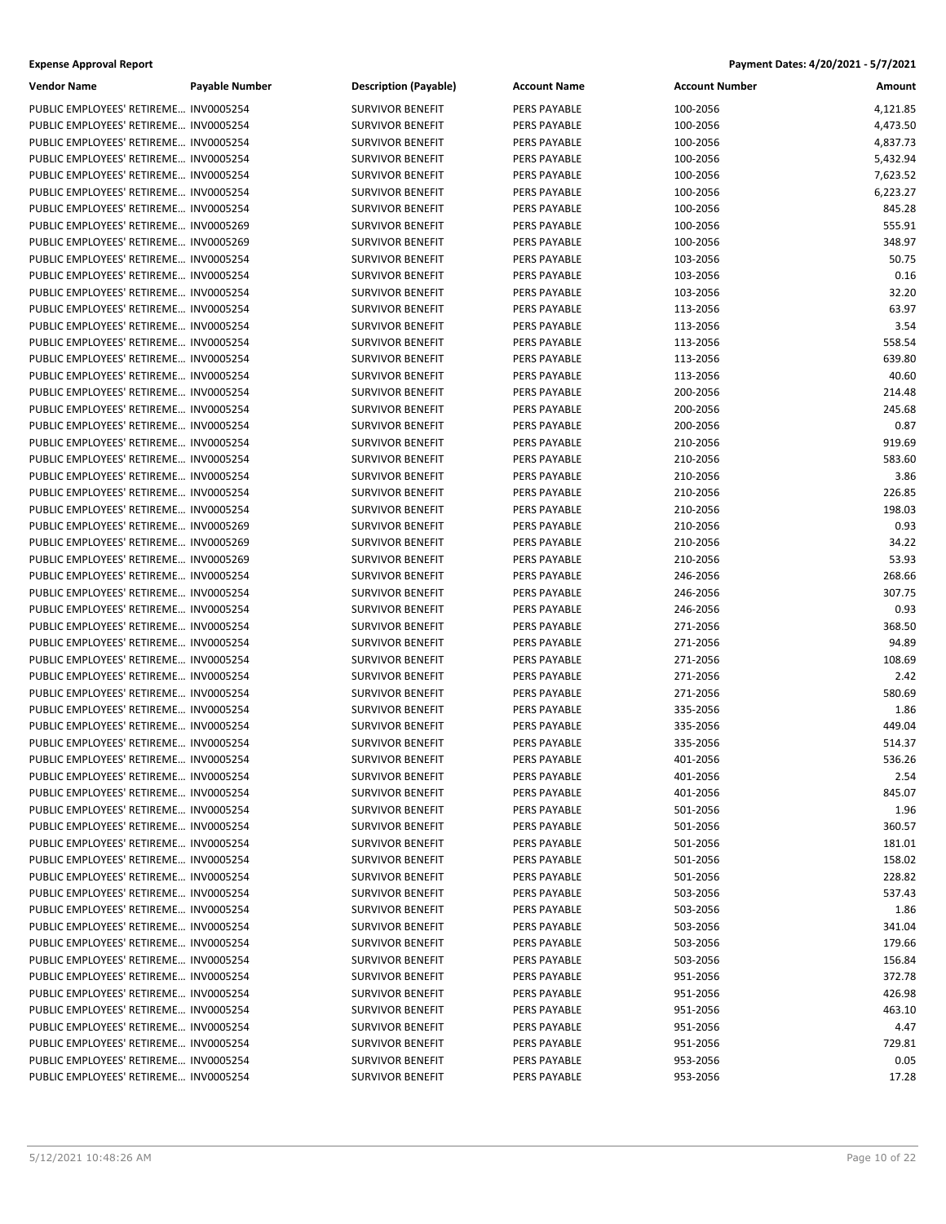| <b>Expense Approval Report</b> | Payment Dates: 4/20/2021 - 5/7/2021 |
|--------------------------------|-------------------------------------|
|--------------------------------|-------------------------------------|

| Vendor Name                           | Payable Number | <b>Description (Payable)</b> | <b>Account Name</b> | <b>Account Number</b> | Amount   |
|---------------------------------------|----------------|------------------------------|---------------------|-----------------------|----------|
| PUBLIC EMPLOYEES' RETIREME INV0005254 |                | <b>SURVIVOR BENEFIT</b>      | PERS PAYABLE        | 100-2056              | 4,121.85 |
| PUBLIC EMPLOYEES' RETIREME INV0005254 |                | <b>SURVIVOR BENEFIT</b>      | PERS PAYABLE        | 100-2056              | 4,473.50 |
| PUBLIC EMPLOYEES' RETIREME INV0005254 |                | <b>SURVIVOR BENEFIT</b>      | PERS PAYABLE        | 100-2056              | 4,837.73 |
| PUBLIC EMPLOYEES' RETIREME INV0005254 |                | <b>SURVIVOR BENEFIT</b>      | PERS PAYABLE        | 100-2056              | 5,432.94 |
| PUBLIC EMPLOYEES' RETIREME INV0005254 |                | <b>SURVIVOR BENEFIT</b>      | PERS PAYABLE        | 100-2056              | 7,623.52 |
| PUBLIC EMPLOYEES' RETIREME INV0005254 |                | <b>SURVIVOR BENEFIT</b>      | PERS PAYABLE        | 100-2056              | 6,223.27 |
| PUBLIC EMPLOYEES' RETIREME INV0005254 |                | <b>SURVIVOR BENEFIT</b>      | PERS PAYABLE        | 100-2056              | 845.28   |
| PUBLIC EMPLOYEES' RETIREME INV0005269 |                | <b>SURVIVOR BENEFIT</b>      | PERS PAYABLE        | 100-2056              | 555.91   |
| PUBLIC EMPLOYEES' RETIREME INV0005269 |                | <b>SURVIVOR BENEFIT</b>      | PERS PAYABLE        | 100-2056              | 348.97   |
| PUBLIC EMPLOYEES' RETIREME INV0005254 |                | <b>SURVIVOR BENEFIT</b>      | PERS PAYABLE        | 103-2056              | 50.75    |
| PUBLIC EMPLOYEES' RETIREME INV0005254 |                | <b>SURVIVOR BENEFIT</b>      | PERS PAYABLE        | 103-2056              | 0.16     |
| PUBLIC EMPLOYEES' RETIREME INV0005254 |                | <b>SURVIVOR BENEFIT</b>      | PERS PAYABLE        | 103-2056              | 32.20    |
| PUBLIC EMPLOYEES' RETIREME INV0005254 |                | <b>SURVIVOR BENEFIT</b>      | PERS PAYABLE        | 113-2056              | 63.97    |
| PUBLIC EMPLOYEES' RETIREME INV0005254 |                | <b>SURVIVOR BENEFIT</b>      | PERS PAYABLE        | 113-2056              | 3.54     |
| PUBLIC EMPLOYEES' RETIREME INV0005254 |                | <b>SURVIVOR BENEFIT</b>      | PERS PAYABLE        | 113-2056              | 558.54   |
| PUBLIC EMPLOYEES' RETIREME INV0005254 |                | <b>SURVIVOR BENEFIT</b>      | PERS PAYABLE        | 113-2056              | 639.80   |
| PUBLIC EMPLOYEES' RETIREME INV0005254 |                | <b>SURVIVOR BENEFIT</b>      | PERS PAYABLE        | 113-2056              | 40.60    |
| PUBLIC EMPLOYEES' RETIREME INV0005254 |                |                              | PERS PAYABLE        | 200-2056              | 214.48   |
|                                       |                | <b>SURVIVOR BENEFIT</b>      |                     |                       |          |
| PUBLIC EMPLOYEES' RETIREME INV0005254 |                | <b>SURVIVOR BENEFIT</b>      | PERS PAYABLE        | 200-2056              | 245.68   |
| PUBLIC EMPLOYEES' RETIREME INV0005254 |                | <b>SURVIVOR BENEFIT</b>      | PERS PAYABLE        | 200-2056              | 0.87     |
| PUBLIC EMPLOYEES' RETIREME INV0005254 |                | <b>SURVIVOR BENEFIT</b>      | PERS PAYABLE        | 210-2056              | 919.69   |
| PUBLIC EMPLOYEES' RETIREME INV0005254 |                | <b>SURVIVOR BENEFIT</b>      | PERS PAYABLE        | 210-2056              | 583.60   |
| PUBLIC EMPLOYEES' RETIREME INV0005254 |                | <b>SURVIVOR BENEFIT</b>      | PERS PAYABLE        | 210-2056              | 3.86     |
| PUBLIC EMPLOYEES' RETIREME INV0005254 |                | <b>SURVIVOR BENEFIT</b>      | PERS PAYABLE        | 210-2056              | 226.85   |
| PUBLIC EMPLOYEES' RETIREME INV0005254 |                | <b>SURVIVOR BENEFIT</b>      | PERS PAYABLE        | 210-2056              | 198.03   |
| PUBLIC EMPLOYEES' RETIREME INV0005269 |                | <b>SURVIVOR BENEFIT</b>      | PERS PAYABLE        | 210-2056              | 0.93     |
| PUBLIC EMPLOYEES' RETIREME INV0005269 |                | <b>SURVIVOR BENEFIT</b>      | PERS PAYABLE        | 210-2056              | 34.22    |
| PUBLIC EMPLOYEES' RETIREME INV0005269 |                | <b>SURVIVOR BENEFIT</b>      | PERS PAYABLE        | 210-2056              | 53.93    |
| PUBLIC EMPLOYEES' RETIREME INV0005254 |                | <b>SURVIVOR BENEFIT</b>      | PERS PAYABLE        | 246-2056              | 268.66   |
| PUBLIC EMPLOYEES' RETIREME INV0005254 |                | <b>SURVIVOR BENEFIT</b>      | PERS PAYABLE        | 246-2056              | 307.75   |
| PUBLIC EMPLOYEES' RETIREME INV0005254 |                | <b>SURVIVOR BENEFIT</b>      | PERS PAYABLE        | 246-2056              | 0.93     |
| PUBLIC EMPLOYEES' RETIREME INV0005254 |                | <b>SURVIVOR BENEFIT</b>      | PERS PAYABLE        | 271-2056              | 368.50   |
| PUBLIC EMPLOYEES' RETIREME INV0005254 |                | <b>SURVIVOR BENEFIT</b>      | PERS PAYABLE        | 271-2056              | 94.89    |
| PUBLIC EMPLOYEES' RETIREME INV0005254 |                | <b>SURVIVOR BENEFIT</b>      | PERS PAYABLE        | 271-2056              | 108.69   |
| PUBLIC EMPLOYEES' RETIREME INV0005254 |                | SURVIVOR BENEFIT             | PERS PAYABLE        | 271-2056              | 2.42     |
| PUBLIC EMPLOYEES' RETIREME INV0005254 |                | <b>SURVIVOR BENEFIT</b>      | PERS PAYABLE        | 271-2056              | 580.69   |
| PUBLIC EMPLOYEES' RETIREME INV0005254 |                | <b>SURVIVOR BENEFIT</b>      | PERS PAYABLE        | 335-2056              | 1.86     |
| PUBLIC EMPLOYEES' RETIREME INV0005254 |                | <b>SURVIVOR BENEFIT</b>      | PERS PAYABLE        | 335-2056              | 449.04   |
| PUBLIC EMPLOYEES' RETIREME INV0005254 |                | <b>SURVIVOR BENEFIT</b>      | PERS PAYABLE        | 335-2056              | 514.37   |
| PUBLIC EMPLOYEES' RETIREME INV0005254 |                | <b>SURVIVOR BENEFIT</b>      | PERS PAYABLE        | 401-2056              | 536.26   |
| PUBLIC EMPLOYEES' RETIREME INV0005254 |                | <b>SURVIVOR BENEFIT</b>      | PERS PAYABLE        | 401-2056              | 2.54     |
| PUBLIC EMPLOYEES' RETIREME INV0005254 |                | <b>SURVIVOR BENEFIT</b>      | PERS PAYABLE        | 401-2056              | 845.07   |
| PUBLIC EMPLOYEES' RETIREME INV0005254 |                | <b>SURVIVOR BENEFIT</b>      | PERS PAYABLE        | 501-2056              | 1.96     |
| PUBLIC EMPLOYEES' RETIREME INV0005254 |                | <b>SURVIVOR BENEFIT</b>      | PERS PAYABLE        | 501-2056              | 360.57   |
| PUBLIC EMPLOYEES' RETIREME INV0005254 |                | <b>SURVIVOR BENEFIT</b>      | PERS PAYABLE        | 501-2056              | 181.01   |
| PUBLIC EMPLOYEES' RETIREME INV0005254 |                | <b>SURVIVOR BENEFIT</b>      | PERS PAYABLE        | 501-2056              | 158.02   |
| PUBLIC EMPLOYEES' RETIREME INV0005254 |                | <b>SURVIVOR BENEFIT</b>      | PERS PAYABLE        | 501-2056              | 228.82   |
| PUBLIC EMPLOYEES' RETIREME INV0005254 |                | <b>SURVIVOR BENEFIT</b>      | PERS PAYABLE        | 503-2056              | 537.43   |
| PUBLIC EMPLOYEES' RETIREME INV0005254 |                | <b>SURVIVOR BENEFIT</b>      | PERS PAYABLE        | 503-2056              | 1.86     |
| PUBLIC EMPLOYEES' RETIREME INV0005254 |                | <b>SURVIVOR BENEFIT</b>      | PERS PAYABLE        | 503-2056              | 341.04   |
| PUBLIC EMPLOYEES' RETIREME INV0005254 |                | <b>SURVIVOR BENEFIT</b>      | PERS PAYABLE        | 503-2056              | 179.66   |
| PUBLIC EMPLOYEES' RETIREME INV0005254 |                | <b>SURVIVOR BENEFIT</b>      | PERS PAYABLE        | 503-2056              | 156.84   |
| PUBLIC EMPLOYEES' RETIREME INV0005254 |                | <b>SURVIVOR BENEFIT</b>      | PERS PAYABLE        | 951-2056              | 372.78   |
| PUBLIC EMPLOYEES' RETIREME INV0005254 |                | <b>SURVIVOR BENEFIT</b>      | PERS PAYABLE        | 951-2056              | 426.98   |
| PUBLIC EMPLOYEES' RETIREME INV0005254 |                | <b>SURVIVOR BENEFIT</b>      | PERS PAYABLE        | 951-2056              | 463.10   |
| PUBLIC EMPLOYEES' RETIREME INV0005254 |                | <b>SURVIVOR BENEFIT</b>      | PERS PAYABLE        | 951-2056              | 4.47     |
| PUBLIC EMPLOYEES' RETIREME INV0005254 |                | <b>SURVIVOR BENEFIT</b>      | PERS PAYABLE        | 951-2056              | 729.81   |
| PUBLIC EMPLOYEES' RETIREME INV0005254 |                | <b>SURVIVOR BENEFIT</b>      | PERS PAYABLE        | 953-2056              | 0.05     |
| PUBLIC EMPLOYEES' RETIREME INV0005254 |                | <b>SURVIVOR BENEFIT</b>      | PERS PAYABLE        | 953-2056              | 17.28    |
|                                       |                |                              |                     |                       |          |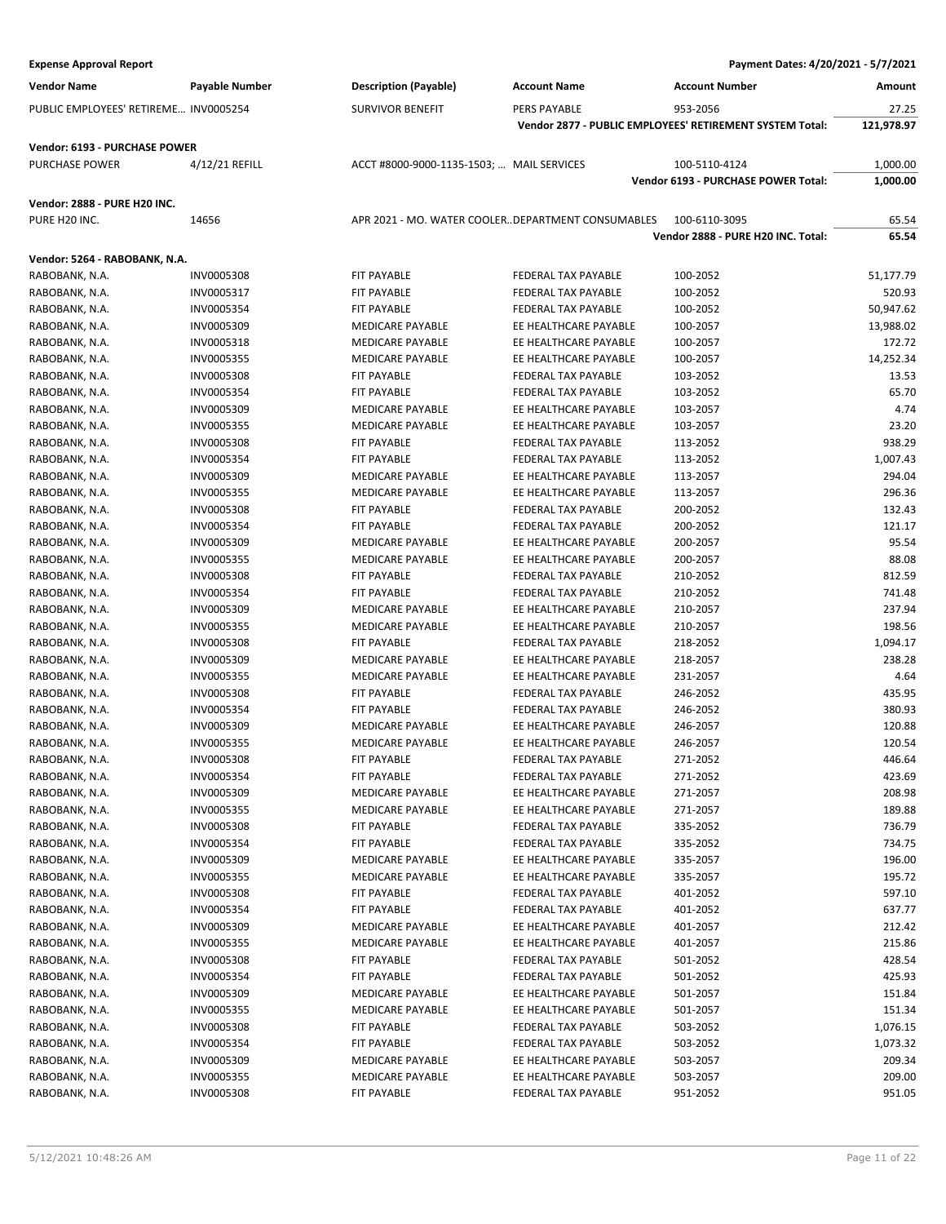| <b>Vendor Name</b>                    | <b>Payable Number</b> | <b>Description (Payable)</b>                      | <b>Account Name</b>        | <b>Account Number</b>                                    | Amount     |
|---------------------------------------|-----------------------|---------------------------------------------------|----------------------------|----------------------------------------------------------|------------|
| PUBLIC EMPLOYEES' RETIREME INV0005254 |                       | <b>SURVIVOR BENEFIT</b>                           | PERS PAYABLE               | 953-2056                                                 | 27.25      |
|                                       |                       |                                                   |                            | Vendor 2877 - PUBLIC EMPLOYEES' RETIREMENT SYSTEM Total: | 121,978.97 |
| Vendor: 6193 - PURCHASE POWER         |                       |                                                   |                            |                                                          |            |
| <b>PURCHASE POWER</b>                 | 4/12/21 REFILL        | ACCT #8000-9000-1135-1503;  MAIL SERVICES         |                            | 100-5110-4124                                            | 1,000.00   |
|                                       |                       |                                                   |                            | Vendor 6193 - PURCHASE POWER Total:                      | 1,000.00   |
|                                       |                       |                                                   |                            |                                                          |            |
| Vendor: 2888 - PURE H20 INC.          |                       |                                                   |                            |                                                          |            |
| PURE H20 INC.                         | 14656                 | APR 2021 - MO. WATER COOLERDEPARTMENT CONSUMABLES |                            | 100-6110-3095                                            | 65.54      |
|                                       |                       |                                                   |                            | Vendor 2888 - PURE H20 INC. Total:                       | 65.54      |
| Vendor: 5264 - RABOBANK, N.A.         |                       |                                                   |                            |                                                          |            |
| RABOBANK, N.A.                        | <b>INV0005308</b>     | FIT PAYABLE                                       | FEDERAL TAX PAYABLE        | 100-2052                                                 | 51,177.79  |
| RABOBANK, N.A.                        | INV0005317            | <b>FIT PAYABLE</b>                                | FEDERAL TAX PAYABLE        | 100-2052                                                 | 520.93     |
| RABOBANK, N.A.                        | INV0005354            | FIT PAYABLE                                       | FEDERAL TAX PAYABLE        | 100-2052                                                 | 50,947.62  |
| RABOBANK, N.A.                        | INV0005309            | <b>MEDICARE PAYABLE</b>                           | EE HEALTHCARE PAYABLE      | 100-2057                                                 | 13,988.02  |
| RABOBANK, N.A.                        | INV0005318            | <b>MEDICARE PAYABLE</b>                           | EE HEALTHCARE PAYABLE      | 100-2057                                                 | 172.72     |
| RABOBANK, N.A.                        | INV0005355            | <b>MEDICARE PAYABLE</b>                           | EE HEALTHCARE PAYABLE      | 100-2057                                                 | 14,252.34  |
| RABOBANK, N.A.                        | <b>INV0005308</b>     | FIT PAYABLE                                       | FEDERAL TAX PAYABLE        | 103-2052                                                 | 13.53      |
| RABOBANK, N.A.                        | INV0005354            | FIT PAYABLE                                       | <b>FEDERAL TAX PAYABLE</b> | 103-2052                                                 | 65.70      |
| RABOBANK, N.A.                        | INV0005309            | <b>MEDICARE PAYABLE</b>                           | EE HEALTHCARE PAYABLE      | 103-2057                                                 | 4.74       |
| RABOBANK, N.A.                        | INV0005355            | <b>MEDICARE PAYABLE</b>                           | EE HEALTHCARE PAYABLE      | 103-2057                                                 | 23.20      |
| RABOBANK, N.A.                        | <b>INV0005308</b>     | FIT PAYABLE                                       | <b>FEDERAL TAX PAYABLE</b> | 113-2052                                                 | 938.29     |
| RABOBANK, N.A.                        | INV0005354            | FIT PAYABLE                                       | FEDERAL TAX PAYABLE        | 113-2052                                                 | 1,007.43   |
| RABOBANK, N.A.                        | INV0005309            | <b>MEDICARE PAYABLE</b>                           | EE HEALTHCARE PAYABLE      | 113-2057                                                 | 294.04     |
| RABOBANK, N.A.                        | INV0005355            | <b>MEDICARE PAYABLE</b>                           | EE HEALTHCARE PAYABLE      | 113-2057                                                 | 296.36     |
| RABOBANK, N.A.                        | INV0005308            | FIT PAYABLE                                       | FEDERAL TAX PAYABLE        | 200-2052                                                 | 132.43     |
| RABOBANK, N.A.                        | INV0005354            | FIT PAYABLE                                       | FEDERAL TAX PAYABLE        | 200-2052                                                 | 121.17     |
| RABOBANK, N.A.                        | INV0005309            | <b>MEDICARE PAYABLE</b>                           | EE HEALTHCARE PAYABLE      | 200-2057                                                 | 95.54      |
| RABOBANK, N.A.                        | INV0005355            | <b>MEDICARE PAYABLE</b>                           | EE HEALTHCARE PAYABLE      | 200-2057                                                 | 88.08      |
| RABOBANK, N.A.                        | INV0005308            | FIT PAYABLE                                       | FEDERAL TAX PAYABLE        | 210-2052                                                 | 812.59     |
| RABOBANK, N.A.                        | INV0005354            | FIT PAYABLE                                       | FEDERAL TAX PAYABLE        | 210-2052                                                 | 741.48     |
| RABOBANK, N.A.                        | INV0005309            | <b>MEDICARE PAYABLE</b>                           | EE HEALTHCARE PAYABLE      | 210-2057                                                 | 237.94     |
| RABOBANK, N.A.                        | INV0005355            | MEDICARE PAYABLE                                  | EE HEALTHCARE PAYABLE      | 210-2057                                                 | 198.56     |
| RABOBANK, N.A.                        | INV0005308            | FIT PAYABLE                                       | FEDERAL TAX PAYABLE        | 218-2052                                                 | 1,094.17   |
| RABOBANK, N.A.                        | INV0005309            | <b>MEDICARE PAYABLE</b>                           | EE HEALTHCARE PAYABLE      | 218-2057                                                 | 238.28     |
| RABOBANK, N.A.                        | INV0005355            | <b>MEDICARE PAYABLE</b>                           | EE HEALTHCARE PAYABLE      | 231-2057                                                 | 4.64       |
| RABOBANK, N.A.                        | <b>INV0005308</b>     | FIT PAYABLE                                       | <b>FEDERAL TAX PAYABLE</b> | 246-2052                                                 | 435.95     |
| RABOBANK, N.A.                        | INV0005354            | FIT PAYABLE                                       | FEDERAL TAX PAYABLE        | 246-2052                                                 | 380.93     |
| RABOBANK, N.A.                        | INV0005309            | <b>MEDICARE PAYABLE</b>                           | EE HEALTHCARE PAYABLE      | 246-2057                                                 | 120.88     |
| RABOBANK, N.A.                        | INV0005355            | <b>MEDICARE PAYABLE</b>                           | EE HEALTHCARE PAYABLE      | 246-2057                                                 | 120.54     |
| RABOBANK, N.A.                        | INV0005308            | FIT PAYABLE                                       | <b>FEDERAL TAX PAYABLE</b> | 271-2052                                                 | 446.64     |
| RABOBANK, N.A.                        | INV0005354            | FIT PAYABLE                                       | FEDERAL TAX PAYABLE        | 271-2052                                                 | 423.69     |
| RABOBANK, N.A.                        | INV0005309            | MEDICARE PAYABLE                                  | EE HEALTHCARE PAYABLE      | 271-2057                                                 | 208.98     |
| RABOBANK, N.A.                        | INV0005355            | <b>MEDICARE PAYABLE</b>                           | EE HEALTHCARE PAYABLE      | 271-2057                                                 | 189.88     |
| RABOBANK, N.A.                        | <b>INV0005308</b>     | FIT PAYABLE                                       | FEDERAL TAX PAYABLE        | 335-2052                                                 | 736.79     |
| RABOBANK, N.A.                        | INV0005354            | FIT PAYABLE                                       | FEDERAL TAX PAYABLE        | 335-2052                                                 | 734.75     |
| RABOBANK, N.A.                        | INV0005309            | MEDICARE PAYABLE                                  | EE HEALTHCARE PAYABLE      | 335-2057                                                 | 196.00     |
| RABOBANK, N.A.                        | INV0005355            | MEDICARE PAYABLE                                  | EE HEALTHCARE PAYABLE      | 335-2057                                                 | 195.72     |
| RABOBANK, N.A.                        | <b>INV0005308</b>     | FIT PAYABLE                                       | FEDERAL TAX PAYABLE        | 401-2052                                                 | 597.10     |
| RABOBANK, N.A.                        | INV0005354            | FIT PAYABLE                                       | FEDERAL TAX PAYABLE        | 401-2052                                                 | 637.77     |
| RABOBANK, N.A.                        | INV0005309            | MEDICARE PAYABLE                                  | EE HEALTHCARE PAYABLE      | 401-2057                                                 | 212.42     |
| RABOBANK, N.A.                        | INV0005355            | MEDICARE PAYABLE                                  | EE HEALTHCARE PAYABLE      | 401-2057                                                 | 215.86     |
| RABOBANK, N.A.                        | INV0005308            | FIT PAYABLE                                       | FEDERAL TAX PAYABLE        | 501-2052                                                 | 428.54     |
| RABOBANK, N.A.                        | INV0005354            | FIT PAYABLE                                       | FEDERAL TAX PAYABLE        | 501-2052                                                 | 425.93     |
| RABOBANK, N.A.                        | INV0005309            | MEDICARE PAYABLE                                  | EE HEALTHCARE PAYABLE      | 501-2057                                                 | 151.84     |
| RABOBANK, N.A.                        | INV0005355            | MEDICARE PAYABLE                                  | EE HEALTHCARE PAYABLE      | 501-2057                                                 | 151.34     |
| RABOBANK, N.A.                        | INV0005308            | FIT PAYABLE                                       | FEDERAL TAX PAYABLE        | 503-2052                                                 | 1,076.15   |
| RABOBANK, N.A.                        | INV0005354            | FIT PAYABLE                                       | FEDERAL TAX PAYABLE        | 503-2052                                                 | 1,073.32   |
| RABOBANK, N.A.                        | INV0005309            | MEDICARE PAYABLE                                  | EE HEALTHCARE PAYABLE      | 503-2057                                                 | 209.34     |
| RABOBANK, N.A.                        | INV0005355            | MEDICARE PAYABLE                                  | EE HEALTHCARE PAYABLE      | 503-2057                                                 | 209.00     |
| RABOBANK, N.A.                        | INV0005308            | FIT PAYABLE                                       | FEDERAL TAX PAYABLE        | 951-2052                                                 | 951.05     |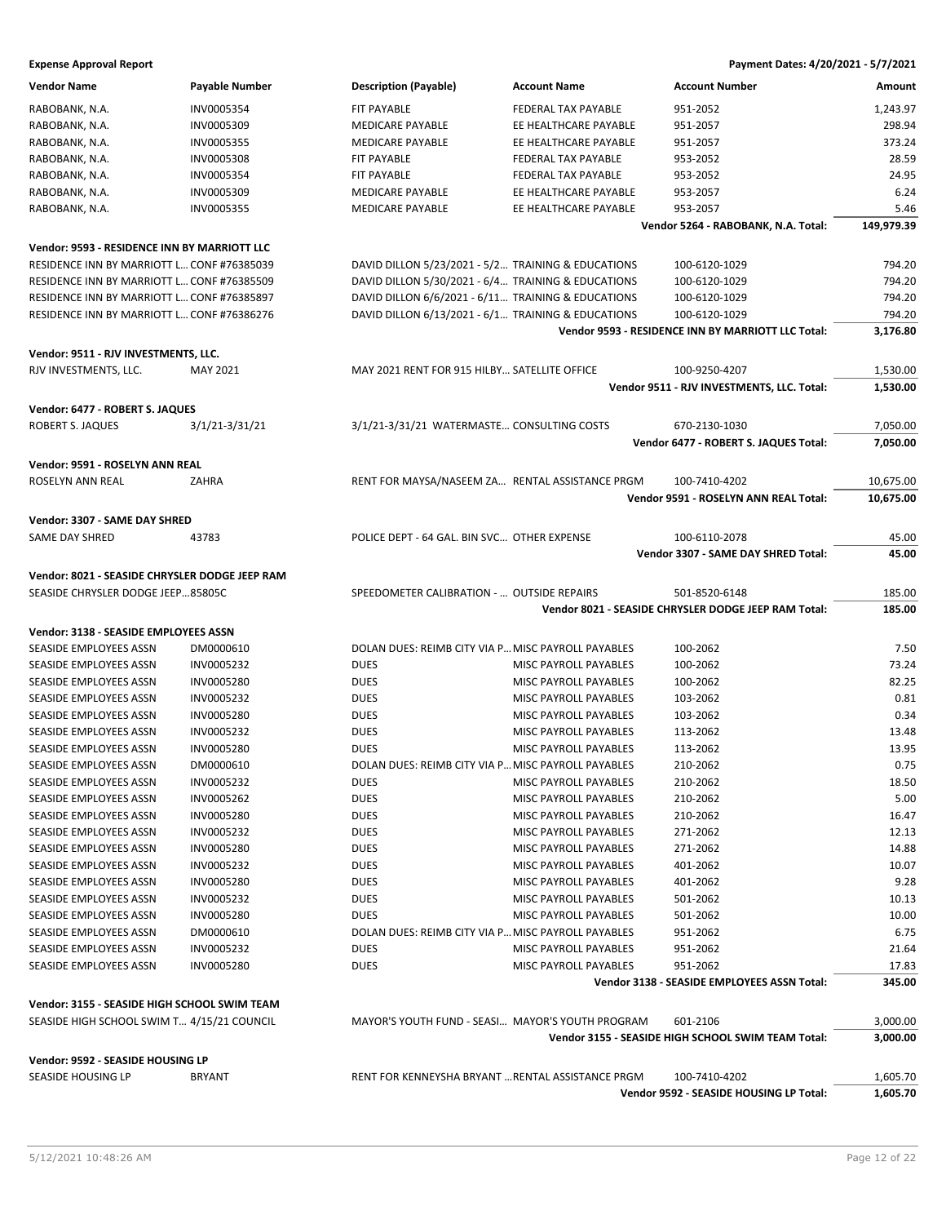| <b>Vendor Name</b>                             | <b>Payable Number</b>                      | <b>Description (Payable)</b>                 | <b>Account Name</b>                                | <b>Account Number</b>                                | Amount               |
|------------------------------------------------|--------------------------------------------|----------------------------------------------|----------------------------------------------------|------------------------------------------------------|----------------------|
| RABOBANK, N.A.                                 | INV0005354                                 | <b>FIT PAYABLE</b>                           | FEDERAL TAX PAYABLE                                | 951-2052                                             | 1,243.97             |
| RABOBANK, N.A.                                 | INV0005309                                 | <b>MEDICARE PAYABLE</b>                      | EE HEALTHCARE PAYABLE                              | 951-2057                                             | 298.94               |
| RABOBANK, N.A.                                 | INV0005355                                 | <b>MEDICARE PAYABLE</b>                      | EE HEALTHCARE PAYABLE                              | 951-2057                                             | 373.24               |
| RABOBANK, N.A.                                 | INV0005308                                 | FIT PAYABLE                                  | <b>FEDERAL TAX PAYABLE</b>                         | 953-2052                                             | 28.59                |
| RABOBANK, N.A.                                 | INV0005354                                 | FIT PAYABLE                                  | FEDERAL TAX PAYABLE                                | 953-2052                                             | 24.95                |
| RABOBANK, N.A.                                 | INV0005309                                 | MEDICARE PAYABLE                             | EE HEALTHCARE PAYABLE                              | 953-2057                                             | 6.24                 |
| RABOBANK, N.A.                                 | INV0005355                                 | MEDICARE PAYABLE                             | EE HEALTHCARE PAYABLE                              | 953-2057                                             | 5.46                 |
|                                                |                                            |                                              |                                                    | Vendor 5264 - RABOBANK, N.A. Total:                  | 149,979.39           |
|                                                |                                            |                                              |                                                    |                                                      |                      |
| Vendor: 9593 - RESIDENCE INN BY MARRIOTT LLC   |                                            |                                              |                                                    |                                                      |                      |
| RESIDENCE INN BY MARRIOTT L CONF #76385039     |                                            |                                              | DAVID DILLON 5/23/2021 - 5/2 TRAINING & EDUCATIONS | 100-6120-1029                                        | 794.20               |
| RESIDENCE INN BY MARRIOTT L CONF #76385509     |                                            |                                              | DAVID DILLON 5/30/2021 - 6/4 TRAINING & EDUCATIONS | 100-6120-1029                                        | 794.20               |
| RESIDENCE INN BY MARRIOTT L CONF #76385897     |                                            |                                              | DAVID DILLON 6/6/2021 - 6/11 TRAINING & EDUCATIONS | 100-6120-1029                                        | 794.20               |
| RESIDENCE INN BY MARRIOTT L CONF #76386276     |                                            |                                              | DAVID DILLON 6/13/2021 - 6/1 TRAINING & EDUCATIONS | 100-6120-1029                                        | 794.20               |
|                                                |                                            |                                              |                                                    | Vendor 9593 - RESIDENCE INN BY MARRIOTT LLC Total:   | 3,176.80             |
| Vendor: 9511 - RJV INVESTMENTS, LLC.           |                                            |                                              |                                                    |                                                      |                      |
|                                                |                                            |                                              |                                                    |                                                      |                      |
| RJV INVESTMENTS, LLC.                          | <b>MAY 2021</b>                            | MAY 2021 RENT FOR 915 HILBY SATELLITE OFFICE |                                                    | 100-9250-4207                                        | 1,530.00             |
|                                                |                                            |                                              |                                                    | Vendor 9511 - RJV INVESTMENTS, LLC. Total:           | 1,530.00             |
| Vendor: 6477 - ROBERT S. JAQUES                |                                            |                                              |                                                    |                                                      |                      |
| ROBERT S. JAQUES                               | 3/1/21-3/31/21                             | 3/1/21-3/31/21 WATERMASTE CONSULTING COSTS   |                                                    | 670-2130-1030                                        | 7,050.00             |
|                                                |                                            |                                              |                                                    | Vendor 6477 - ROBERT S. JAQUES Total:                | 7,050.00             |
| Vendor: 9591 - ROSELYN ANN REAL                |                                            |                                              |                                                    |                                                      |                      |
| ROSELYN ANN REAL                               |                                            |                                              |                                                    |                                                      |                      |
|                                                | ZAHRA                                      |                                              | RENT FOR MAYSA/NASEEM ZA RENTAL ASSISTANCE PRGM    | 100-7410-4202                                        | 10,675.00            |
|                                                |                                            |                                              |                                                    | Vendor 9591 - ROSELYN ANN REAL Total:                | 10,675.00            |
| Vendor: 3307 - SAME DAY SHRED                  |                                            |                                              |                                                    |                                                      |                      |
| SAME DAY SHRED                                 | 43783                                      | POLICE DEPT - 64 GAL. BIN SVC OTHER EXPENSE  |                                                    | 100-6110-2078                                        | 45.00                |
|                                                |                                            |                                              |                                                    | Vendor 3307 - SAME DAY SHRED Total:                  | 45.00                |
| Vendor: 8021 - SEASIDE CHRYSLER DODGE JEEP RAM |                                            |                                              |                                                    |                                                      |                      |
| SEASIDE CHRYSLER DODGE JEEP85805C              |                                            | SPEEDOMETER CALIBRATION -  OUTSIDE REPAIRS   |                                                    | 501-8520-6148                                        | 185.00               |
|                                                |                                            |                                              |                                                    | Vendor 8021 - SEASIDE CHRYSLER DODGE JEEP RAM Total: | 185.00               |
|                                                |                                            |                                              |                                                    |                                                      |                      |
| Vendor: 3138 - SEASIDE EMPLOYEES ASSN          |                                            |                                              |                                                    |                                                      |                      |
| SEASIDE EMPLOYEES ASSN                         | DM0000610                                  |                                              | DOLAN DUES: REIMB CITY VIA P MISC PAYROLL PAYABLES | 100-2062                                             | 7.50                 |
| SEASIDE EMPLOYEES ASSN                         | INV0005232                                 | <b>DUES</b>                                  | MISC PAYROLL PAYABLES                              | 100-2062                                             | 73.24                |
| SEASIDE EMPLOYEES ASSN                         | INV0005280                                 | <b>DUES</b>                                  | MISC PAYROLL PAYABLES                              | 100-2062                                             | 82.25                |
| SEASIDE EMPLOYEES ASSN                         | INV0005232                                 | <b>DUES</b>                                  | MISC PAYROLL PAYABLES                              | 103-2062                                             | 0.81                 |
| SEASIDE EMPLOYEES ASSN                         | INV0005280                                 | <b>DUES</b>                                  | <b>MISC PAYROLL PAYABLES</b>                       | 103-2062                                             | 0.34                 |
| SEASIDE EMPLOYEES ASSN                         | INV0005232                                 | <b>DUES</b>                                  | <b>MISC PAYROLL PAYABLES</b>                       | 113-2062                                             | 13.48                |
| SEASIDE EMPLOYEES ASSN                         | INV0005280                                 | <b>DUES</b>                                  | MISC PAYROLL PAYABLES                              | 113-2062                                             | 13.95                |
| SEASIDE EMPLOYEES ASSN                         | DM0000610                                  |                                              | DOLAN DUES: REIMB CITY VIA P MISC PAYROLL PAYABLES | 210-2062                                             | 0.75                 |
| SEASIDE EMPLOYEES ASSN                         | INV0005232                                 | <b>DUES</b>                                  | MISC PAYROLL PAYABLES                              | 210-2062                                             | 18.50                |
| SEASIDE EMPLOYEES ASSN                         | INV0005262                                 | <b>DUES</b>                                  | MISC PAYROLL PAYABLES                              | 210-2062                                             | 5.00                 |
| SEASIDE EMPLOYEES ASSN                         | INV0005280                                 | <b>DUES</b>                                  | <b>MISC PAYROLL PAYABLES</b>                       | 210-2062                                             | 16.47                |
| SEASIDE EMPLOYEES ASSN                         | INV0005232                                 | <b>DUES</b>                                  | MISC PAYROLL PAYABLES                              | 271-2062                                             | 12.13                |
| SEASIDE EMPLOYEES ASSN                         | INV0005280                                 | <b>DUES</b>                                  | MISC PAYROLL PAYABLES                              | 271-2062                                             | 14.88                |
| SEASIDE EMPLOYEES ASSN                         | INV0005232                                 | <b>DUES</b>                                  | MISC PAYROLL PAYABLES                              | 401-2062                                             | 10.07                |
| SEASIDE EMPLOYEES ASSN                         | INV0005280                                 | <b>DUES</b>                                  | <b>MISC PAYROLL PAYABLES</b>                       | 401-2062                                             | 9.28                 |
| SEASIDE EMPLOYEES ASSN                         | INV0005232                                 | <b>DUES</b>                                  | MISC PAYROLL PAYABLES                              | 501-2062                                             | 10.13                |
| SEASIDE EMPLOYEES ASSN                         | INV0005280                                 | <b>DUES</b>                                  | MISC PAYROLL PAYABLES                              | 501-2062                                             | 10.00                |
| SEASIDE EMPLOYEES ASSN                         | DM0000610                                  |                                              | DOLAN DUES: REIMB CITY VIA P MISC PAYROLL PAYABLES | 951-2062                                             | 6.75                 |
| SEASIDE EMPLOYEES ASSN                         | INV0005232                                 | <b>DUES</b>                                  | MISC PAYROLL PAYABLES                              | 951-2062                                             | 21.64                |
| SEASIDE EMPLOYEES ASSN                         | INV0005280                                 | <b>DUES</b>                                  | <b>MISC PAYROLL PAYABLES</b>                       | 951-2062                                             | 17.83                |
|                                                |                                            |                                              |                                                    | Vendor 3138 - SEASIDE EMPLOYEES ASSN Total:          | 345.00               |
|                                                |                                            |                                              |                                                    |                                                      |                      |
| Vendor: 3155 - SEASIDE HIGH SCHOOL SWIM TEAM   |                                            |                                              |                                                    |                                                      |                      |
|                                                |                                            |                                              |                                                    |                                                      |                      |
|                                                | SEASIDE HIGH SCHOOL SWIM T 4/15/21 COUNCIL |                                              | MAYOR'S YOUTH FUND - SEASI MAYOR'S YOUTH PROGRAM   | 601-2106                                             | 3,000.00             |
|                                                |                                            |                                              |                                                    | Vendor 3155 - SEASIDE HIGH SCHOOL SWIM TEAM Total:   | 3,000.00             |
| Vendor: 9592 - SEASIDE HOUSING LP              |                                            |                                              |                                                    |                                                      |                      |
| SEASIDE HOUSING LP                             | <b>BRYANT</b>                              |                                              | RENT FOR KENNEYSHA BRYANT  RENTAL ASSISTANCE PRGM  | 100-7410-4202                                        |                      |
|                                                |                                            |                                              |                                                    | Vendor 9592 - SEASIDE HOUSING LP Total:              | 1,605.70<br>1,605.70 |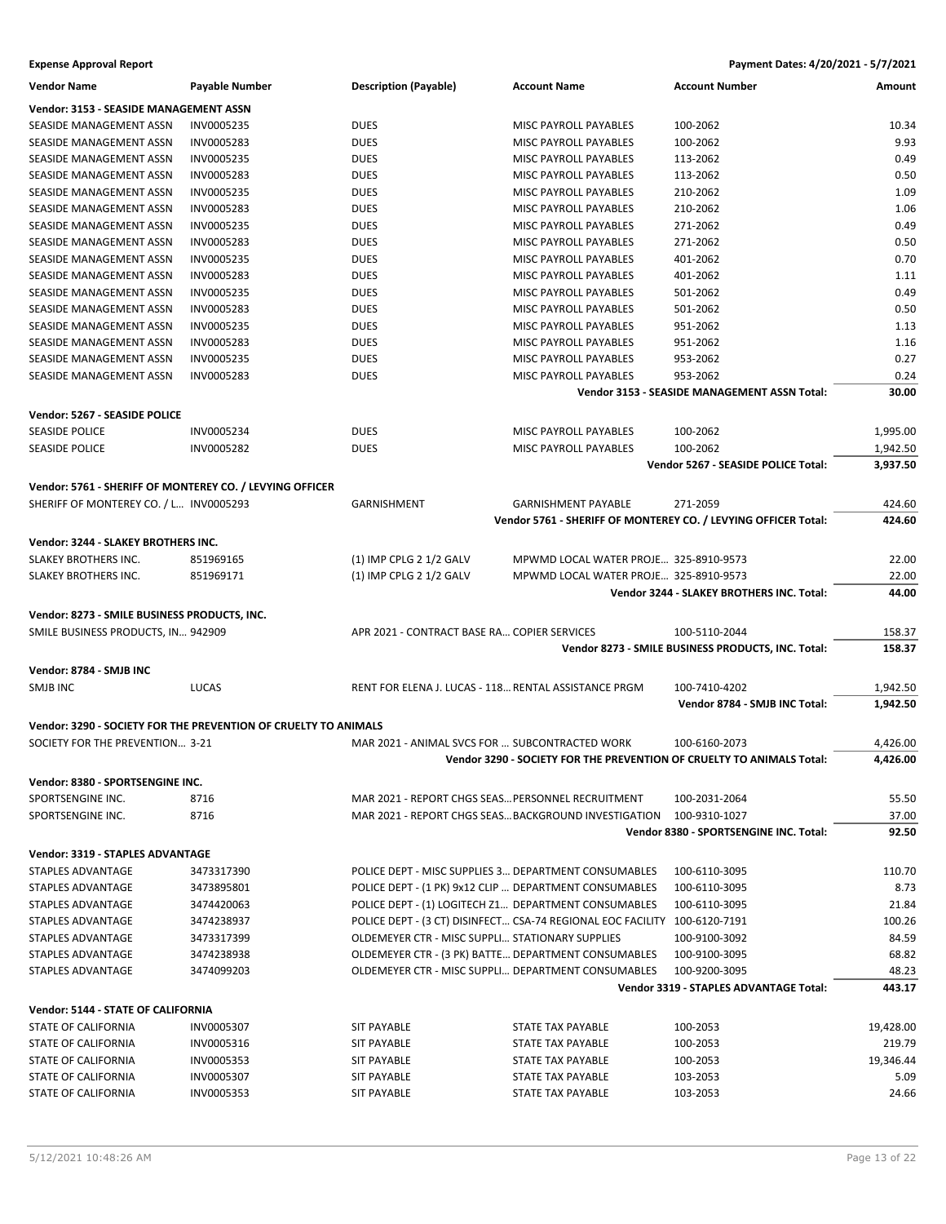| <b>Vendor Name</b>                                       | Payable Number                                                  | <b>Description (Payable)</b>                           | <b>Account Name</b>                                                       | <b>Account Number</b>                              | Amount    |
|----------------------------------------------------------|-----------------------------------------------------------------|--------------------------------------------------------|---------------------------------------------------------------------------|----------------------------------------------------|-----------|
| <b>Vendor: 3153 - SEASIDE MANAGEMENT ASSN</b>            |                                                                 |                                                        |                                                                           |                                                    |           |
| SEASIDE MANAGEMENT ASSN                                  | INV0005235                                                      | <b>DUES</b>                                            | MISC PAYROLL PAYABLES                                                     | 100-2062                                           | 10.34     |
| SEASIDE MANAGEMENT ASSN                                  | INV0005283                                                      | <b>DUES</b>                                            | MISC PAYROLL PAYABLES                                                     | 100-2062                                           | 9.93      |
| SEASIDE MANAGEMENT ASSN                                  | INV0005235                                                      | <b>DUES</b>                                            | MISC PAYROLL PAYABLES                                                     | 113-2062                                           | 0.49      |
| SEASIDE MANAGEMENT ASSN                                  | INV0005283                                                      | <b>DUES</b>                                            | MISC PAYROLL PAYABLES                                                     | 113-2062                                           | 0.50      |
| SEASIDE MANAGEMENT ASSN                                  | INV0005235                                                      | <b>DUES</b>                                            | MISC PAYROLL PAYABLES                                                     | 210-2062                                           | 1.09      |
| SEASIDE MANAGEMENT ASSN                                  | <b>INV0005283</b>                                               | <b>DUES</b>                                            | MISC PAYROLL PAYABLES                                                     | 210-2062                                           | 1.06      |
| SEASIDE MANAGEMENT ASSN                                  | INV0005235                                                      | <b>DUES</b>                                            | MISC PAYROLL PAYABLES                                                     | 271-2062                                           | 0.49      |
| SEASIDE MANAGEMENT ASSN                                  | INV0005283                                                      | <b>DUES</b>                                            | MISC PAYROLL PAYABLES                                                     | 271-2062                                           | 0.50      |
|                                                          |                                                                 |                                                        | <b>MISC PAYROLL PAYABLES</b>                                              |                                                    |           |
| SEASIDE MANAGEMENT ASSN                                  | INV0005235                                                      | <b>DUES</b>                                            |                                                                           | 401-2062                                           | 0.70      |
| SEASIDE MANAGEMENT ASSN                                  | INV0005283                                                      | <b>DUES</b>                                            | MISC PAYROLL PAYABLES                                                     | 401-2062                                           | 1.11      |
| SEASIDE MANAGEMENT ASSN                                  | INV0005235                                                      | <b>DUES</b>                                            | MISC PAYROLL PAYABLES                                                     | 501-2062                                           | 0.49      |
| SEASIDE MANAGEMENT ASSN                                  | INV0005283                                                      | <b>DUES</b>                                            | MISC PAYROLL PAYABLES                                                     | 501-2062                                           | 0.50      |
| SEASIDE MANAGEMENT ASSN                                  | INV0005235                                                      | <b>DUES</b>                                            | MISC PAYROLL PAYABLES                                                     | 951-2062                                           | 1.13      |
| SEASIDE MANAGEMENT ASSN                                  | INV0005283                                                      | <b>DUES</b>                                            | MISC PAYROLL PAYABLES                                                     | 951-2062                                           | 1.16      |
| SEASIDE MANAGEMENT ASSN                                  | INV0005235                                                      | <b>DUES</b>                                            | MISC PAYROLL PAYABLES                                                     | 953-2062                                           | 0.27      |
| SEASIDE MANAGEMENT ASSN                                  | <b>INV0005283</b>                                               | <b>DUES</b>                                            | MISC PAYROLL PAYABLES                                                     | 953-2062                                           | 0.24      |
|                                                          |                                                                 |                                                        |                                                                           | Vendor 3153 - SEASIDE MANAGEMENT ASSN Total:       | 30.00     |
| Vendor: 5267 - SEASIDE POLICE                            |                                                                 |                                                        |                                                                           |                                                    |           |
| <b>SEASIDE POLICE</b>                                    | INV0005234                                                      | <b>DUES</b>                                            | MISC PAYROLL PAYABLES                                                     | 100-2062                                           | 1,995.00  |
| <b>SEASIDE POLICE</b>                                    | INV0005282                                                      | <b>DUES</b>                                            | MISC PAYROLL PAYABLES                                                     | 100-2062                                           | 1,942.50  |
|                                                          |                                                                 |                                                        |                                                                           | Vendor 5267 - SEASIDE POLICE Total:                | 3,937.50  |
|                                                          |                                                                 |                                                        |                                                                           |                                                    |           |
| Vendor: 5761 - SHERIFF OF MONTEREY CO. / LEVYING OFFICER |                                                                 |                                                        |                                                                           |                                                    |           |
| SHERIFF OF MONTEREY CO. / L INV0005293                   |                                                                 | GARNISHMENT                                            | <b>GARNISHMENT PAYABLE</b>                                                | 271-2059                                           | 424.60    |
|                                                          |                                                                 |                                                        | Vendor 5761 - SHERIFF OF MONTEREY CO. / LEVYING OFFICER Total:            |                                                    | 424.60    |
| Vendor: 3244 - SLAKEY BROTHERS INC.                      |                                                                 |                                                        |                                                                           |                                                    |           |
| SLAKEY BROTHERS INC.                                     | 851969165                                                       | $(1)$ IMP CPLG 2 $1/2$ GALV                            | MPWMD LOCAL WATER PROJE 325-8910-9573                                     |                                                    | 22.00     |
| SLAKEY BROTHERS INC.                                     | 851969171                                                       | $(1)$ IMP CPLG 2 $1/2$ GALV                            | MPWMD LOCAL WATER PROJE 325-8910-9573                                     |                                                    | 22.00     |
|                                                          |                                                                 |                                                        |                                                                           | Vendor 3244 - SLAKEY BROTHERS INC. Total:          | 44.00     |
|                                                          |                                                                 |                                                        |                                                                           |                                                    |           |
| Vendor: 8273 - SMILE BUSINESS PRODUCTS, INC.             |                                                                 |                                                        |                                                                           |                                                    |           |
| SMILE BUSINESS PRODUCTS, IN 942909                       |                                                                 | APR 2021 - CONTRACT BASE RA COPIER SERVICES            |                                                                           | 100-5110-2044                                      | 158.37    |
|                                                          |                                                                 |                                                        |                                                                           | Vendor 8273 - SMILE BUSINESS PRODUCTS, INC. Total: | 158.37    |
| Vendor: 8784 - SMJB INC                                  |                                                                 |                                                        |                                                                           |                                                    |           |
| <b>SMJB INC</b>                                          | <b>LUCAS</b>                                                    | RENT FOR ELENA J. LUCAS - 118 RENTAL ASSISTANCE PRGM   |                                                                           | 100-7410-4202                                      | 1,942.50  |
|                                                          |                                                                 |                                                        |                                                                           | Vendor 8784 - SMJB INC Total:                      | 1,942.50  |
|                                                          | Vendor: 3290 - SOCIETY FOR THE PREVENTION OF CRUELTY TO ANIMALS |                                                        |                                                                           |                                                    |           |
| SOCIETY FOR THE PREVENTION 3-21                          |                                                                 | MAR 2021 - ANIMAL SVCS FOR  SUBCONTRACTED WORK         |                                                                           |                                                    |           |
|                                                          |                                                                 |                                                        |                                                                           | 100-6160-2073                                      | 4,426.00  |
|                                                          |                                                                 |                                                        | Vendor 3290 - SOCIETY FOR THE PREVENTION OF CRUELTY TO ANIMALS Total:     |                                                    | 4,426.00  |
| Vendor: 8380 - SPORTSENGINE INC.                         |                                                                 |                                                        |                                                                           |                                                    |           |
| SPORTSENGINE INC.                                        | 8716                                                            | MAR 2021 - REPORT CHGS SEAS PERSONNEL RECRUITMENT      |                                                                           | 100-2031-2064                                      | 55.50     |
| SPORTSENGINE INC.                                        | 8716                                                            | MAR 2021 - REPORT CHGS SEAS BACKGROUND INVESTIGATION   |                                                                           | 100-9310-1027                                      | 37.00     |
|                                                          |                                                                 |                                                        |                                                                           | Vendor 8380 - SPORTSENGINE INC. Total:             | 92.50     |
| Vendor: 3319 - STAPLES ADVANTAGE                         |                                                                 |                                                        |                                                                           |                                                    |           |
| <b>STAPLES ADVANTAGE</b>                                 | 3473317390                                                      | POLICE DEPT - MISC SUPPLIES 3 DEPARTMENT CONSUMABLES   |                                                                           | 100-6110-3095                                      | 110.70    |
| STAPLES ADVANTAGE                                        | 3473895801                                                      | POLICE DEPT - (1 PK) 9x12 CLIP  DEPARTMENT CONSUMABLES |                                                                           | 100-6110-3095                                      | 8.73      |
|                                                          |                                                                 |                                                        |                                                                           |                                                    |           |
| STAPLES ADVANTAGE                                        | 3474420063                                                      | POLICE DEPT - (1) LOGITECH Z1 DEPARTMENT CONSUMABLES   |                                                                           | 100-6110-3095                                      | 21.84     |
| STAPLES ADVANTAGE                                        | 3474238937                                                      |                                                        | POLICE DEPT - (3 CT) DISINFECT CSA-74 REGIONAL EOC FACILITY 100-6120-7191 |                                                    | 100.26    |
| STAPLES ADVANTAGE                                        | 3473317399                                                      | OLDEMEYER CTR - MISC SUPPLI STATIONARY SUPPLIES        |                                                                           | 100-9100-3092                                      | 84.59     |
| STAPLES ADVANTAGE                                        | 3474238938                                                      | OLDEMEYER CTR - (3 PK) BATTE DEPARTMENT CONSUMABLES    |                                                                           | 100-9100-3095                                      | 68.82     |
| STAPLES ADVANTAGE                                        | 3474099203                                                      | OLDEMEYER CTR - MISC SUPPLI DEPARTMENT CONSUMABLES     |                                                                           | 100-9200-3095                                      | 48.23     |
|                                                          |                                                                 |                                                        |                                                                           | Vendor 3319 - STAPLES ADVANTAGE Total:             | 443.17    |
| Vendor: 5144 - STATE OF CALIFORNIA                       |                                                                 |                                                        |                                                                           |                                                    |           |
| STATE OF CALIFORNIA                                      | INV0005307                                                      | <b>SIT PAYABLE</b>                                     | STATE TAX PAYABLE                                                         | 100-2053                                           | 19,428.00 |
| STATE OF CALIFORNIA                                      | INV0005316                                                      | <b>SIT PAYABLE</b>                                     | STATE TAX PAYABLE                                                         | 100-2053                                           | 219.79    |
| STATE OF CALIFORNIA                                      | INV0005353                                                      | <b>SIT PAYABLE</b>                                     | STATE TAX PAYABLE                                                         | 100-2053                                           | 19,346.44 |
| STATE OF CALIFORNIA                                      | <b>INV0005307</b>                                               | <b>SIT PAYABLE</b>                                     | <b>STATE TAX PAYABLE</b>                                                  | 103-2053                                           | 5.09      |
| STATE OF CALIFORNIA                                      | INV0005353                                                      | <b>SIT PAYABLE</b>                                     | STATE TAX PAYABLE                                                         | 103-2053                                           | 24.66     |
|                                                          |                                                                 |                                                        |                                                                           |                                                    |           |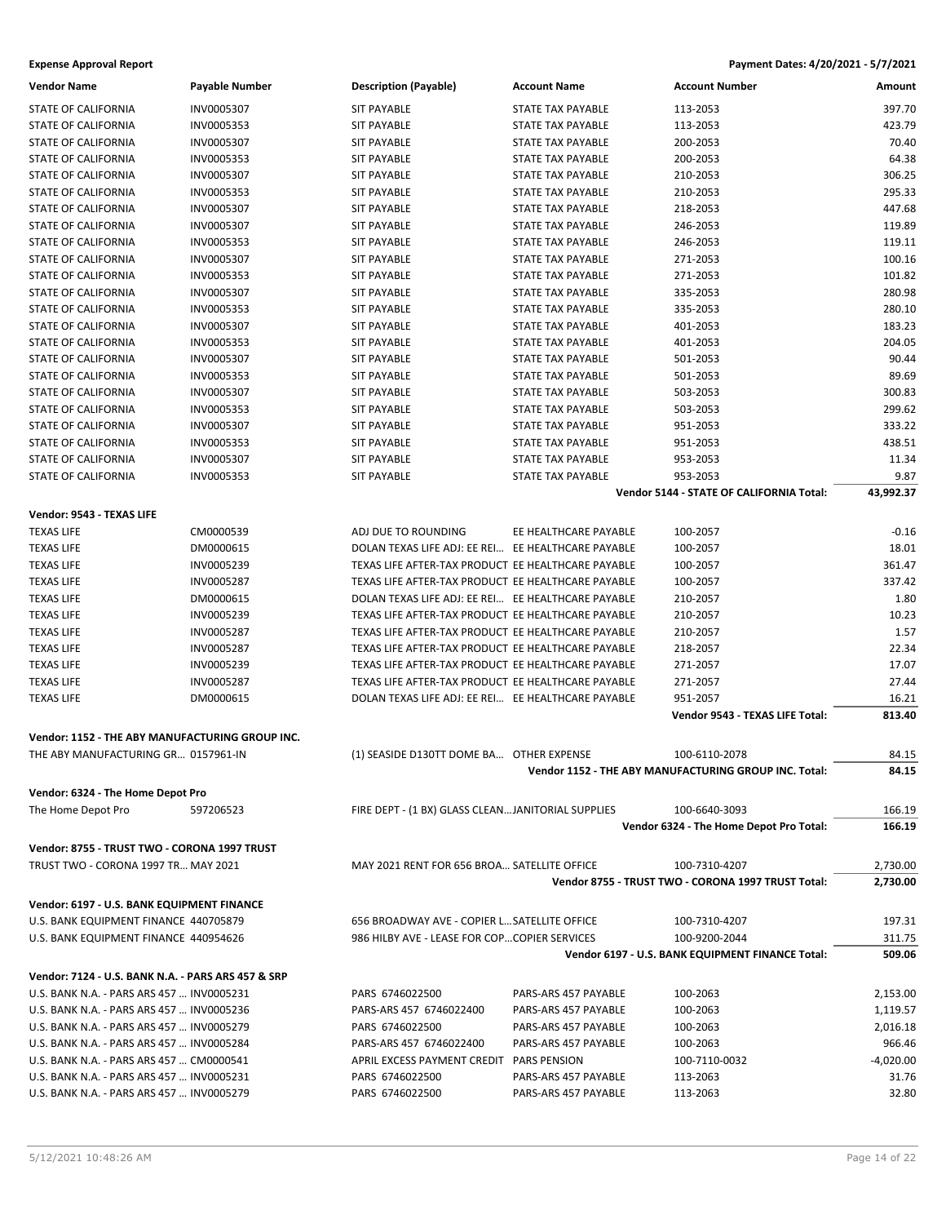| <b>Vendor Name</b>                                 | <b>Payable Number</b> | <b>Description (Payable)</b>                       | <b>Account Name</b>      | <b>Account Number</b>                                 | Amount      |
|----------------------------------------------------|-----------------------|----------------------------------------------------|--------------------------|-------------------------------------------------------|-------------|
| <b>STATE OF CALIFORNIA</b>                         | INV0005307            | <b>SIT PAYABLE</b>                                 | <b>STATE TAX PAYABLE</b> | 113-2053                                              | 397.70      |
| <b>STATE OF CALIFORNIA</b>                         | INV0005353            | <b>SIT PAYABLE</b>                                 | <b>STATE TAX PAYABLE</b> | 113-2053                                              | 423.79      |
| STATE OF CALIFORNIA                                | INV0005307            | <b>SIT PAYABLE</b>                                 | <b>STATE TAX PAYABLE</b> | 200-2053                                              | 70.40       |
| STATE OF CALIFORNIA                                | INV0005353            | <b>SIT PAYABLE</b>                                 | <b>STATE TAX PAYABLE</b> | 200-2053                                              | 64.38       |
| <b>STATE OF CALIFORNIA</b>                         | INV0005307            | <b>SIT PAYABLE</b>                                 | <b>STATE TAX PAYABLE</b> | 210-2053                                              | 306.25      |
| STATE OF CALIFORNIA                                | INV0005353            | <b>SIT PAYABLE</b>                                 | <b>STATE TAX PAYABLE</b> | 210-2053                                              | 295.33      |
| <b>STATE OF CALIFORNIA</b>                         | INV0005307            | <b>SIT PAYABLE</b>                                 | <b>STATE TAX PAYABLE</b> | 218-2053                                              | 447.68      |
| STATE OF CALIFORNIA                                | INV0005307            | <b>SIT PAYABLE</b>                                 | <b>STATE TAX PAYABLE</b> | 246-2053                                              | 119.89      |
| STATE OF CALIFORNIA                                | INV0005353            | <b>SIT PAYABLE</b>                                 | <b>STATE TAX PAYABLE</b> | 246-2053                                              | 119.11      |
| STATE OF CALIFORNIA                                | INV0005307            | <b>SIT PAYABLE</b>                                 | <b>STATE TAX PAYABLE</b> | 271-2053                                              | 100.16      |
| STATE OF CALIFORNIA                                | INV0005353            | <b>SIT PAYABLE</b>                                 | <b>STATE TAX PAYABLE</b> | 271-2053                                              | 101.82      |
| STATE OF CALIFORNIA                                | INV0005307            | <b>SIT PAYABLE</b>                                 | <b>STATE TAX PAYABLE</b> | 335-2053                                              | 280.98      |
| STATE OF CALIFORNIA                                | INV0005353            | <b>SIT PAYABLE</b>                                 | <b>STATE TAX PAYABLE</b> | 335-2053                                              | 280.10      |
| STATE OF CALIFORNIA                                | INV0005307            | <b>SIT PAYABLE</b>                                 | <b>STATE TAX PAYABLE</b> | 401-2053                                              | 183.23      |
| STATE OF CALIFORNIA                                | INV0005353            | <b>SIT PAYABLE</b>                                 | <b>STATE TAX PAYABLE</b> | 401-2053                                              | 204.05      |
| STATE OF CALIFORNIA                                | INV0005307            | <b>SIT PAYABLE</b>                                 | <b>STATE TAX PAYABLE</b> | 501-2053                                              | 90.44       |
| STATE OF CALIFORNIA                                | INV0005353            | <b>SIT PAYABLE</b>                                 | <b>STATE TAX PAYABLE</b> | 501-2053                                              | 89.69       |
| STATE OF CALIFORNIA                                | INV0005307            | <b>SIT PAYABLE</b>                                 | <b>STATE TAX PAYABLE</b> | 503-2053                                              | 300.83      |
| <b>STATE OF CALIFORNIA</b>                         | INV0005353            | <b>SIT PAYABLE</b>                                 | <b>STATE TAX PAYABLE</b> | 503-2053                                              | 299.62      |
| STATE OF CALIFORNIA                                | INV0005307            | <b>SIT PAYABLE</b>                                 | <b>STATE TAX PAYABLE</b> | 951-2053                                              | 333.22      |
| STATE OF CALIFORNIA                                | INV0005353            | <b>SIT PAYABLE</b>                                 | <b>STATE TAX PAYABLE</b> | 951-2053                                              | 438.51      |
| <b>STATE OF CALIFORNIA</b>                         | INV0005307            | <b>SIT PAYABLE</b>                                 | <b>STATE TAX PAYABLE</b> | 953-2053                                              | 11.34       |
| <b>STATE OF CALIFORNIA</b>                         | INV0005353            | <b>SIT PAYABLE</b>                                 | <b>STATE TAX PAYABLE</b> | 953-2053                                              | 9.87        |
|                                                    |                       |                                                    |                          | Vendor 5144 - STATE OF CALIFORNIA Total:              | 43,992.37   |
| Vendor: 9543 - TEXAS LIFE                          |                       |                                                    |                          |                                                       |             |
| <b>TEXAS LIFE</b>                                  | CM0000539             | ADJ DUE TO ROUNDING                                | EE HEALTHCARE PAYABLE    | 100-2057                                              | $-0.16$     |
| <b>TEXAS LIFE</b>                                  | DM0000615             | DOLAN TEXAS LIFE ADJ: EE REI EE HEALTHCARE PAYABLE |                          | 100-2057                                              | 18.01       |
| <b>TEXAS LIFE</b>                                  | INV0005239            | TEXAS LIFE AFTER-TAX PRODUCT EE HEALTHCARE PAYABLE |                          | 100-2057                                              | 361.47      |
| <b>TEXAS LIFE</b>                                  | INV0005287            | TEXAS LIFE AFTER-TAX PRODUCT EE HEALTHCARE PAYABLE |                          | 100-2057                                              | 337.42      |
| <b>TEXAS LIFE</b>                                  | DM0000615             | DOLAN TEXAS LIFE ADJ: EE REI EE HEALTHCARE PAYABLE |                          | 210-2057                                              | 1.80        |
| <b>TEXAS LIFE</b>                                  | INV0005239            | TEXAS LIFE AFTER-TAX PRODUCT EE HEALTHCARE PAYABLE |                          | 210-2057                                              | 10.23       |
| <b>TEXAS LIFE</b>                                  | INV0005287            | TEXAS LIFE AFTER-TAX PRODUCT EE HEALTHCARE PAYABLE |                          | 210-2057                                              | 1.57        |
| <b>TEXAS LIFE</b>                                  | INV0005287            | TEXAS LIFE AFTER-TAX PRODUCT EE HEALTHCARE PAYABLE |                          | 218-2057                                              | 22.34       |
| <b>TEXAS LIFE</b>                                  | INV0005239            | TEXAS LIFE AFTER-TAX PRODUCT EE HEALTHCARE PAYABLE |                          | 271-2057                                              | 17.07       |
| <b>TEXAS LIFE</b>                                  | INV0005287            | TEXAS LIFE AFTER-TAX PRODUCT EE HEALTHCARE PAYABLE |                          | 271-2057                                              | 27.44       |
| <b>TEXAS LIFE</b>                                  | DM0000615             | DOLAN TEXAS LIFE ADJ: EE REI EE HEALTHCARE PAYABLE |                          | 951-2057                                              | 16.21       |
|                                                    |                       |                                                    |                          | Vendor 9543 - TEXAS LIFE Total:                       | 813.40      |
| Vendor: 1152 - THE ABY MANUFACTURING GROUP INC.    |                       |                                                    |                          |                                                       |             |
| THE ABY MANUFACTURING GR 0157961-IN                |                       | (1) SEASIDE D130TT DOME BA OTHER EXPENSE           |                          | 100-6110-2078                                         | 84.15       |
|                                                    |                       |                                                    |                          | Vendor 1152 - THE ABY MANUFACTURING GROUP INC. Total: | 84.15       |
| Vendor: 6324 - The Home Depot Pro                  |                       |                                                    |                          |                                                       |             |
| The Home Depot Pro                                 | 597206523             | FIRE DEPT - (1 BX) GLASS CLEANJANITORIAL SUPPLIES  |                          | 100-6640-3093                                         | 166.19      |
|                                                    |                       |                                                    |                          | Vendor 6324 - The Home Depot Pro Total:               | 166.19      |
| Vendor: 8755 - TRUST TWO - CORONA 1997 TRUST       |                       |                                                    |                          |                                                       |             |
| TRUST TWO - CORONA 1997 TR MAY 2021                |                       | MAY 2021 RENT FOR 656 BROA SATELLITE OFFICE        |                          | 100-7310-4207                                         | 2,730.00    |
|                                                    |                       |                                                    |                          | Vendor 8755 - TRUST TWO - CORONA 1997 TRUST Total:    | 2,730.00    |
| Vendor: 6197 - U.S. BANK EQUIPMENT FINANCE         |                       |                                                    |                          |                                                       |             |
| U.S. BANK EQUIPMENT FINANCE 440705879              |                       | 656 BROADWAY AVE - COPIER L SATELLITE OFFICE       |                          | 100-7310-4207                                         | 197.31      |
| U.S. BANK EQUIPMENT FINANCE 440954626              |                       | 986 HILBY AVE - LEASE FOR COPCOPIER SERVICES       |                          | 100-9200-2044                                         | 311.75      |
|                                                    |                       |                                                    |                          | Vendor 6197 - U.S. BANK EQUIPMENT FINANCE Total:      | 509.06      |
| Vendor: 7124 - U.S. BANK N.A. - PARS ARS 457 & SRP |                       |                                                    |                          |                                                       |             |
| U.S. BANK N.A. - PARS ARS 457  INV0005231          |                       | PARS 6746022500                                    | PARS-ARS 457 PAYABLE     | 100-2063                                              | 2,153.00    |
| U.S. BANK N.A. - PARS ARS 457  INV0005236          |                       | PARS-ARS 457 6746022400                            | PARS-ARS 457 PAYABLE     | 100-2063                                              | 1,119.57    |
| U.S. BANK N.A. - PARS ARS 457  INV0005279          |                       | PARS 6746022500                                    | PARS-ARS 457 PAYABLE     | 100-2063                                              | 2,016.18    |
| U.S. BANK N.A. - PARS ARS 457  INV0005284          |                       | PARS-ARS 457 6746022400                            | PARS-ARS 457 PAYABLE     | 100-2063                                              | 966.46      |
| U.S. BANK N.A. - PARS ARS 457  CM0000541           |                       | APRIL EXCESS PAYMENT CREDIT PARS PENSION           |                          | 100-7110-0032                                         | $-4,020.00$ |
| U.S. BANK N.A. - PARS ARS 457  INV0005231          |                       | PARS 6746022500                                    | PARS-ARS 457 PAYABLE     | 113-2063                                              | 31.76       |
| U.S. BANK N.A. - PARS ARS 457  INV0005279          |                       | PARS 6746022500                                    | PARS-ARS 457 PAYABLE     | 113-2063                                              | 32.80       |
|                                                    |                       |                                                    |                          |                                                       |             |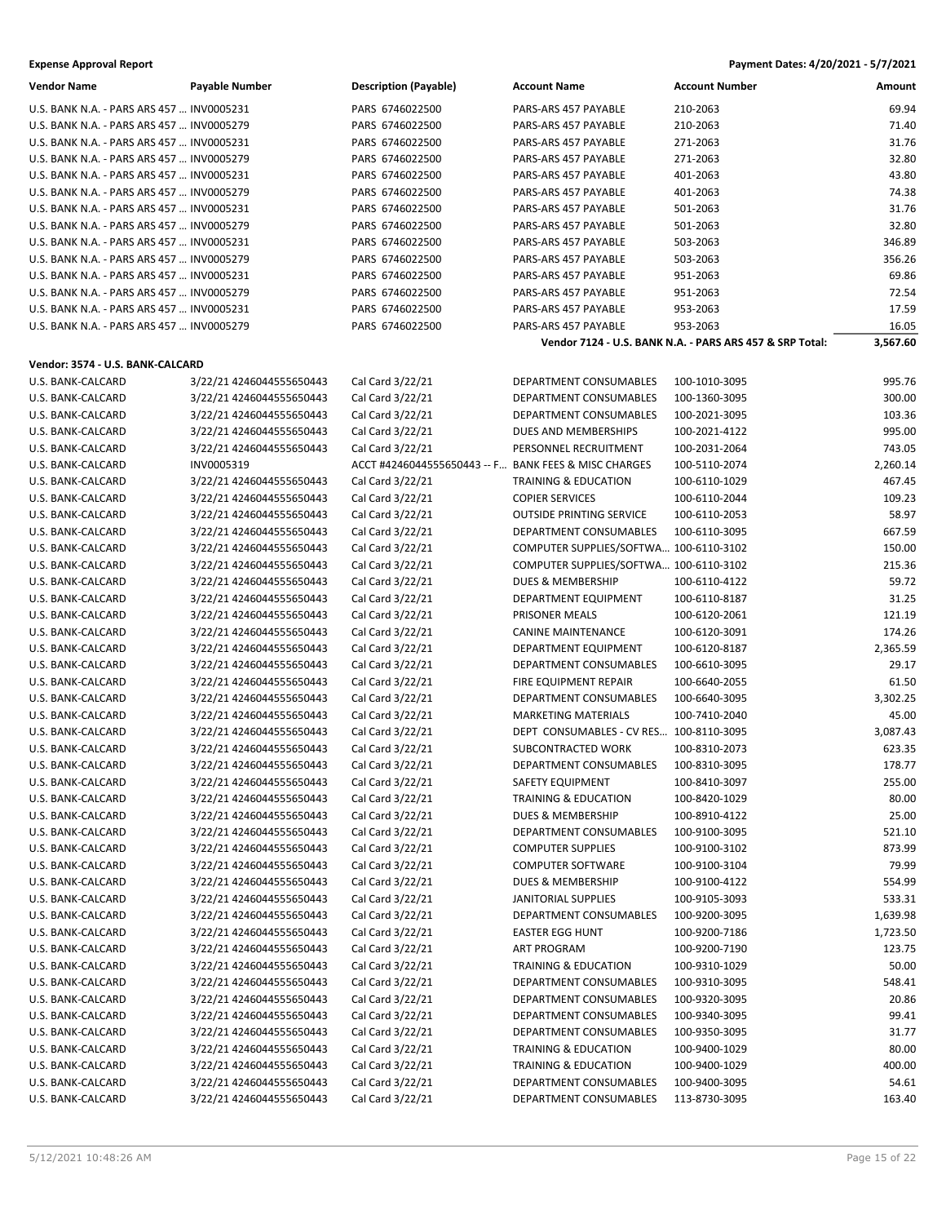| <b>Vendor Name</b>                        | <b>Payable Number</b>                                | <b>Description (Payable)</b>                         | <b>Account Name</b>                                                    | <b>Account Number</b>                                    | Amount            |
|-------------------------------------------|------------------------------------------------------|------------------------------------------------------|------------------------------------------------------------------------|----------------------------------------------------------|-------------------|
| U.S. BANK N.A. - PARS ARS 457  INV0005231 |                                                      | PARS 6746022500                                      | PARS-ARS 457 PAYABLE                                                   | 210-2063                                                 | 69.94             |
| U.S. BANK N.A. - PARS ARS 457  INV0005279 |                                                      | PARS 6746022500                                      | PARS-ARS 457 PAYABLE                                                   | 210-2063                                                 | 71.40             |
| U.S. BANK N.A. - PARS ARS 457  INV0005231 |                                                      | PARS 6746022500                                      | PARS-ARS 457 PAYABLE                                                   | 271-2063                                                 | 31.76             |
| U.S. BANK N.A. - PARS ARS 457  INV0005279 |                                                      | PARS 6746022500                                      | PARS-ARS 457 PAYABLE                                                   | 271-2063                                                 | 32.80             |
| U.S. BANK N.A. - PARS ARS 457  INV0005231 |                                                      | PARS 6746022500                                      | PARS-ARS 457 PAYABLE                                                   | 401-2063                                                 | 43.80             |
| U.S. BANK N.A. - PARS ARS 457  INV0005279 |                                                      | PARS 6746022500                                      | PARS-ARS 457 PAYABLE                                                   | 401-2063                                                 | 74.38             |
| U.S. BANK N.A. - PARS ARS 457  INV0005231 |                                                      | PARS 6746022500                                      | PARS-ARS 457 PAYABLE                                                   | 501-2063                                                 | 31.76             |
| U.S. BANK N.A. - PARS ARS 457  INV0005279 |                                                      | PARS 6746022500                                      | PARS-ARS 457 PAYABLE                                                   | 501-2063                                                 | 32.80             |
| U.S. BANK N.A. - PARS ARS 457  INV0005231 |                                                      | PARS 6746022500                                      | PARS-ARS 457 PAYABLE                                                   | 503-2063                                                 | 346.89            |
| U.S. BANK N.A. - PARS ARS 457  INV0005279 |                                                      | PARS 6746022500                                      | PARS-ARS 457 PAYABLE                                                   | 503-2063                                                 | 356.26            |
| U.S. BANK N.A. - PARS ARS 457  INV0005231 |                                                      | PARS 6746022500                                      | PARS-ARS 457 PAYABLE                                                   | 951-2063                                                 | 69.86             |
| U.S. BANK N.A. - PARS ARS 457  INV0005279 |                                                      | PARS 6746022500                                      | PARS-ARS 457 PAYABLE                                                   | 951-2063                                                 | 72.54             |
| U.S. BANK N.A. - PARS ARS 457  INV0005231 |                                                      | PARS 6746022500                                      | PARS-ARS 457 PAYABLE                                                   | 953-2063                                                 | 17.59             |
| U.S. BANK N.A. - PARS ARS 457  INV0005279 |                                                      | PARS 6746022500                                      | PARS-ARS 457 PAYABLE                                                   | 953-2063                                                 | 16.05             |
|                                           |                                                      |                                                      |                                                                        | Vendor 7124 - U.S. BANK N.A. - PARS ARS 457 & SRP Total: | 3,567.60          |
| Vendor: 3574 - U.S. BANK-CALCARD          |                                                      |                                                      |                                                                        |                                                          |                   |
| U.S. BANK-CALCARD                         | 3/22/21 4246044555650443                             | Cal Card 3/22/21                                     | <b>DEPARTMENT CONSUMABLES</b>                                          | 100-1010-3095                                            | 995.76            |
| U.S. BANK-CALCARD                         | 3/22/21 4246044555650443                             | Cal Card 3/22/21                                     | DEPARTMENT CONSUMABLES                                                 | 100-1360-3095                                            | 300.00            |
| U.S. BANK-CALCARD                         |                                                      | Cal Card 3/22/21                                     | DEPARTMENT CONSUMABLES                                                 | 100-2021-3095                                            | 103.36            |
| U.S. BANK-CALCARD                         | 3/22/21 4246044555650443<br>3/22/21 4246044555650443 | Cal Card 3/22/21                                     | DUES AND MEMBERSHIPS                                                   | 100-2021-4122                                            | 995.00            |
| U.S. BANK-CALCARD                         |                                                      |                                                      | PERSONNEL RECRUITMENT                                                  |                                                          | 743.05            |
|                                           | 3/22/21 4246044555650443                             | Cal Card 3/22/21                                     |                                                                        | 100-2031-2064<br>100-5110-2074                           |                   |
| U.S. BANK-CALCARD                         | INV0005319<br>3/22/21 4246044555650443               | ACCT #4246044555650443 -- F BANK FEES & MISC CHARGES |                                                                        | 100-6110-1029                                            | 2,260.14          |
| U.S. BANK-CALCARD                         |                                                      | Cal Card 3/22/21                                     | TRAINING & EDUCATION<br><b>COPIER SERVICES</b>                         |                                                          | 467.45<br>109.23  |
| U.S. BANK-CALCARD                         | 3/22/21 4246044555650443<br>3/22/21 4246044555650443 | Cal Card 3/22/21                                     | <b>OUTSIDE PRINTING SERVICE</b>                                        | 100-6110-2044                                            | 58.97             |
| U.S. BANK-CALCARD                         |                                                      | Cal Card 3/22/21                                     |                                                                        | 100-6110-2053                                            |                   |
| U.S. BANK-CALCARD                         | 3/22/21 4246044555650443                             | Cal Card 3/22/21                                     | DEPARTMENT CONSUMABLES                                                 | 100-6110-3095                                            | 667.59            |
| U.S. BANK-CALCARD                         | 3/22/21 4246044555650443                             | Cal Card 3/22/21                                     | COMPUTER SUPPLIES/SOFTWA 100-6110-3102                                 |                                                          | 150.00            |
| U.S. BANK-CALCARD                         | 3/22/21 4246044555650443                             | Cal Card 3/22/21                                     | COMPUTER SUPPLIES/SOFTWA 100-6110-3102<br><b>DUES &amp; MEMBERSHIP</b> |                                                          | 215.36<br>59.72   |
| U.S. BANK-CALCARD                         | 3/22/21 4246044555650443                             | Cal Card 3/22/21                                     |                                                                        | 100-6110-4122                                            | 31.25             |
| U.S. BANK-CALCARD                         | 3/22/21 4246044555650443                             | Cal Card 3/22/21                                     | DEPARTMENT EQUIPMENT                                                   | 100-6110-8187                                            |                   |
| U.S. BANK-CALCARD                         | 3/22/21 4246044555650443                             | Cal Card 3/22/21                                     | PRISONER MEALS                                                         | 100-6120-2061                                            | 121.19            |
| U.S. BANK-CALCARD                         | 3/22/21 4246044555650443                             | Cal Card 3/22/21                                     | <b>CANINE MAINTENANCE</b>                                              | 100-6120-3091                                            | 174.26            |
| U.S. BANK-CALCARD                         | 3/22/21 4246044555650443                             | Cal Card 3/22/21                                     | DEPARTMENT EQUIPMENT<br>DEPARTMENT CONSUMABLES                         | 100-6120-8187                                            | 2,365.59<br>29.17 |
| U.S. BANK-CALCARD                         | 3/22/21 4246044555650443                             | Cal Card 3/22/21<br>Cal Card 3/22/21                 |                                                                        | 100-6610-3095                                            |                   |
| U.S. BANK-CALCARD                         | 3/22/21 4246044555650443<br>3/22/21 4246044555650443 | Cal Card 3/22/21                                     | FIRE EQUIPMENT REPAIR<br>DEPARTMENT CONSUMABLES                        | 100-6640-2055<br>100-6640-3095                           | 61.50             |
| U.S. BANK-CALCARD<br>U.S. BANK-CALCARD    | 3/22/21 4246044555650443                             | Cal Card 3/22/21                                     | <b>MARKETING MATERIALS</b>                                             | 100-7410-2040                                            | 3,302.25<br>45.00 |
| U.S. BANK-CALCARD                         | 3/22/21 4246044555650443                             | Cal Card 3/22/21                                     | DEPT CONSUMABLES - CV RES 100-8110-3095                                |                                                          | 3,087.43          |
| U.S. BANK-CALCARD                         | 3/22/21 4246044555650443                             | Cal Card 3/22/21                                     | <b>SUBCONTRACTED WORK</b>                                              | 100-8310-2073                                            | 623.35            |
| U.S. BANK-CALCARD                         | 3/22/21 4246044555650443                             | Cal Card 3/22/21                                     | DEPARTMENT CONSUMABLES                                                 | 100-8310-3095                                            | 178.77            |
| U.S. BANK-CALCARD                         | 3/22/21 4246044555650443                             | Cal Card 3/22/21                                     | SAFETY EQUIPMENT                                                       | 100-8410-3097                                            | 255.00            |
| U.S. BANK-CALCARD                         | 3/22/21 4246044555650443                             | Cal Card 3/22/21                                     | <b>TRAINING &amp; EDUCATION</b>                                        | 100-8420-1029                                            | 80.00             |
| U.S. BANK-CALCARD                         | 3/22/21 4246044555650443                             | Cal Card 3/22/21                                     | DUES & MEMBERSHIP                                                      | 100-8910-4122                                            | 25.00             |
| U.S. BANK-CALCARD                         | 3/22/21 4246044555650443                             | Cal Card 3/22/21                                     | DEPARTMENT CONSUMABLES                                                 | 100-9100-3095                                            | 521.10            |
| U.S. BANK-CALCARD                         | 3/22/21 4246044555650443                             | Cal Card 3/22/21                                     | <b>COMPUTER SUPPLIES</b>                                               | 100-9100-3102                                            | 873.99            |
| U.S. BANK-CALCARD                         | 3/22/21 4246044555650443                             | Cal Card 3/22/21                                     | <b>COMPUTER SOFTWARE</b>                                               | 100-9100-3104                                            | 79.99             |
| U.S. BANK-CALCARD                         | 3/22/21 4246044555650443                             | Cal Card 3/22/21                                     | DUES & MEMBERSHIP                                                      | 100-9100-4122                                            | 554.99            |
| U.S. BANK-CALCARD                         | 3/22/21 4246044555650443                             | Cal Card 3/22/21                                     | JANITORIAL SUPPLIES                                                    | 100-9105-3093                                            | 533.31            |
| U.S. BANK-CALCARD                         | 3/22/21 4246044555650443                             | Cal Card 3/22/21                                     | DEPARTMENT CONSUMABLES                                                 | 100-9200-3095                                            | 1,639.98          |
| U.S. BANK-CALCARD                         | 3/22/21 4246044555650443                             | Cal Card 3/22/21                                     | <b>EASTER EGG HUNT</b>                                                 | 100-9200-7186                                            | 1,723.50          |
| U.S. BANK-CALCARD                         | 3/22/21 4246044555650443                             | Cal Card 3/22/21                                     | ART PROGRAM                                                            | 100-9200-7190                                            | 123.75            |
| U.S. BANK-CALCARD                         | 3/22/21 4246044555650443                             | Cal Card 3/22/21                                     | <b>TRAINING &amp; EDUCATION</b>                                        | 100-9310-1029                                            | 50.00             |
| U.S. BANK-CALCARD                         | 3/22/21 4246044555650443                             | Cal Card 3/22/21                                     | DEPARTMENT CONSUMABLES                                                 | 100-9310-3095                                            | 548.41            |
| U.S. BANK-CALCARD                         | 3/22/21 4246044555650443                             | Cal Card 3/22/21                                     | DEPARTMENT CONSUMABLES                                                 | 100-9320-3095                                            | 20.86             |
| U.S. BANK-CALCARD                         | 3/22/21 4246044555650443                             | Cal Card 3/22/21                                     | DEPARTMENT CONSUMABLES                                                 | 100-9340-3095                                            | 99.41             |
| U.S. BANK-CALCARD                         | 3/22/21 4246044555650443                             | Cal Card 3/22/21                                     | DEPARTMENT CONSUMABLES                                                 | 100-9350-3095                                            | 31.77             |
| U.S. BANK-CALCARD                         | 3/22/21 4246044555650443                             | Cal Card 3/22/21                                     | TRAINING & EDUCATION                                                   | 100-9400-1029                                            | 80.00             |
| U.S. BANK-CALCARD                         | 3/22/21 4246044555650443                             | Cal Card 3/22/21                                     | TRAINING & EDUCATION                                                   | 100-9400-1029                                            | 400.00            |
| U.S. BANK-CALCARD                         | 3/22/21 4246044555650443                             | Cal Card 3/22/21                                     | DEPARTMENT CONSUMABLES                                                 | 100-9400-3095                                            | 54.61             |
| U.S. BANK-CALCARD                         | 3/22/21 4246044555650443                             | Cal Card 3/22/21                                     | DEPARTMENT CONSUMABLES                                                 | 113-8730-3095                                            | 163.40            |
|                                           |                                                      |                                                      |                                                                        |                                                          |                   |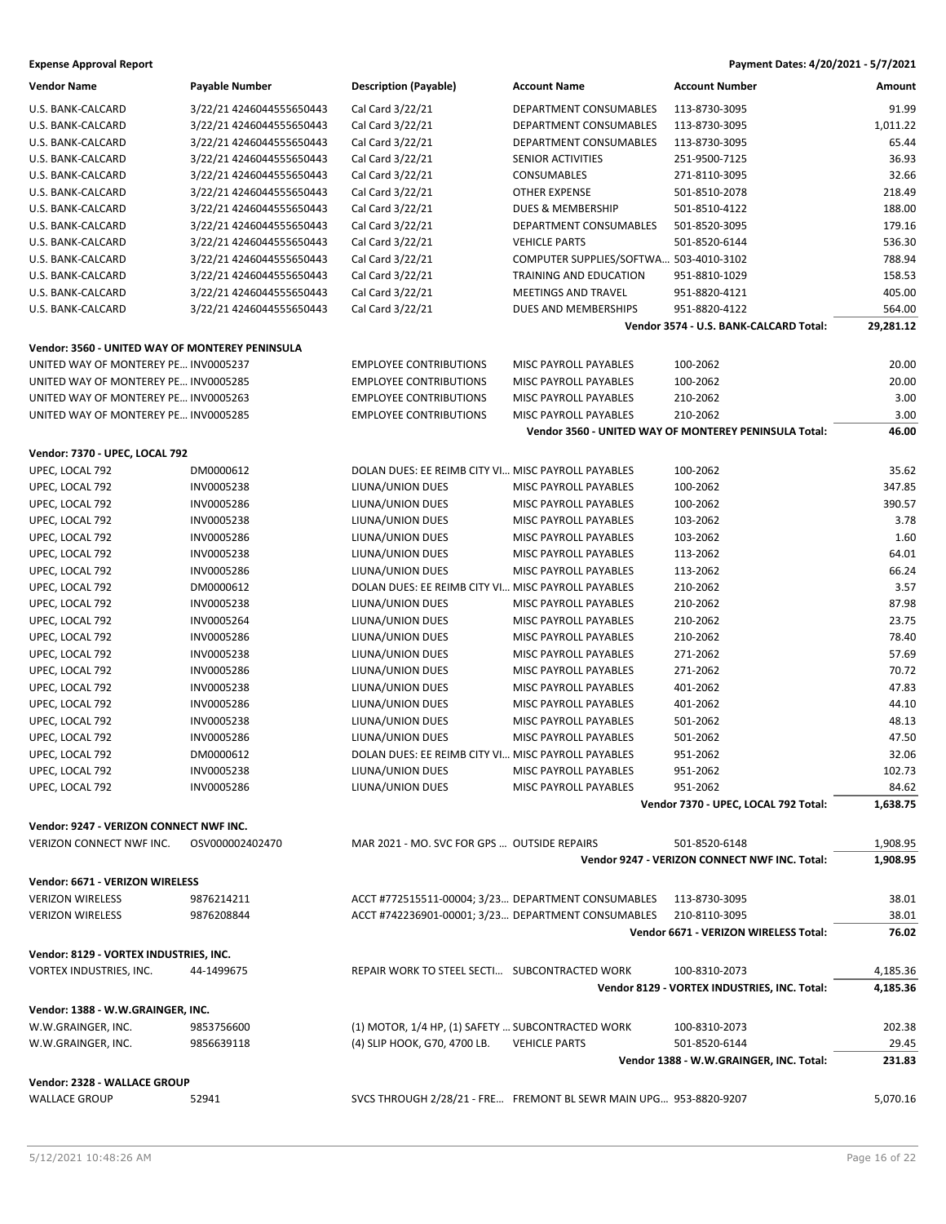| <b>Vendor Name</b>                                                  | <b>Payable Number</b>    | <b>Description (Payable)</b>                       | <b>Account Name</b>                                               | <b>Account Number</b>                                 | Amount    |
|---------------------------------------------------------------------|--------------------------|----------------------------------------------------|-------------------------------------------------------------------|-------------------------------------------------------|-----------|
| U.S. BANK-CALCARD                                                   | 3/22/21 4246044555650443 | Cal Card 3/22/21                                   | DEPARTMENT CONSUMABLES                                            | 113-8730-3095                                         | 91.99     |
| U.S. BANK-CALCARD                                                   | 3/22/21 4246044555650443 | Cal Card 3/22/21                                   | DEPARTMENT CONSUMABLES                                            | 113-8730-3095                                         | 1,011.22  |
| U.S. BANK-CALCARD                                                   | 3/22/21 4246044555650443 | Cal Card 3/22/21                                   | DEPARTMENT CONSUMABLES                                            | 113-8730-3095                                         | 65.44     |
| U.S. BANK-CALCARD                                                   | 3/22/21 4246044555650443 | Cal Card 3/22/21                                   | SENIOR ACTIVITIES                                                 | 251-9500-7125                                         | 36.93     |
| U.S. BANK-CALCARD                                                   | 3/22/21 4246044555650443 | Cal Card 3/22/21                                   | <b>CONSUMABLES</b>                                                | 271-8110-3095                                         | 32.66     |
| U.S. BANK-CALCARD                                                   | 3/22/21 4246044555650443 | Cal Card 3/22/21                                   | <b>OTHER EXPENSE</b>                                              | 501-8510-2078                                         | 218.49    |
| U.S. BANK-CALCARD                                                   | 3/22/21 4246044555650443 | Cal Card 3/22/21                                   | DUES & MEMBERSHIP                                                 | 501-8510-4122                                         | 188.00    |
| U.S. BANK-CALCARD                                                   | 3/22/21 4246044555650443 | Cal Card 3/22/21                                   | DEPARTMENT CONSUMABLES                                            | 501-8520-3095                                         | 179.16    |
| U.S. BANK-CALCARD                                                   | 3/22/21 4246044555650443 | Cal Card 3/22/21                                   | <b>VEHICLE PARTS</b>                                              | 501-8520-6144                                         | 536.30    |
| U.S. BANK-CALCARD                                                   | 3/22/21 4246044555650443 | Cal Card 3/22/21                                   | COMPUTER SUPPLIES/SOFTWA 503-4010-3102                            |                                                       | 788.94    |
| U.S. BANK-CALCARD                                                   | 3/22/21 4246044555650443 | Cal Card 3/22/21                                   | TRAINING AND EDUCATION                                            | 951-8810-1029                                         | 158.53    |
| U.S. BANK-CALCARD                                                   | 3/22/21 4246044555650443 | Cal Card 3/22/21                                   | MEETINGS AND TRAVEL                                               | 951-8820-4121                                         | 405.00    |
| U.S. BANK-CALCARD                                                   | 3/22/21 4246044555650443 | Cal Card 3/22/21                                   | DUES AND MEMBERSHIPS                                              | 951-8820-4122                                         | 564.00    |
|                                                                     |                          |                                                    |                                                                   | Vendor 3574 - U.S. BANK-CALCARD Total:                | 29,281.12 |
| Vendor: 3560 - UNITED WAY OF MONTEREY PENINSULA                     |                          |                                                    |                                                                   |                                                       |           |
| UNITED WAY OF MONTEREY PE INV0005237                                |                          | <b>EMPLOYEE CONTRIBUTIONS</b>                      | MISC PAYROLL PAYABLES                                             | 100-2062                                              | 20.00     |
| UNITED WAY OF MONTEREY PE INV0005285                                |                          | <b>EMPLOYEE CONTRIBUTIONS</b>                      | MISC PAYROLL PAYABLES                                             | 100-2062                                              | 20.00     |
| UNITED WAY OF MONTEREY PE INV0005263                                |                          | <b>EMPLOYEE CONTRIBUTIONS</b>                      | MISC PAYROLL PAYABLES                                             | 210-2062                                              | 3.00      |
| UNITED WAY OF MONTEREY PE INV0005285                                |                          | <b>EMPLOYEE CONTRIBUTIONS</b>                      | MISC PAYROLL PAYABLES                                             | 210-2062                                              | 3.00      |
|                                                                     |                          |                                                    |                                                                   | Vendor 3560 - UNITED WAY OF MONTEREY PENINSULA Total: | 46.00     |
| Vendor: 7370 - UPEC, LOCAL 792                                      |                          |                                                    |                                                                   |                                                       |           |
| UPEC, LOCAL 792                                                     | DM0000612                | DOLAN DUES: EE REIMB CITY VI MISC PAYROLL PAYABLES |                                                                   | 100-2062                                              | 35.62     |
| UPEC, LOCAL 792                                                     | INV0005238               | LIUNA/UNION DUES                                   | MISC PAYROLL PAYABLES                                             | 100-2062                                              | 347.85    |
| UPEC, LOCAL 792                                                     | INV0005286               | LIUNA/UNION DUES                                   | MISC PAYROLL PAYABLES                                             | 100-2062                                              | 390.57    |
| UPEC, LOCAL 792                                                     | INV0005238               | LIUNA/UNION DUES                                   | MISC PAYROLL PAYABLES                                             | 103-2062                                              | 3.78      |
| UPEC, LOCAL 792                                                     | INV0005286               | LIUNA/UNION DUES                                   | MISC PAYROLL PAYABLES                                             | 103-2062                                              | 1.60      |
| UPEC, LOCAL 792                                                     | INV0005238               | LIUNA/UNION DUES                                   | MISC PAYROLL PAYABLES                                             | 113-2062                                              | 64.01     |
| UPEC, LOCAL 792                                                     | INV0005286               | LIUNA/UNION DUES                                   | MISC PAYROLL PAYABLES                                             | 113-2062                                              | 66.24     |
| UPEC, LOCAL 792                                                     | DM0000612                | DOLAN DUES: EE REIMB CITY VI MISC PAYROLL PAYABLES |                                                                   | 210-2062                                              | 3.57      |
| UPEC, LOCAL 792                                                     | INV0005238               | LIUNA/UNION DUES                                   | MISC PAYROLL PAYABLES                                             | 210-2062                                              | 87.98     |
| UPEC, LOCAL 792                                                     | INV0005264               | LIUNA/UNION DUES                                   | MISC PAYROLL PAYABLES                                             | 210-2062                                              | 23.75     |
| UPEC, LOCAL 792                                                     | INV0005286               | LIUNA/UNION DUES                                   | MISC PAYROLL PAYABLES                                             | 210-2062                                              | 78.40     |
| UPEC, LOCAL 792                                                     | INV0005238               | LIUNA/UNION DUES                                   | MISC PAYROLL PAYABLES                                             | 271-2062                                              | 57.69     |
| UPEC, LOCAL 792                                                     | INV0005286               | LIUNA/UNION DUES                                   | MISC PAYROLL PAYABLES                                             | 271-2062                                              | 70.72     |
| UPEC, LOCAL 792                                                     | INV0005238               | LIUNA/UNION DUES                                   | MISC PAYROLL PAYABLES                                             | 401-2062                                              | 47.83     |
| UPEC, LOCAL 792                                                     | INV0005286               | LIUNA/UNION DUES                                   | MISC PAYROLL PAYABLES                                             | 401-2062                                              | 44.10     |
| UPEC, LOCAL 792                                                     | INV0005238               | LIUNA/UNION DUES                                   | MISC PAYROLL PAYABLES                                             | 501-2062                                              | 48.13     |
| UPEC, LOCAL 792                                                     | INV0005286               | LIUNA/UNION DUES                                   | MISC PAYROLL PAYABLES                                             | 501-2062                                              | 47.50     |
| UPEC, LOCAL 792                                                     | DM0000612                | DOLAN DUES: EE REIMB CITY VI MISC PAYROLL PAYABLES |                                                                   | 951-2062                                              | 32.06     |
| UPEC, LOCAL 792                                                     | INV0005238               | LIUNA/UNION DUES                                   | <b>MISC PAYROLL PAYABLES</b>                                      | 951-2062                                              | 102.73    |
| UPEC, LOCAL 792                                                     | INV0005286               | LIUNA/UNION DUES                                   | MISC PAYROLL PAYABLES                                             | 951-2062                                              | 84.62     |
|                                                                     |                          |                                                    |                                                                   | Vendor 7370 - UPEC, LOCAL 792 Total:                  | 1,638.75  |
|                                                                     |                          |                                                    |                                                                   |                                                       |           |
| Vendor: 9247 - VERIZON CONNECT NWF INC.<br>VERIZON CONNECT NWF INC. | OSV000002402470          | MAR 2021 - MO. SVC FOR GPS  OUTSIDE REPAIRS        |                                                                   | 501-8520-6148                                         | 1,908.95  |
|                                                                     |                          |                                                    |                                                                   | Vendor 9247 - VERIZON CONNECT NWF INC. Total:         | 1,908.95  |
|                                                                     |                          |                                                    |                                                                   |                                                       |           |
| Vendor: 6671 - VERIZON WIRELESS                                     |                          |                                                    |                                                                   |                                                       |           |
| <b>VERIZON WIRELESS</b>                                             | 9876214211               |                                                    | ACCT #772515511-00004; 3/23 DEPARTMENT CONSUMABLES 113-8730-3095  |                                                       | 38.01     |
| <b>VERIZON WIRELESS</b>                                             | 9876208844               | ACCT #742236901-00001; 3/23 DEPARTMENT CONSUMABLES |                                                                   | 210-8110-3095                                         | 38.01     |
|                                                                     |                          |                                                    |                                                                   | Vendor 6671 - VERIZON WIRELESS Total:                 | 76.02     |
| Vendor: 8129 - VORTEX INDUSTRIES, INC.                              |                          |                                                    |                                                                   |                                                       |           |
| VORTEX INDUSTRIES, INC.                                             | 44-1499675               | REPAIR WORK TO STEEL SECTI SUBCONTRACTED WORK      |                                                                   | 100-8310-2073                                         | 4,185.36  |
|                                                                     |                          |                                                    |                                                                   | Vendor 8129 - VORTEX INDUSTRIES, INC. Total:          | 4,185.36  |
| Vendor: 1388 - W.W.GRAINGER, INC.                                   |                          |                                                    |                                                                   |                                                       |           |
| W.W.GRAINGER, INC.                                                  | 9853756600               | (1) MOTOR, 1/4 HP, (1) SAFETY  SUBCONTRACTED WORK  |                                                                   | 100-8310-2073                                         | 202.38    |
| W.W.GRAINGER, INC.                                                  | 9856639118               | (4) SLIP HOOK, G70, 4700 LB.                       | <b>VEHICLE PARTS</b>                                              | 501-8520-6144                                         | 29.45     |
|                                                                     |                          |                                                    |                                                                   | Vendor 1388 - W.W.GRAINGER, INC. Total:               | 231.83    |
| Vendor: 2328 - WALLACE GROUP                                        |                          |                                                    |                                                                   |                                                       |           |
| <b>WALLACE GROUP</b>                                                | 52941                    |                                                    | SVCS THROUGH 2/28/21 - FRE FREMONT BL SEWR MAIN UPG 953-8820-9207 |                                                       | 5,070.16  |
|                                                                     |                          |                                                    |                                                                   |                                                       |           |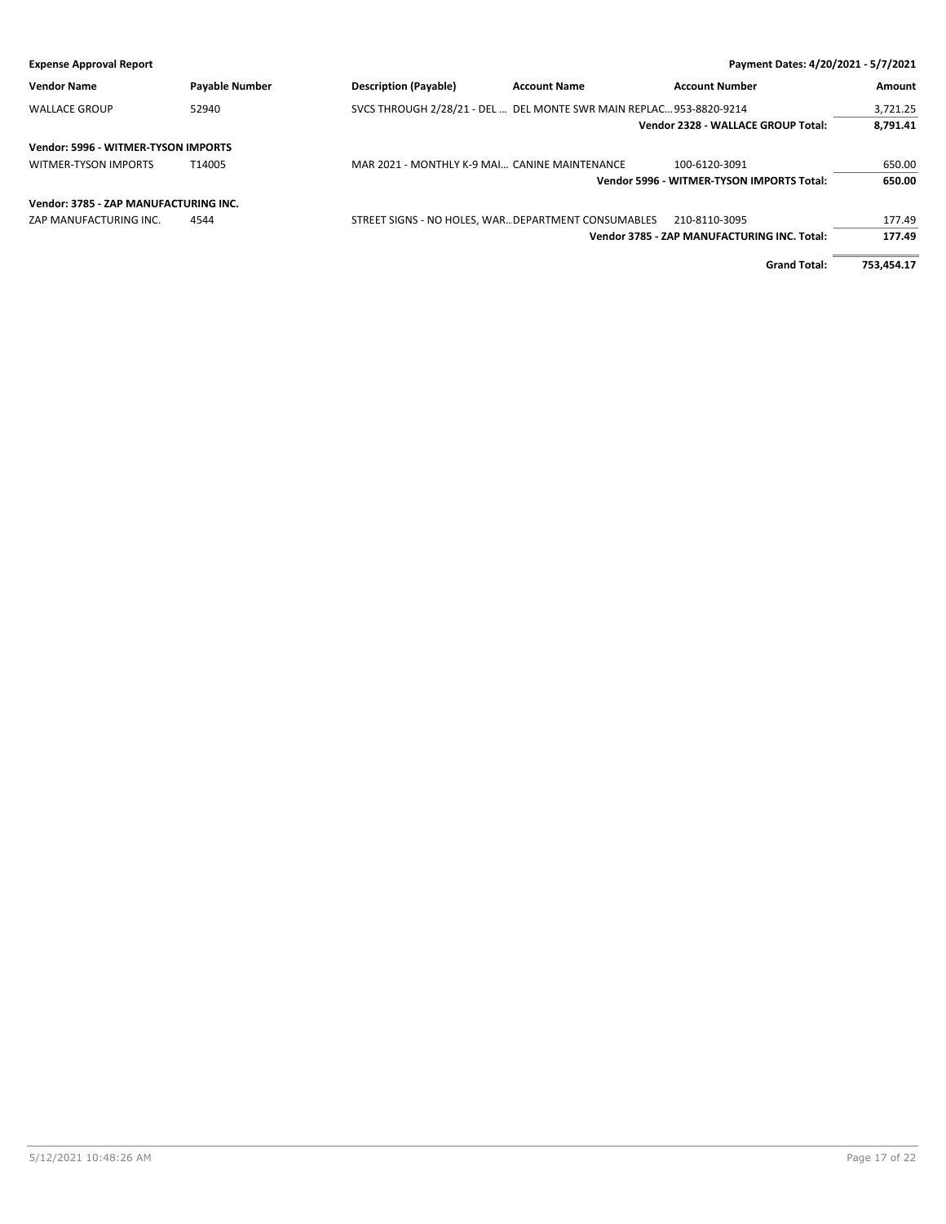| <b>Expense Approval Report</b>        |                       |                                                                     |                     | Payment Dates: 4/20/2021 - 5/7/2021         |            |
|---------------------------------------|-----------------------|---------------------------------------------------------------------|---------------------|---------------------------------------------|------------|
| <b>Vendor Name</b>                    | <b>Payable Number</b> | <b>Description (Payable)</b>                                        | <b>Account Name</b> | <b>Account Number</b>                       | Amount     |
| <b>WALLACE GROUP</b>                  | 52940                 | SVCS THROUGH 2/28/21 - DEL  DEL MONTE SWR MAIN REPLAC 953-8820-9214 |                     |                                             | 3,721.25   |
|                                       |                       |                                                                     |                     | Vendor 2328 - WALLACE GROUP Total:          | 8.791.41   |
| Vendor: 5996 - WITMER-TYSON IMPORTS   |                       |                                                                     |                     |                                             |            |
| <b>WITMER-TYSON IMPORTS</b>           | T14005                | MAR 2021 - MONTHLY K-9 MAI CANINE MAINTENANCE                       |                     | 100-6120-3091                               | 650.00     |
|                                       |                       |                                                                     |                     | Vendor 5996 - WITMER-TYSON IMPORTS Total:   | 650.00     |
| Vendor: 3785 - ZAP MANUFACTURING INC. |                       |                                                                     |                     |                                             |            |
| ZAP MANUFACTURING INC.                | 4544                  | STREET SIGNS - NO HOLES, WAR DEPARTMENT CONSUMABLES                 |                     | 210-8110-3095                               | 177.49     |
|                                       |                       |                                                                     |                     | Vendor 3785 - ZAP MANUFACTURING INC. Total: | 177.49     |
|                                       |                       |                                                                     |                     | <b>Grand Total:</b>                         | 753.454.17 |

5/12/2021 10:48:26 AM Page 17 of 22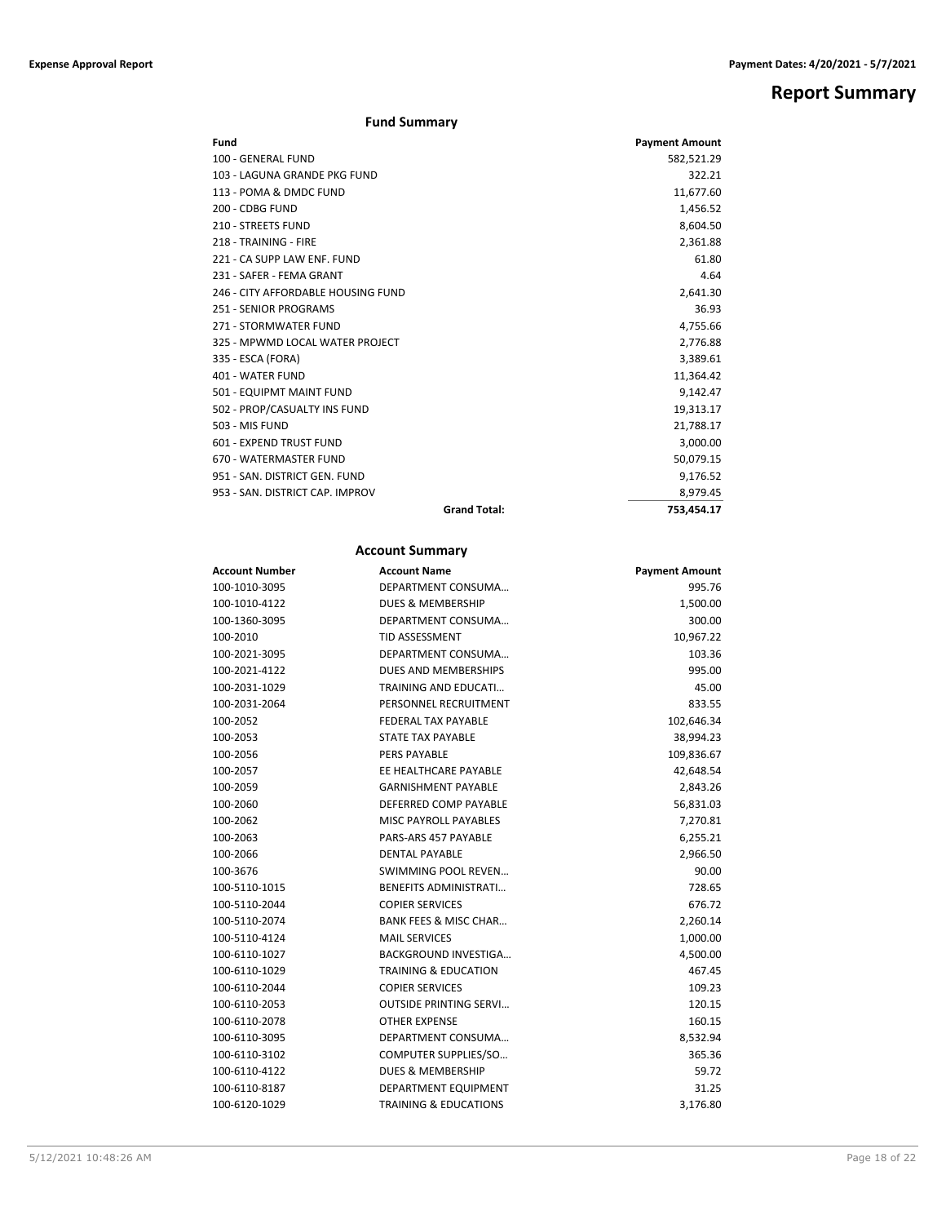**Report Summary**

## **Fund Summary**

| Fund                               |                     | <b>Payment Amount</b> |
|------------------------------------|---------------------|-----------------------|
| 100 - GENERAL FUND                 |                     | 582,521.29            |
| 103 - LAGUNA GRANDE PKG FUND       |                     | 322.21                |
| 113 - POMA & DMDC FUND             |                     | 11,677.60             |
| 200 - CDBG FUND                    |                     | 1,456.52              |
| 210 - STREETS FUND                 |                     | 8.604.50              |
| 218 - TRAINING - FIRE              |                     | 2,361.88              |
| 221 - CA SUPP LAW ENF. FUND        |                     | 61.80                 |
| 231 - SAFER - FEMA GRANT           |                     | 4.64                  |
| 246 - CITY AFFORDABLE HOUSING FUND |                     | 2,641.30              |
| 251 - SENIOR PROGRAMS              |                     | 36.93                 |
| 271 - STORMWATER FUND              |                     | 4,755.66              |
| 325 - MPWMD LOCAL WATER PROJECT    |                     | 2,776.88              |
| 335 - ESCA (FORA)                  |                     | 3,389.61              |
| 401 - WATER FUND                   |                     | 11,364.42             |
| 501 - EQUIPMT MAINT FUND           |                     | 9,142.47              |
| 502 - PROP/CASUALTY INS FUND       |                     | 19,313.17             |
| 503 - MIS FUND                     |                     | 21,788.17             |
| 601 - EXPEND TRUST FUND            |                     | 3,000.00              |
| 670 - WATERMASTER FUND             |                     | 50,079.15             |
| 951 - SAN, DISTRICT GEN, FUND      |                     | 9,176.52              |
| 953 - SAN, DISTRICT CAP, IMPROV    |                     | 8,979.45              |
|                                    | <b>Grand Total:</b> | 753.454.17            |

## **Account Summary**

| <b>Account Number</b> | <b>Account Name</b>              | <b>Payment Amount</b> |
|-----------------------|----------------------------------|-----------------------|
| 100-1010-3095         | DEPARTMENT CONSUMA               | 995.76                |
| 100-1010-4122         | <b>DUES &amp; MEMBERSHIP</b>     | 1,500.00              |
| 100-1360-3095         | DEPARTMENT CONSUMA               | 300.00                |
| 100-2010              | <b>TID ASSESSMENT</b>            | 10,967.22             |
| 100-2021-3095         | DEPARTMENT CONSUMA               | 103.36                |
| 100-2021-4122         | DUES AND MEMBERSHIPS             | 995.00                |
| 100-2031-1029         | TRAINING AND EDUCATI             | 45.00                 |
| 100-2031-2064         | PERSONNEL RECRUITMENT            | 833.55                |
| 100-2052              | <b>FEDERAL TAX PAYABLE</b>       | 102,646.34            |
| 100-2053              | <b>STATE TAX PAYABLE</b>         | 38,994.23             |
| 100-2056              | <b>PERS PAYABLE</b>              | 109,836.67            |
| 100-2057              | EE HEALTHCARE PAYABLE            | 42,648.54             |
| 100-2059              | <b>GARNISHMENT PAYABLE</b>       | 2,843.26              |
| 100-2060              | DEFERRED COMP PAYABLE            | 56,831.03             |
| 100-2062              | <b>MISC PAYROLL PAYABLES</b>     | 7,270.81              |
| 100-2063              | PARS-ARS 457 PAYABLE             | 6,255.21              |
| 100-2066              | <b>DENTAL PAYABLE</b>            | 2,966.50              |
| 100-3676              | <b>SWIMMING POOL REVEN</b>       | 90.00                 |
| 100-5110-1015         | <b>BENEFITS ADMINISTRATI</b>     | 728.65                |
| 100-5110-2044         | <b>COPIER SERVICES</b>           | 676.72                |
| 100-5110-2074         | <b>BANK FEES &amp; MISC CHAR</b> | 2,260.14              |
| 100-5110-4124         | <b>MAIL SERVICES</b>             | 1,000.00              |
| 100-6110-1027         | <b>BACKGROUND INVESTIGA</b>      | 4,500.00              |
| 100-6110-1029         | <b>TRAINING &amp; EDUCATION</b>  | 467.45                |
| 100-6110-2044         | <b>COPIER SERVICES</b>           | 109.23                |
| 100-6110-2053         | <b>OUTSIDE PRINTING SERVI</b>    | 120.15                |
| 100-6110-2078         | <b>OTHER EXPENSE</b>             | 160.15                |
| 100-6110-3095         | DEPARTMENT CONSUMA               | 8,532.94              |
| 100-6110-3102         | COMPUTER SUPPLIES/SO             | 365.36                |
| 100-6110-4122         | <b>DUES &amp; MEMBERSHIP</b>     | 59.72                 |
| 100-6110-8187         | DEPARTMENT EQUIPMENT             | 31.25                 |
| 100-6120-1029         | <b>TRAINING &amp; EDUCATIONS</b> | 3,176.80              |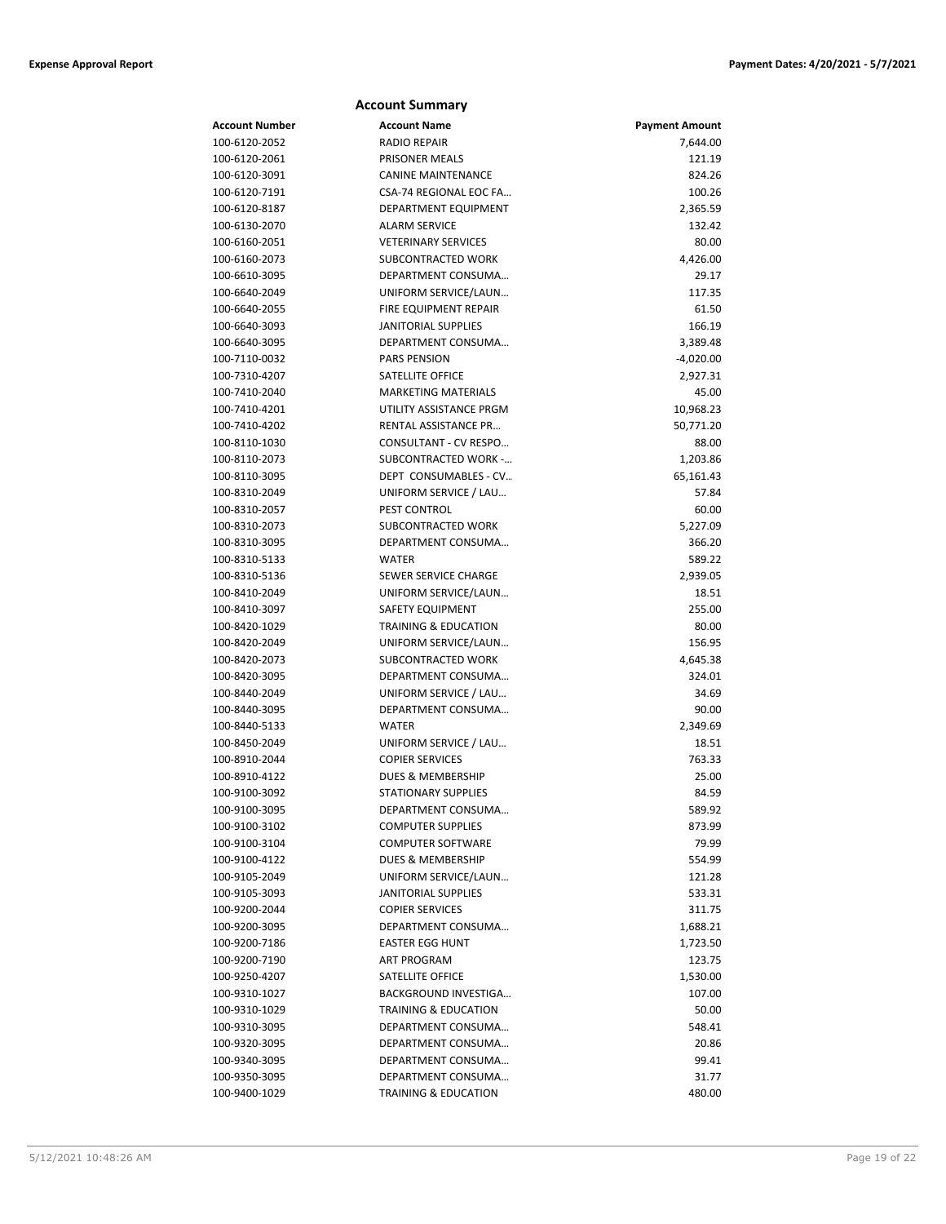| <b>Account Summary</b> |                                 |                       |  |
|------------------------|---------------------------------|-----------------------|--|
| <b>Account Number</b>  | <b>Account Name</b>             | <b>Payment Amount</b> |  |
| 100-6120-2052          | <b>RADIO REPAIR</b>             | 7,644.00              |  |
| 100-6120-2061          | PRISONER MEALS                  | 121.19                |  |
| 100-6120-3091          | <b>CANINE MAINTENANCE</b>       | 824.26                |  |
| 100-6120-7191          | CSA-74 REGIONAL EOC FA          | 100.26                |  |
| 100-6120-8187          | DEPARTMENT EQUIPMENT            | 2,365.59              |  |
| 100-6130-2070          | <b>ALARM SERVICE</b>            | 132.42                |  |
| 100-6160-2051          | <b>VETERINARY SERVICES</b>      | 80.00                 |  |
| 100-6160-2073          | SUBCONTRACTED WORK              | 4,426.00              |  |
| 100-6610-3095          | DEPARTMENT CONSUMA              | 29.17                 |  |
| 100-6640-2049          | UNIFORM SERVICE/LAUN            | 117.35                |  |
| 100-6640-2055          | FIRE EQUIPMENT REPAIR           | 61.50                 |  |
| 100-6640-3093          | <b>JANITORIAL SUPPLIES</b>      | 166.19                |  |
| 100-6640-3095          | DEPARTMENT CONSUMA              | 3,389.48              |  |
| 100-7110-0032          | <b>PARS PENSION</b>             | $-4,020.00$           |  |
| 100-7310-4207          | SATELLITE OFFICE                | 2,927.31              |  |
| 100-7410-2040          | <b>MARKETING MATERIALS</b>      | 45.00                 |  |
| 100-7410-4201          | UTILITY ASSISTANCE PRGM         | 10,968.23             |  |
| 100-7410-4202          | RENTAL ASSISTANCE PR            | 50,771.20             |  |
| 100-8110-1030          | CONSULTANT - CV RESPO           | 88.00                 |  |
| 100-8110-2073          | <b>SUBCONTRACTED WORK -</b>     | 1,203.86              |  |
| 100-8110-3095          | DEPT CONSUMABLES - CV           | 65,161.43             |  |
| 100-8310-2049          | UNIFORM SERVICE / LAU           | 57.84                 |  |
| 100-8310-2057          | <b>PEST CONTROL</b>             | 60.00                 |  |
| 100-8310-2073          | SUBCONTRACTED WORK              | 5,227.09              |  |
| 100-8310-3095          | DEPARTMENT CONSUMA              | 366.20                |  |
| 100-8310-5133          | <b>WATER</b>                    | 589.22                |  |
| 100-8310-5136          | SEWER SERVICE CHARGE            | 2,939.05              |  |
| 100-8410-2049          | UNIFORM SERVICE/LAUN            | 18.51                 |  |
| 100-8410-3097          | <b>SAFETY EQUIPMENT</b>         | 255.00                |  |
| 100-8420-1029          | <b>TRAINING &amp; EDUCATION</b> | 80.00                 |  |
| 100-8420-2049          | UNIFORM SERVICE/LAUN            | 156.95                |  |
| 100-8420-2073          | SUBCONTRACTED WORK              | 4,645.38              |  |
| 100-8420-3095          | DEPARTMENT CONSUMA              | 324.01                |  |
| 100-8440-2049          | UNIFORM SERVICE / LAU           | 34.69                 |  |
| 100-8440-3095          | DEPARTMENT CONSUMA              | 90.00                 |  |
| 100-8440-5133          | <b>WATER</b>                    | 2,349.69              |  |
| 100-8450-2049          | UNIFORM SERVICE / LAU           | 18.51                 |  |
| 100-8910-2044          | <b>COPIER SERVICES</b>          | 763.33                |  |
| 100-8910-4122          | DUES & MEMBERSHIP               | 25.00                 |  |
| 100-9100-3092          | STATIONARY SUPPLIES             | 84.59                 |  |
| 100-9100-3095          | DEPARTMENT CONSUMA              | 589.92                |  |
| 100-9100-3102          | <b>COMPUTER SUPPLIES</b>        | 873.99                |  |
| 100-9100-3104          | <b>COMPUTER SOFTWARE</b>        | 79.99                 |  |
| 100-9100-4122          | DUES & MEMBERSHIP               | 554.99                |  |
| 100-9105-2049          | UNIFORM SERVICE/LAUN            | 121.28                |  |
| 100-9105-3093          | <b>JANITORIAL SUPPLIES</b>      | 533.31                |  |
| 100-9200-2044          | <b>COPIER SERVICES</b>          | 311.75                |  |
| 100-9200-3095          | DEPARTMENT CONSUMA              | 1,688.21              |  |
| 100-9200-7186          | <b>EASTER EGG HUNT</b>          | 1,723.50              |  |
| 100-9200-7190          | ART PROGRAM                     | 123.75                |  |
| 100-9250-4207          | SATELLITE OFFICE                | 1,530.00              |  |
| 100-9310-1027          | BACKGROUND INVESTIGA            | 107.00                |  |
| 100-9310-1029          | TRAINING & EDUCATION            | 50.00                 |  |
| 100-9310-3095          | DEPARTMENT CONSUMA              | 548.41                |  |
| 100-9320-3095          | DEPARTMENT CONSUMA              | 20.86                 |  |
| 100-9340-3095          | DEPARTMENT CONSUMA              | 99.41                 |  |
| 100-9350-3095          | DEPARTMENT CONSUMA              | 31.77                 |  |
| 100-9400-1029          | TRAINING & EDUCATION            | 480.00                |  |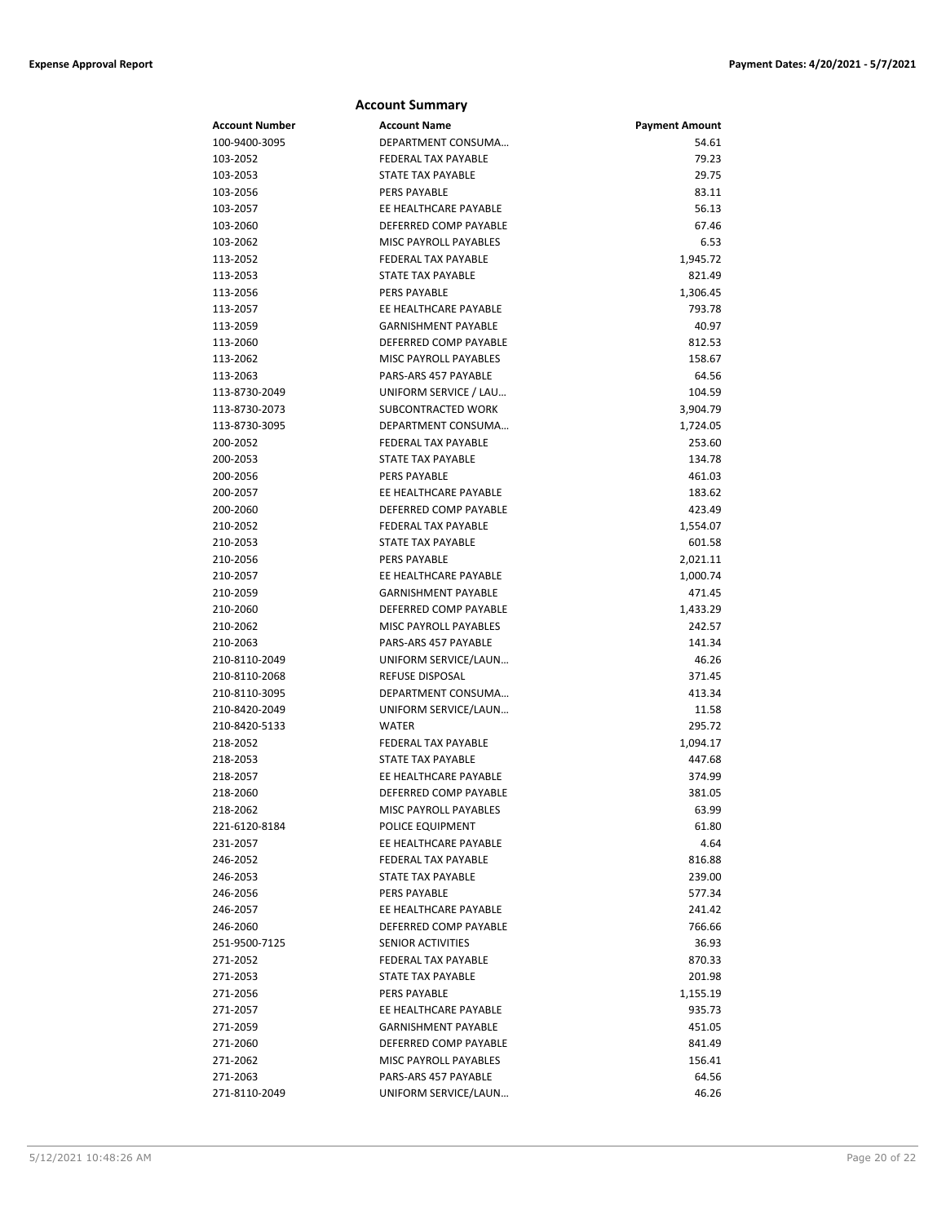|                                | <b>Account Summary</b>                       |                       |
|--------------------------------|----------------------------------------------|-----------------------|
| Account Number                 | <b>Account Name</b>                          | <b>Payment Amount</b> |
| 100-9400-3095                  | DEPARTMENT CONSUMA                           | 54.61                 |
| 103-2052                       | FEDERAL TAX PAYABLE                          | 79.23                 |
| 103-2053                       | STATE TAX PAYABLE                            | 29.75                 |
| 103-2056                       | <b>PERS PAYABLE</b>                          | 83.11                 |
| 103-2057                       | EE HEALTHCARE PAYABLE                        | 56.13                 |
| 103-2060                       | DEFERRED COMP PAYABLE                        | 67.46                 |
| 103-2062                       | MISC PAYROLL PAYABLES                        | 6.53                  |
| 113-2052                       | <b>FEDERAL TAX PAYABLE</b>                   | 1,945.72              |
| 113-2053                       | STATE TAX PAYABLE                            | 821.49                |
| 113-2056                       | <b>PERS PAYABLE</b>                          | 1,306.45              |
| 113-2057                       | EE HEALTHCARE PAYABLE                        | 793.78                |
| 113-2059                       | <b>GARNISHMENT PAYABLE</b>                   | 40.97                 |
| 113-2060                       | DEFERRED COMP PAYABLE                        | 812.53                |
| 113-2062                       | <b>MISC PAYROLL PAYABLES</b>                 | 158.67                |
| 113-2063                       | PARS-ARS 457 PAYABLE                         | 64.56                 |
| 113-8730-2049                  | UNIFORM SERVICE / LAU                        | 104.59                |
| 113-8730-2073                  | SUBCONTRACTED WORK                           | 3,904.79              |
| 113-8730-3095                  | DEPARTMENT CONSUMA                           | 1,724.05              |
| 200-2052                       | <b>FEDERAL TAX PAYABLE</b>                   | 253.60                |
| 200-2053                       | STATE TAX PAYABLE                            | 134.78                |
| 200-2056                       | PERS PAYABLE                                 | 461.03                |
| 200-2057                       | EE HEALTHCARE PAYABLE                        | 183.62                |
| 200-2060                       | DEFERRED COMP PAYABLE                        | 423.49                |
| 210-2052                       | <b>FEDERAL TAX PAYABLE</b>                   | 1,554.07              |
| 210-2053                       | STATE TAX PAYABLE                            | 601.58                |
| 210-2056                       | PERS PAYABLE                                 | 2,021.11              |
| 210-2057                       | EE HEALTHCARE PAYABLE                        | 1,000.74              |
| 210-2059                       | <b>GARNISHMENT PAYABLE</b>                   | 471.45                |
| 210-2060                       | DEFERRED COMP PAYABLE                        | 1,433.29              |
| 210-2062                       | <b>MISC PAYROLL PAYABLES</b>                 | 242.57                |
| 210-2063                       | PARS-ARS 457 PAYABLE<br>UNIFORM SERVICE/LAUN | 141.34                |
| 210-8110-2049<br>210-8110-2068 | <b>REFUSE DISPOSAL</b>                       | 46.26<br>371.45       |
| 210-8110-3095                  | DEPARTMENT CONSUMA                           | 413.34                |
| 210-8420-2049                  | UNIFORM SERVICE/LAUN                         | 11.58                 |
| 210-8420-5133                  | <b>WATER</b>                                 | 295.72                |
| 218-2052                       | FEDERAL TAX PAYABLE                          | 1,094.17              |
| 218-2053                       | STATE TAX PAYABLE                            | 447.68                |
| 218-2057                       | EE HEALTHCARE PAYABLE                        | 374.99                |
| 218-2060                       | DEFERRED COMP PAYABLE                        | 381.05                |
| 218-2062                       | MISC PAYROLL PAYABLES                        | 63.99                 |
| 221-6120-8184                  | POLICE EQUIPMENT                             | 61.80                 |
| 231-2057                       | EE HEALTHCARE PAYABLE                        | 4.64                  |
| 246-2052                       | FEDERAL TAX PAYABLE                          | 816.88                |
| 246-2053                       | STATE TAX PAYABLE                            | 239.00                |
| 246-2056                       | <b>PERS PAYABLE</b>                          | 577.34                |
| 246-2057                       | EE HEALTHCARE PAYABLE                        | 241.42                |
| 246-2060                       | DEFERRED COMP PAYABLE                        | 766.66                |
| 251-9500-7125                  | SENIOR ACTIVITIES                            | 36.93                 |
| 271-2052                       | FEDERAL TAX PAYABLE                          | 870.33                |
| 271-2053                       | STATE TAX PAYABLE                            | 201.98                |
| 271-2056                       | PERS PAYABLE                                 | 1,155.19              |
| 271-2057                       | EE HEALTHCARE PAYABLE                        | 935.73                |
| 271-2059                       | <b>GARNISHMENT PAYABLE</b>                   | 451.05                |
| 271-2060                       | DEFERRED COMP PAYABLE                        | 841.49                |
| 271-2062                       | MISC PAYROLL PAYABLES                        | 156.41                |
| 271-2063                       | PARS-ARS 457 PAYABLE                         | 64.56                 |
| 271-8110-2049                  | UNIFORM SERVICE/LAUN                         | 46.26                 |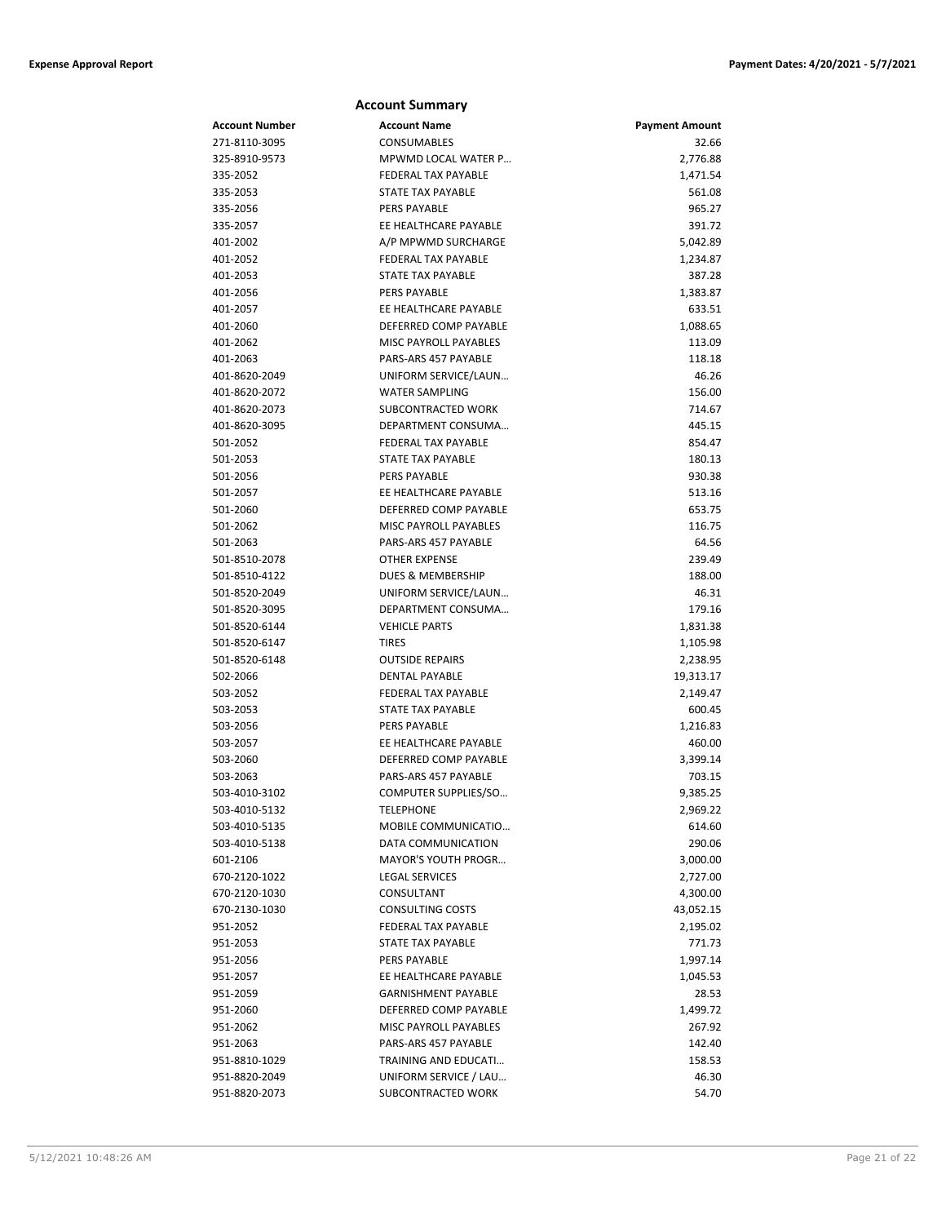|                | <b>Account Summary</b>       |                       |
|----------------|------------------------------|-----------------------|
| Account Number | <b>Account Name</b>          | <b>Payment Amount</b> |
| 271-8110-3095  | <b>CONSUMABLES</b>           | 32.66                 |
| 325-8910-9573  | MPWMD LOCAL WATER P          | 2,776.88              |
| 335-2052       | FEDERAL TAX PAYABLE          | 1,471.54              |
| 335-2053       | <b>STATE TAX PAYABLE</b>     | 561.08                |
| 335-2056       | PERS PAYABLE                 | 965.27                |
| 335-2057       | EE HEALTHCARE PAYABLE        | 391.72                |
| 401-2002       | A/P MPWMD SURCHARGE          | 5,042.89              |
| 401-2052       | FEDERAL TAX PAYABLE          | 1,234.87              |
| 401-2053       | <b>STATE TAX PAYABLE</b>     | 387.28                |
| 401-2056       | PERS PAYABLE                 | 1,383.87              |
| 401-2057       | EE HEALTHCARE PAYABLE        | 633.51                |
| 401-2060       | DEFERRED COMP PAYABLE        | 1,088.65              |
| 401-2062       | MISC PAYROLL PAYABLES        | 113.09                |
| 401-2063       | PARS-ARS 457 PAYABLE         | 118.18                |
| 401-8620-2049  | UNIFORM SERVICE/LAUN         | 46.26                 |
| 401-8620-2072  | <b>WATER SAMPLING</b>        | 156.00                |
| 401-8620-2073  | SUBCONTRACTED WORK           | 714.67                |
| 401-8620-3095  | DEPARTMENT CONSUMA           | 445.15                |
| 501-2052       | <b>FEDERAL TAX PAYABLE</b>   | 854.47                |
| 501-2053       | <b>STATE TAX PAYABLE</b>     | 180.13                |
| 501-2056       | <b>PERS PAYABLE</b>          | 930.38                |
| 501-2057       | EE HEALTHCARE PAYABLE        | 513.16                |
| 501-2060       | DEFERRED COMP PAYABLE        | 653.75                |
| 501-2062       | MISC PAYROLL PAYABLES        | 116.75                |
| 501-2063       | PARS-ARS 457 PAYABLE         | 64.56                 |
| 501-8510-2078  | <b>OTHER EXPENSE</b>         | 239.49                |
| 501-8510-4122  | <b>DUES &amp; MEMBERSHIP</b> | 188.00                |
| 501-8520-2049  | UNIFORM SERVICE/LAUN         | 46.31                 |
| 501-8520-3095  | DEPARTMENT CONSUMA           | 179.16                |
| 501-8520-6144  | <b>VEHICLE PARTS</b>         | 1,831.38              |
| 501-8520-6147  | <b>TIRES</b>                 | 1,105.98              |
| 501-8520-6148  | <b>OUTSIDE REPAIRS</b>       | 2,238.95              |
| 502-2066       | <b>DENTAL PAYABLE</b>        | 19,313.17             |
| 503-2052       | FEDERAL TAX PAYABLE          | 2,149.47              |
| 503-2053       | <b>STATE TAX PAYABLE</b>     | 600.45                |
| 503-2056       | <b>PERS PAYABLE</b>          | 1,216.83              |
| 503-2057       | EE HEALTHCARE PAYABLE        | 460.00                |
| 503-2060       | DEFERRED COMP PAYABLE        | 3,399.14              |
| 503-2063       | PARS-ARS 457 PAYABLE         | 703.15                |
| 503-4010-3102  | COMPUTER SUPPLIES/SO         | 9,385.25              |
| 503-4010-5132  | <b>TELEPHONE</b>             | 2,969.22              |
| 503-4010-5135  | MOBILE COMMUNICATIO          | 614.60                |
| 503-4010-5138  | DATA COMMUNICATION           | 290.06                |
| 601-2106       | MAYOR'S YOUTH PROGR          | 3,000.00              |
| 670-2120-1022  | <b>LEGAL SERVICES</b>        | 2,727.00              |
| 670-2120-1030  | CONSULTANT                   | 4,300.00              |
| 670-2130-1030  | <b>CONSULTING COSTS</b>      | 43,052.15             |
| 951-2052       | FEDERAL TAX PAYABLE          | 2,195.02              |
| 951-2053       | <b>STATE TAX PAYABLE</b>     | 771.73                |
| 951-2056       | PERS PAYABLE                 | 1,997.14              |
| 951-2057       | EE HEALTHCARE PAYABLE        | 1,045.53              |
| 951-2059       | <b>GARNISHMENT PAYABLE</b>   | 28.53                 |
| 951-2060       | DEFERRED COMP PAYABLE        | 1,499.72              |
| 951-2062       | MISC PAYROLL PAYABLES        | 267.92                |
| 951-2063       | PARS-ARS 457 PAYABLE         | 142.40                |
| 951-8810-1029  | TRAINING AND EDUCATI         | 158.53                |
| 951-8820-2049  | UNIFORM SERVICE / LAU        | 46.30                 |
| 951-8820-2073  | SUBCONTRACTED WORK           | 54.70                 |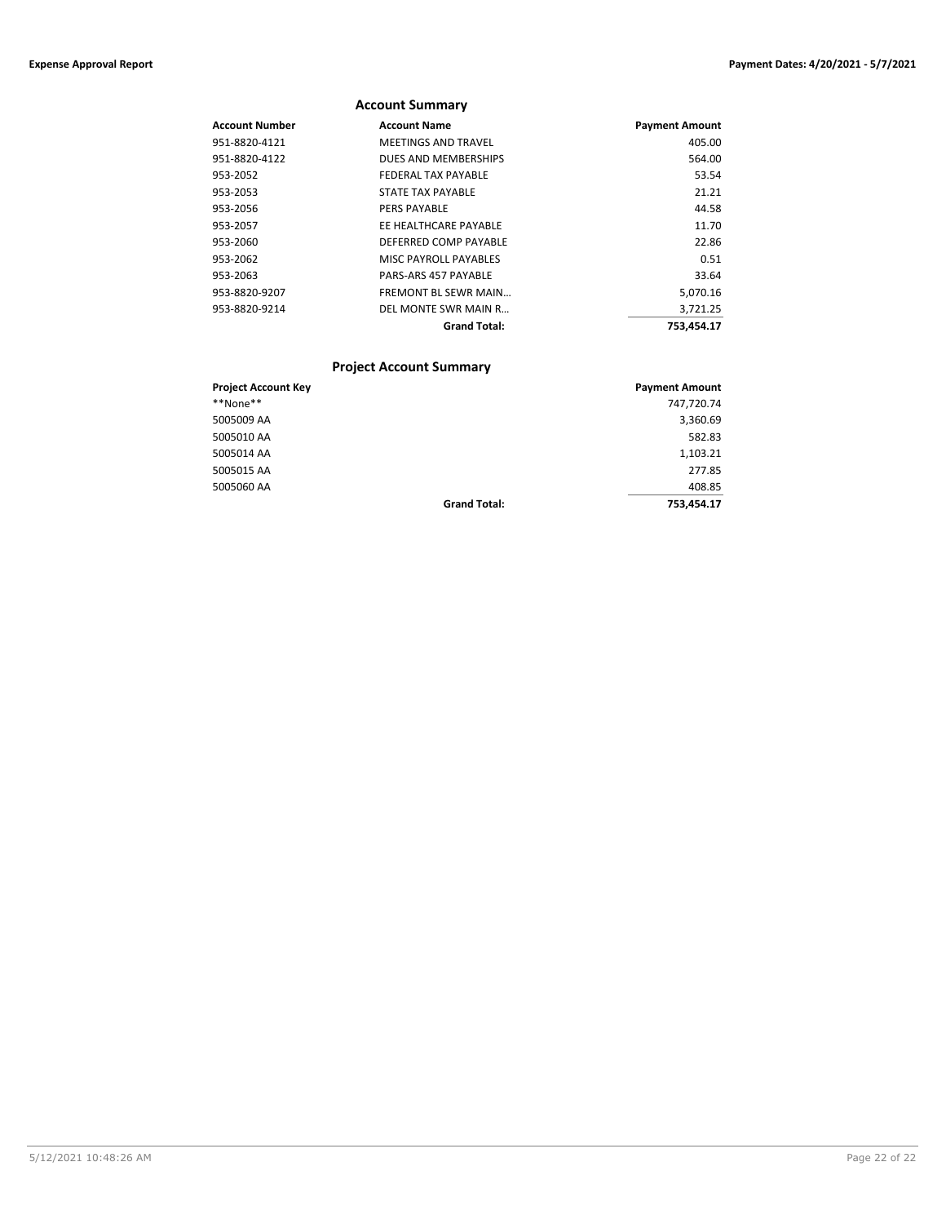|                       | <b>Account Summary</b>      |                       |
|-----------------------|-----------------------------|-----------------------|
| <b>Account Number</b> | <b>Account Name</b>         | <b>Payment Amount</b> |
| 951-8820-4121         | <b>MEETINGS AND TRAVEL</b>  | 405.00                |
| 951-8820-4122         | DUES AND MEMBERSHIPS        | 564.00                |
| 953-2052              | FEDERAL TAX PAYABLE         | 53.54                 |
| 953-2053              | STATE TAX PAYABLE           | 21.21                 |
| 953-2056              | <b>PERS PAYABLE</b>         | 44.58                 |
| 953-2057              | EE HEALTHCARE PAYABLE       | 11.70                 |
| 953-2060              | DEFERRED COMP PAYABLE       | 22.86                 |
| 953-2062              | MISC PAYROLL PAYABLES       | 0.51                  |
| 953-2063              | <b>PARS-ARS 457 PAYABLE</b> | 33.64                 |
| 953-8820-9207         | <b>FREMONT BL SEWR MAIN</b> | 5,070.16              |
| 953-8820-9214         | DEL MONTE SWR MAIN R        | 3,721.25              |
|                       | <b>Grand Total:</b>         | 753.454.17            |

## **Project Account Summary**

| <b>Project Account Key</b> |                     | <b>Payment Amount</b> |
|----------------------------|---------------------|-----------------------|
| **None**                   |                     | 747,720.74            |
| 5005009 AA                 |                     | 3,360.69              |
| 5005010 AA                 |                     | 582.83                |
| 5005014 AA                 |                     | 1,103.21              |
| 5005015 AA                 |                     | 277.85                |
| 5005060 AA                 |                     | 408.85                |
|                            | <b>Grand Total:</b> | 753.454.17            |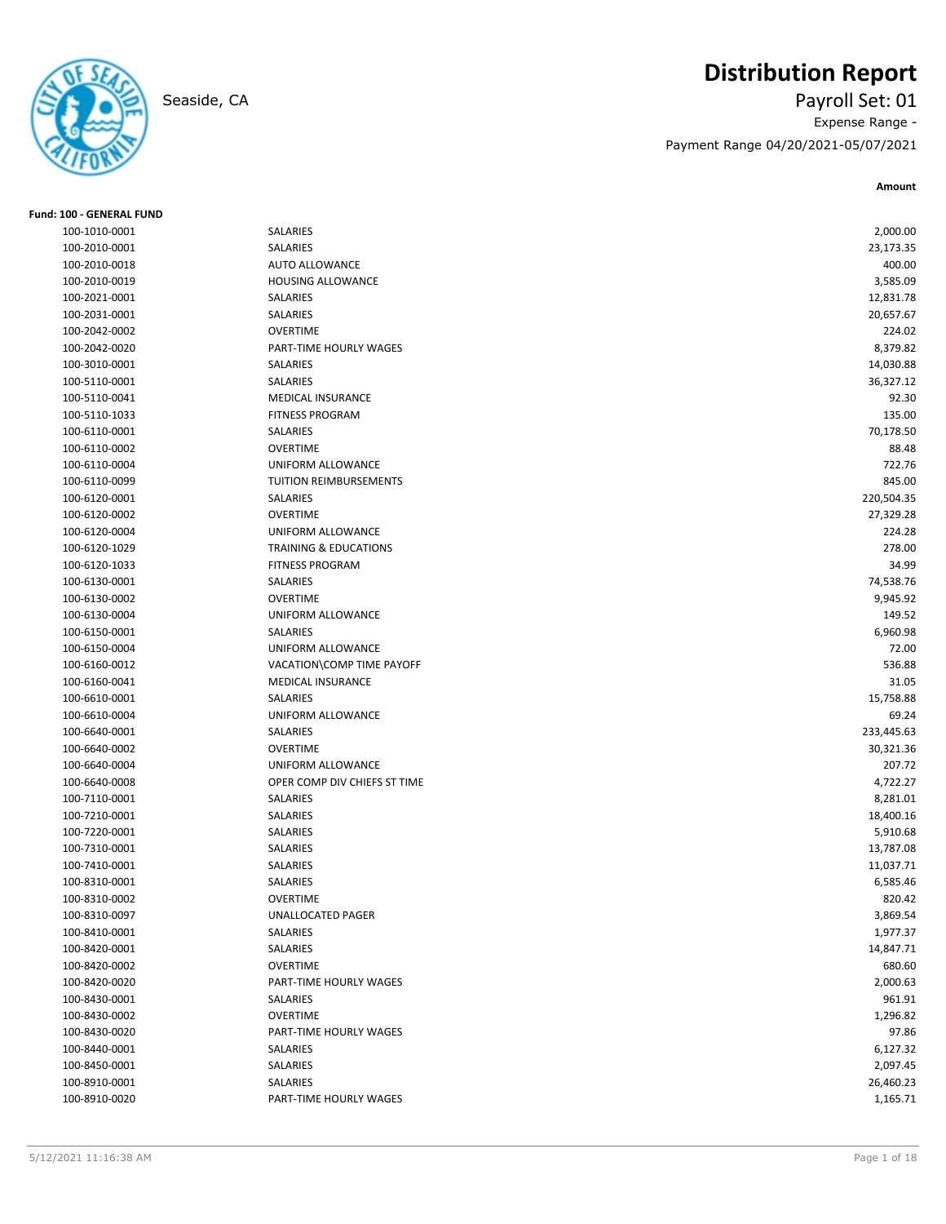

# **Distribution Report**

Seaside, CA Payroll Set: 01 Expense Range - Payment Range 04/20/2021-05/07/2021

**Amount**

| Fund: 100 - GENERAL FUND |                                  |            |
|--------------------------|----------------------------------|------------|
| 100-1010-0001            | SALARIES                         | 2,000.00   |
| 100-2010-0001            | SALARIES                         | 23,173.35  |
| 100-2010-0018            | <b>AUTO ALLOWANCE</b>            | 400.00     |
| 100-2010-0019            | HOUSING ALLOWANCE                | 3,585.09   |
| 100-2021-0001            | SALARIES                         | 12,831.78  |
| 100-2031-0001            | SALARIES                         | 20,657.67  |
| 100-2042-0002            | <b>OVERTIME</b>                  | 224.02     |
| 100-2042-0020            | PART-TIME HOURLY WAGES           | 8,379.82   |
| 100-3010-0001            | SALARIES                         | 14,030.88  |
| 100-5110-0001            | SALARIES                         | 36,327.12  |
| 100-5110-0041            | <b>MEDICAL INSURANCE</b>         | 92.30      |
| 100-5110-1033            | <b>FITNESS PROGRAM</b>           | 135.00     |
| 100-6110-0001            | SALARIES                         | 70,178.50  |
| 100-6110-0002            | <b>OVERTIME</b>                  | 88.48      |
| 100-6110-0004            | UNIFORM ALLOWANCE                | 722.76     |
| 100-6110-0099            | TUITION REIMBURSEMENTS           | 845.00     |
| 100-6120-0001            | SALARIES                         | 220,504.35 |
| 100-6120-0002            | <b>OVERTIME</b>                  | 27,329.28  |
| 100-6120-0004            | UNIFORM ALLOWANCE                | 224.28     |
| 100-6120-1029            | <b>TRAINING &amp; EDUCATIONS</b> | 278.00     |
| 100-6120-1033            | <b>FITNESS PROGRAM</b>           | 34.99      |
| 100-6130-0001            | SALARIES                         | 74,538.76  |
| 100-6130-0002            | <b>OVERTIME</b>                  | 9,945.92   |
| 100-6130-0004            | UNIFORM ALLOWANCE                | 149.52     |
| 100-6150-0001            | SALARIES                         | 6,960.98   |
| 100-6150-0004            | UNIFORM ALLOWANCE                | 72.00      |
| 100-6160-0012            | VACATION\COMP TIME PAYOFF        | 536.88     |
| 100-6160-0041            | <b>MEDICAL INSURANCE</b>         | 31.05      |
| 100-6610-0001            | SALARIES                         | 15,758.88  |
| 100-6610-0004            | UNIFORM ALLOWANCE                | 69.24      |
| 100-6640-0001            | <b>SALARIES</b>                  | 233,445.63 |
| 100-6640-0002            | <b>OVERTIME</b>                  | 30,321.36  |
| 100-6640-0004            | UNIFORM ALLOWANCE                | 207.72     |
| 100-6640-0008            | OPER COMP DIV CHIEFS ST TIME     | 4,722.27   |
| 100-7110-0001            | SALARIES                         | 8,281.01   |
| 100-7210-0001            | SALARIES                         | 18,400.16  |
| 100-7220-0001            | SALARIES                         | 5,910.68   |
| 100-7310-0001            | SALARIES                         | 13,787.08  |
| 100-7410-0001            | SALARIES                         | 11,037.71  |
| 100-8310-0001            | <b>SALARIES</b>                  | 6,585.46   |
| 100-8310-0002            | <b>OVERTIME</b>                  | 820.42     |
| 100-8310-0097            | <b>UNALLOCATED PAGER</b>         | 3,869.54   |
| 100-8410-0001            | SALARIES                         | 1,977.37   |
| 100-8420-0001            | SALARIES                         | 14,847.71  |
| 100-8420-0002            | <b>OVERTIME</b>                  | 680.60     |
| 100-8420-0020            | PART-TIME HOURLY WAGES           | 2,000.63   |
| 100-8430-0001            | SALARIES                         | 961.91     |
| 100-8430-0002            | <b>OVERTIME</b>                  | 1,296.82   |
| 100-8430-0020            | PART-TIME HOURLY WAGES           | 97.86      |
| 100-8440-0001            | SALARIES                         | 6,127.32   |
| 100-8450-0001            | SALARIES                         | 2,097.45   |
| 100-8910-0001            | SALARIES                         | 26,460.23  |
| 100-8910-0020            | PART-TIME HOURLY WAGES           | 1,165.71   |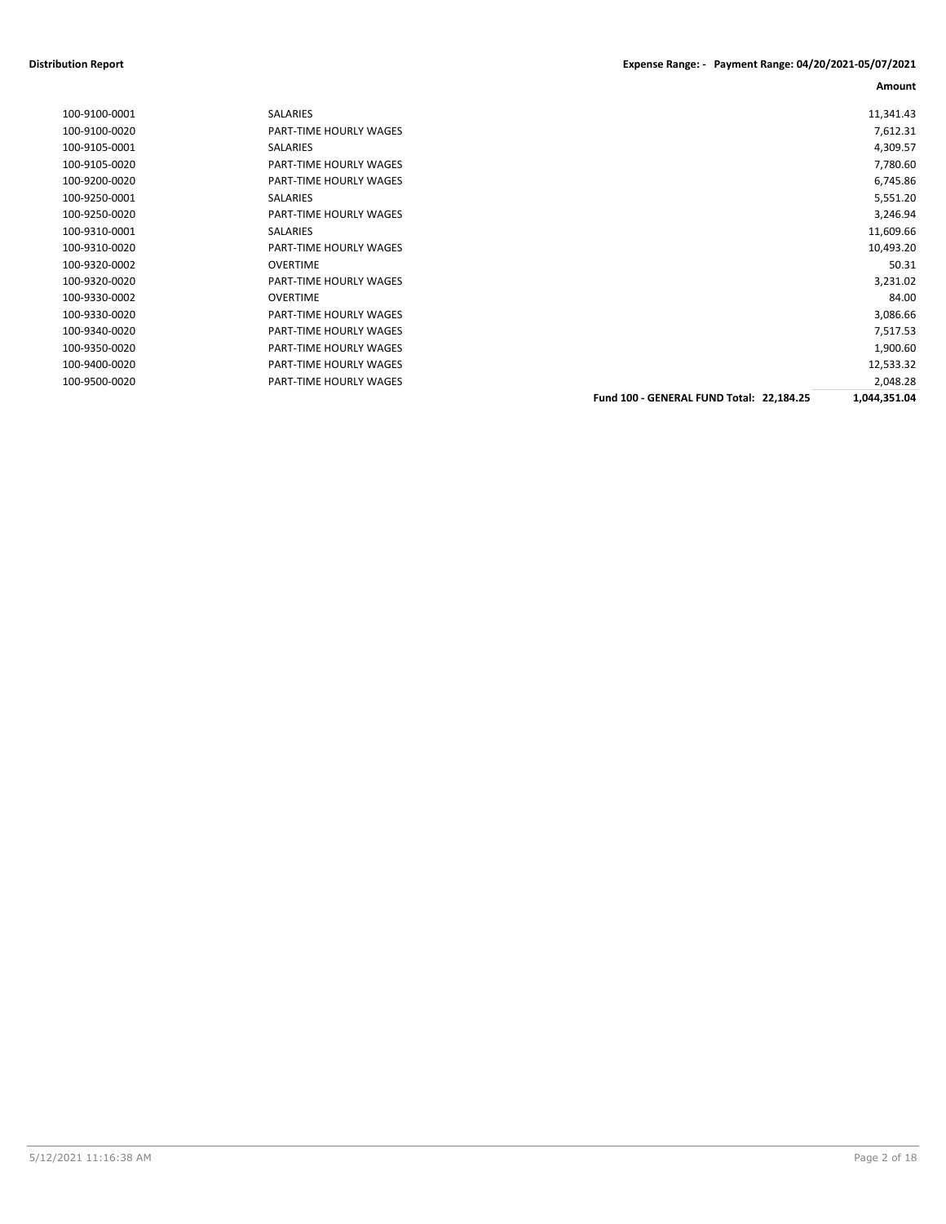## **Distribution Report Expense Range: - Payment Range: 04/20/2021-05/07/2021**

**Amount**

| 100-9100-0001 | <b>SALARIES</b>               |                                          | 11,341.43    |
|---------------|-------------------------------|------------------------------------------|--------------|
| 100-9100-0020 | PART-TIME HOURLY WAGES        |                                          | 7,612.31     |
| 100-9105-0001 | SALARIES                      |                                          | 4,309.57     |
| 100-9105-0020 | <b>PART-TIME HOURLY WAGES</b> |                                          | 7,780.60     |
| 100-9200-0020 | PART-TIME HOURLY WAGES        |                                          | 6,745.86     |
| 100-9250-0001 | <b>SALARIES</b>               |                                          | 5,551.20     |
| 100-9250-0020 | PART-TIME HOURLY WAGES        |                                          | 3,246.94     |
| 100-9310-0001 | SALARIES                      |                                          | 11,609.66    |
| 100-9310-0020 | PART-TIME HOURLY WAGES        |                                          | 10,493.20    |
| 100-9320-0002 | <b>OVERTIME</b>               |                                          | 50.31        |
| 100-9320-0020 | PART-TIME HOURLY WAGES        |                                          | 3,231.02     |
| 100-9330-0002 | <b>OVERTIME</b>               |                                          | 84.00        |
| 100-9330-0020 | PART-TIME HOURLY WAGES        |                                          | 3,086.66     |
| 100-9340-0020 | PART-TIME HOURLY WAGES        |                                          | 7,517.53     |
| 100-9350-0020 | PART-TIME HOURLY WAGES        |                                          | 1,900.60     |
| 100-9400-0020 | PART-TIME HOURLY WAGES        |                                          | 12,533.32    |
| 100-9500-0020 | PART-TIME HOURLY WAGES        |                                          | 2,048.28     |
|               |                               | Fund 100 - GENERAL FUND Total: 22,184.25 | 1,044,351.04 |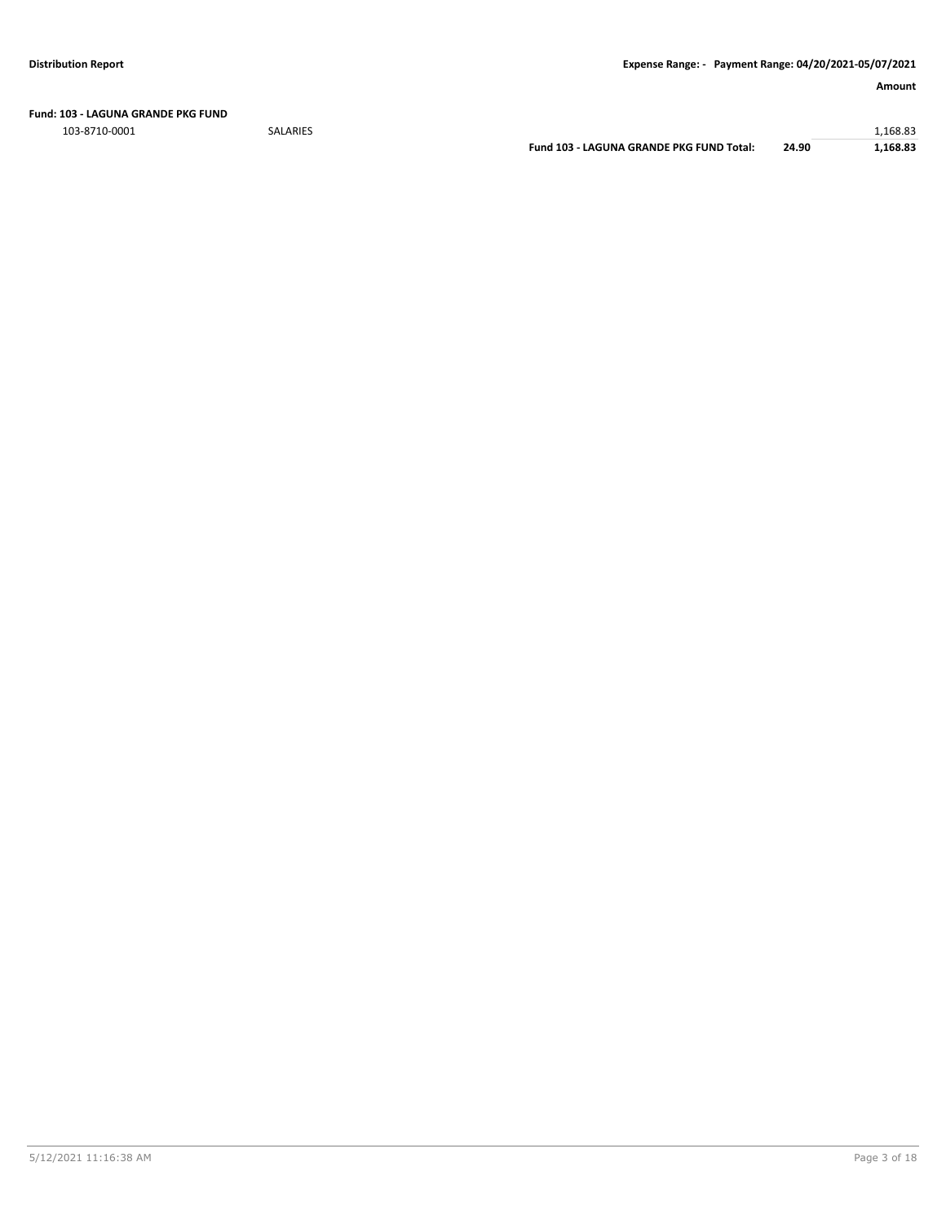**Fund: 103 - LAGUNA GRANDE PKG FUND**

103-8710-0001 SALARIES 1,168.83

**Fund 103 - LAGUNA GRANDE PKG FUND Total: 24.90 1,168.83**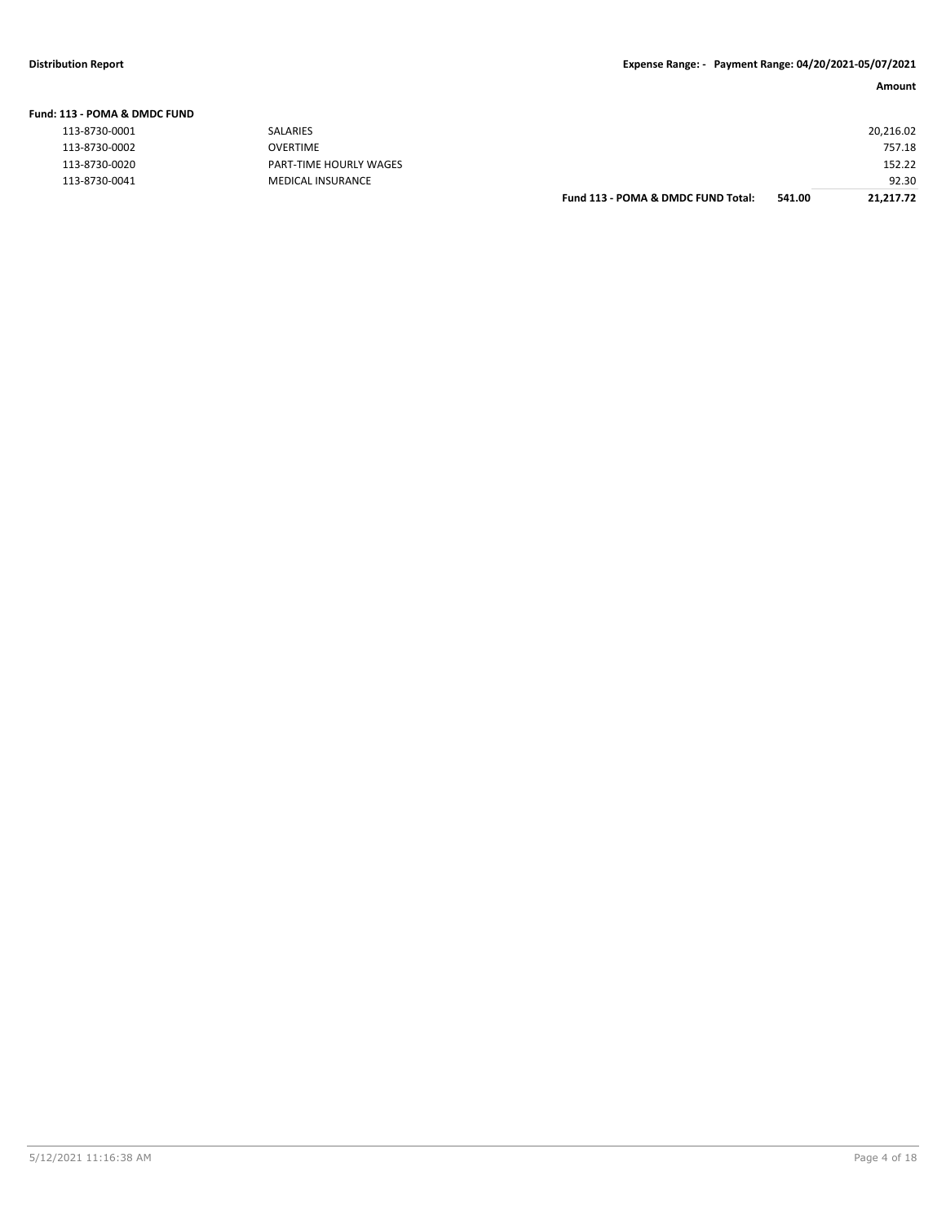**Fund: 113 - POMA & DMDC FUND**

### **Amount**

| l13 - POMA & DMDC FUND |                          |                                    |        |           |
|------------------------|--------------------------|------------------------------------|--------|-----------|
| 113-8730-0001          | SALARIES                 |                                    |        | 20,216.02 |
| 113-8730-0002          | OVERTIME                 |                                    |        | 757.18    |
| 113-8730-0020          | PART-TIME HOURLY WAGES   |                                    |        | 152.22    |
| 113-8730-0041          | <b>MEDICAL INSURANCE</b> |                                    |        | 92.30     |
|                        |                          | Fund 113 - POMA & DMDC FUND Total: | 541.00 | 21,217.72 |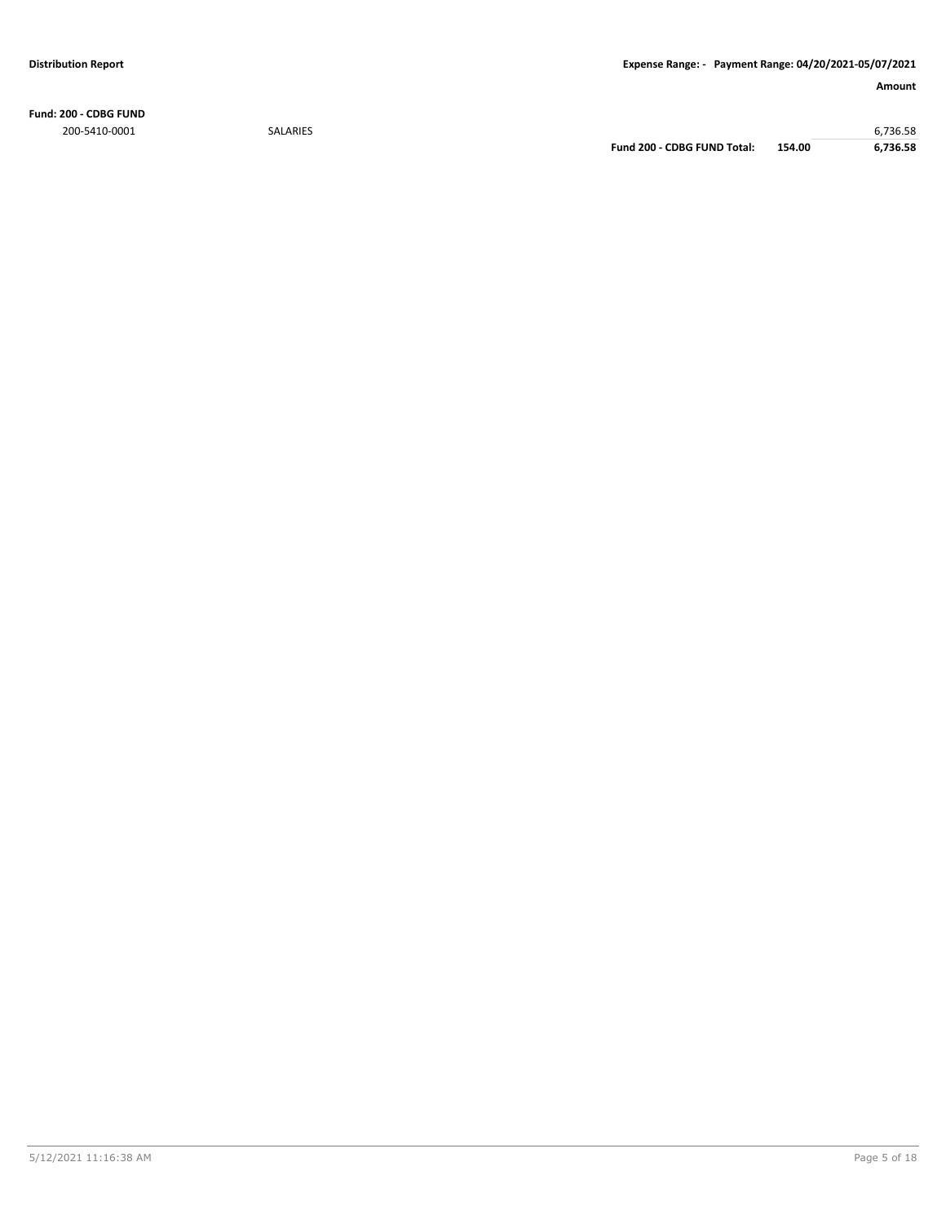**Fund: 200 - CDBG FUND** 200-5410-0001 SALARIES 6,736.58

**Fund 200 - CDBG FUND Total: 154.00 6,736.58**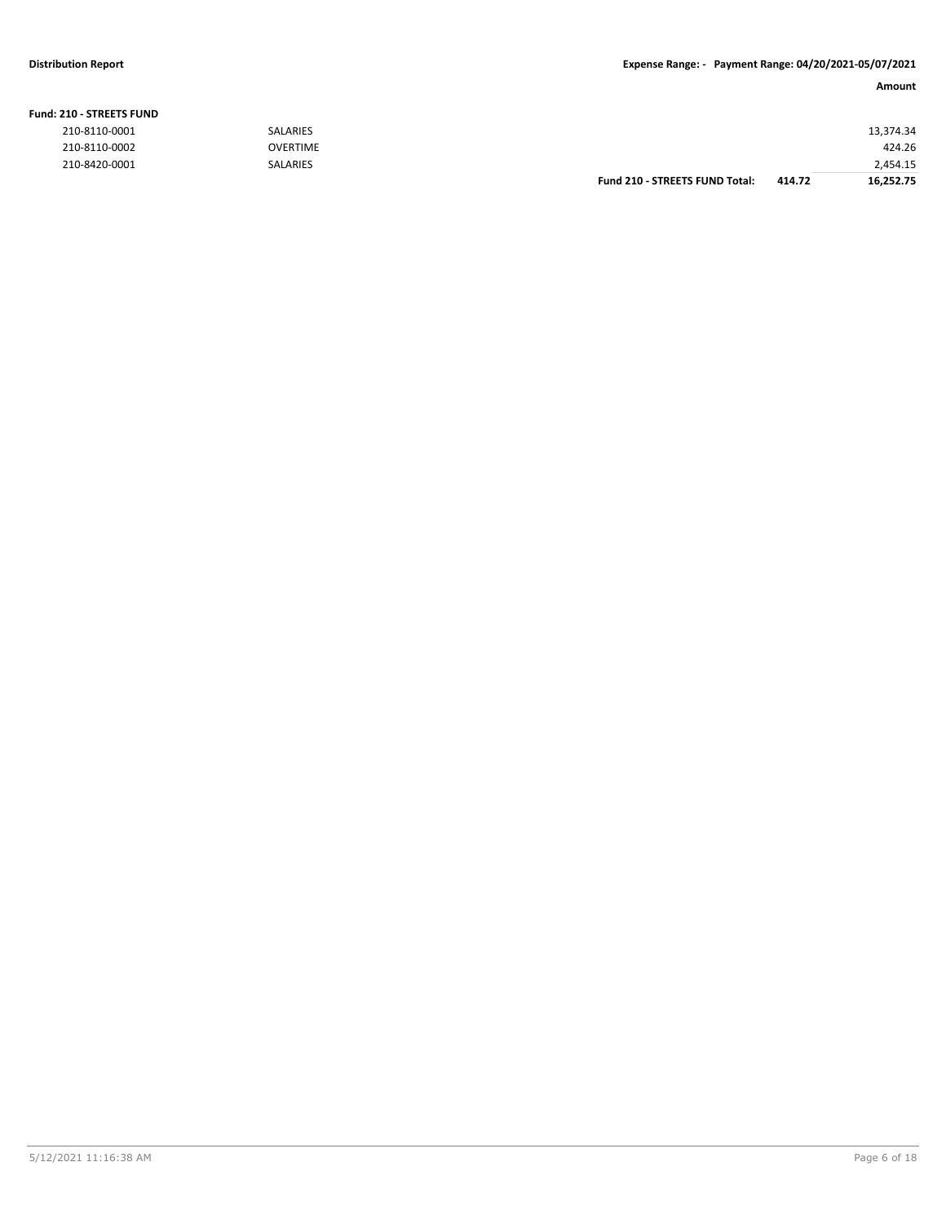### **Fund: 210 - STREETS FUND**

| 210-8110-0001 | <b>SALARIES</b> |                                       |        | 13,374.34 |
|---------------|-----------------|---------------------------------------|--------|-----------|
| 210-8110-0002 | <b>OVERTIME</b> |                                       |        | 424.26    |
| 210-8420-0001 | <b>SALARIES</b> |                                       |        | 2,454.15  |
|               |                 | <b>Fund 210 - STREETS FUND Total:</b> | 414.72 | 16,252.75 |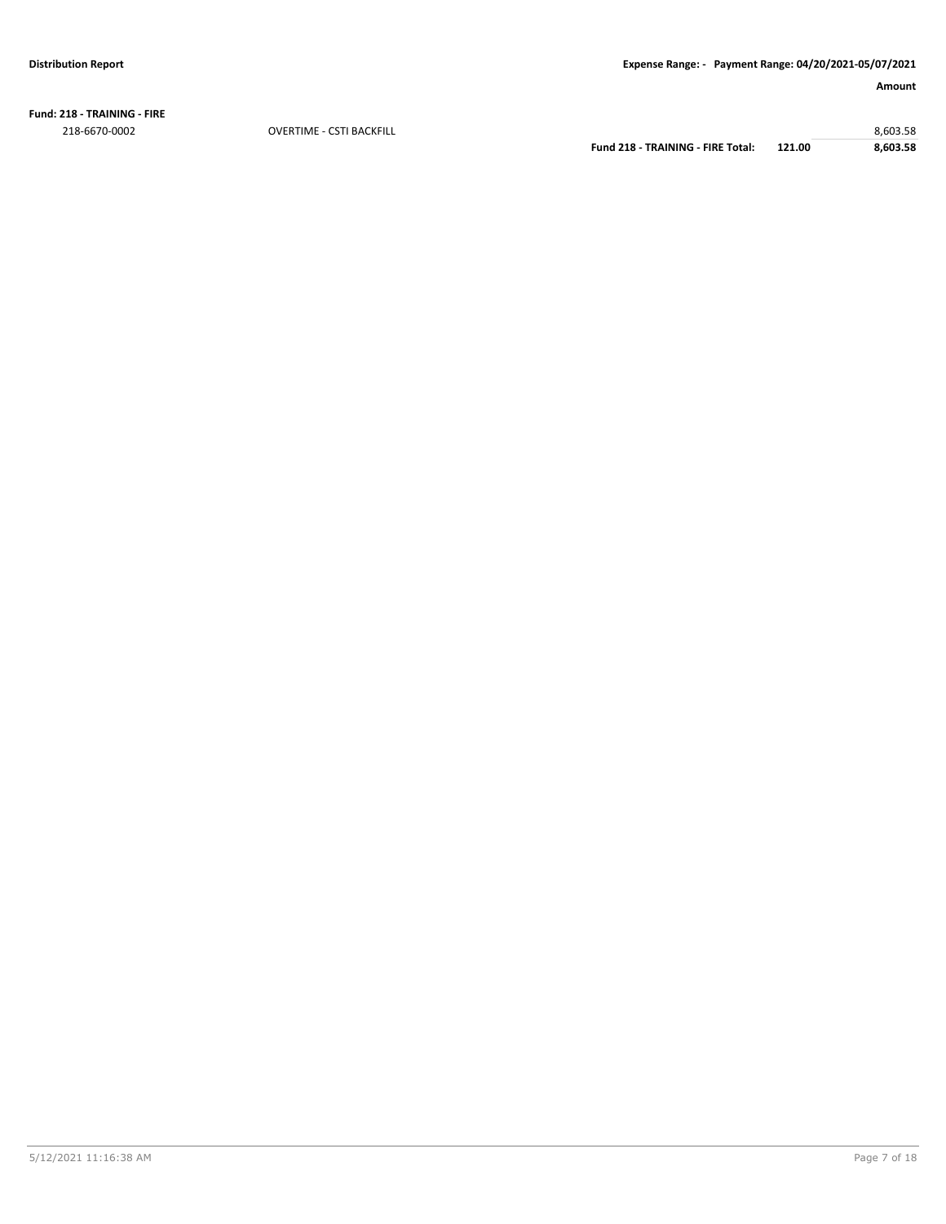**Fund: 218 - TRAINING - FIRE** 218-6670-0002 OVERTIME - CSTI BACKFILL 8,603.58

**Fund 218 - TRAINING - FIRE Total: 121.00 8,603.58**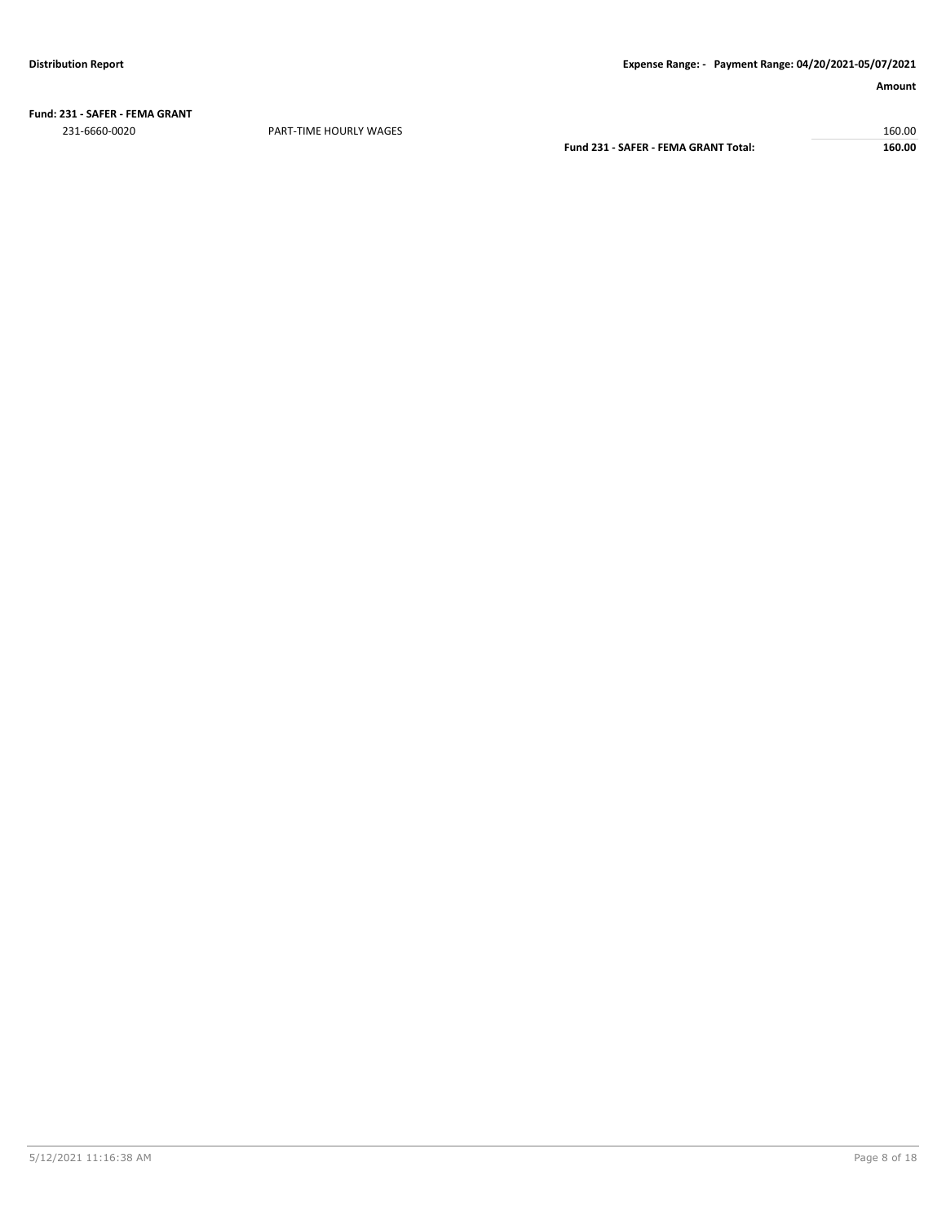**Fund: 231 - SAFER - FEMA GRANT** 231-6660-0020 PART-TIME HOURLY WAGES 160.00

**Fund 231 - SAFER - FEMA GRANT Total: 160.00**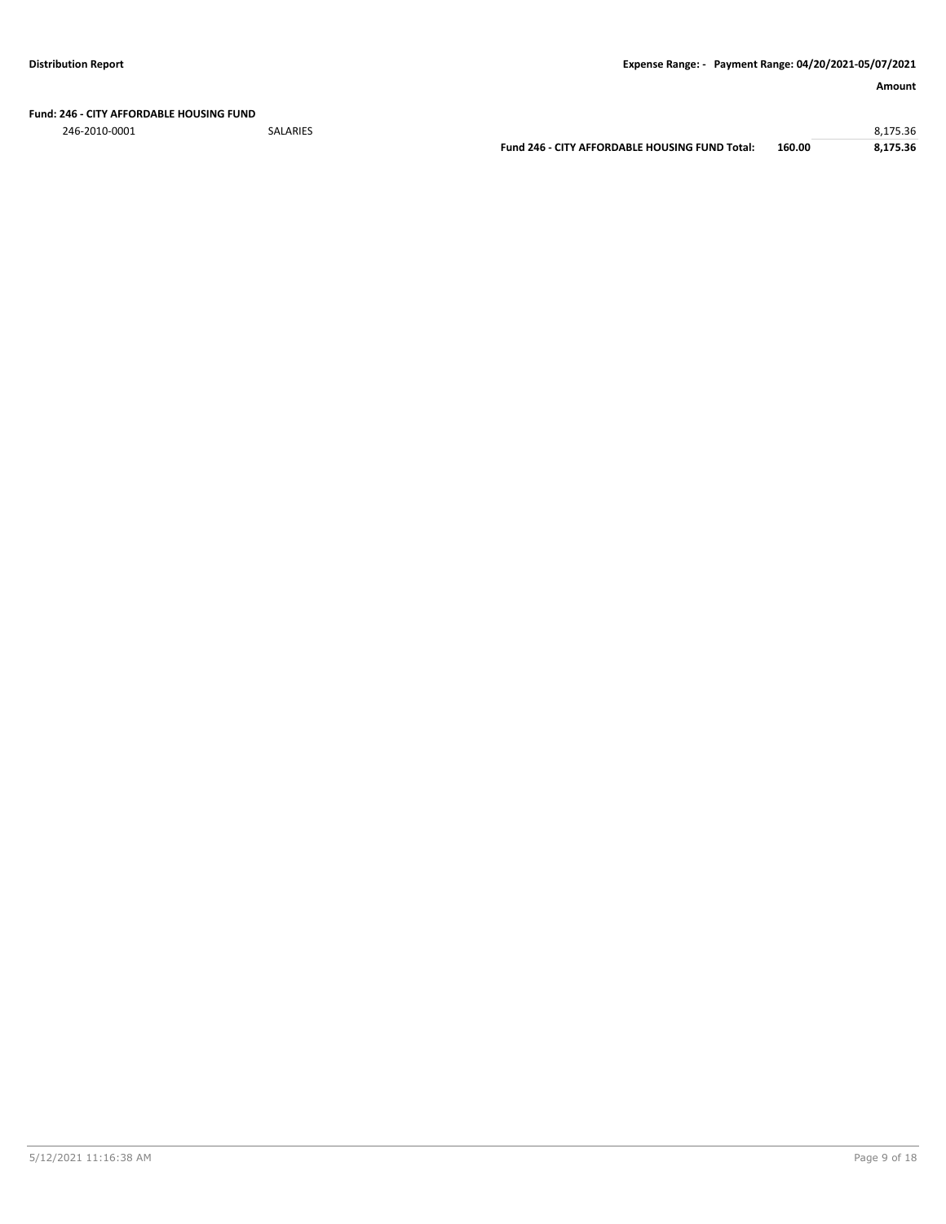**Fund: 246 - CITY AFFORDABLE HOUSING FUND**

246-2010-0001 SALARIES 8,175.36 **Fund 246 - CITY AFFORDABLE HOUSING FUND Total: 160.00 8,175.36**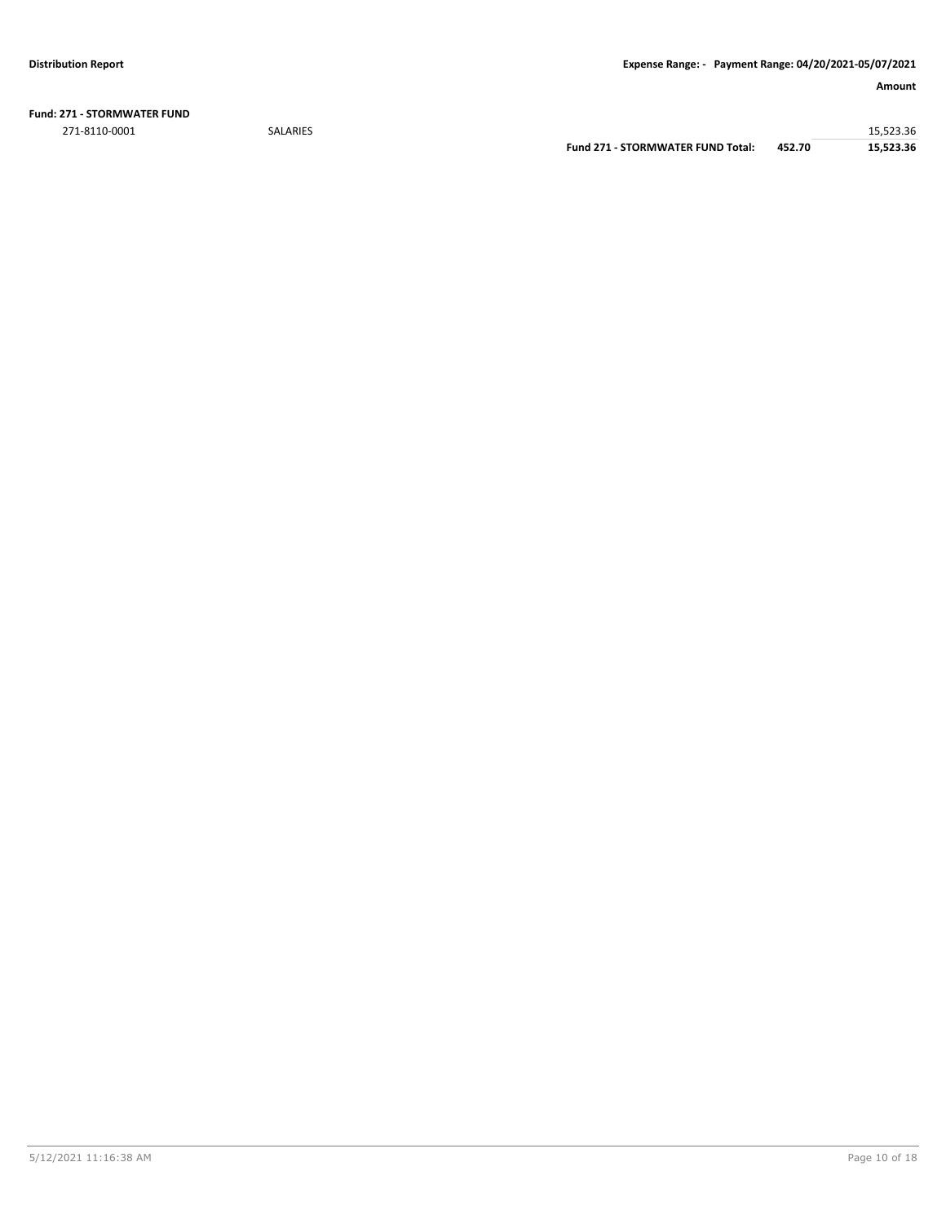**Fund: 271 - STORMWATER FUND** 271-8110-0001 SALARIES 15,523.36

**Fund 271 - STORMWATER FUND Total: 452.70 15,523.36**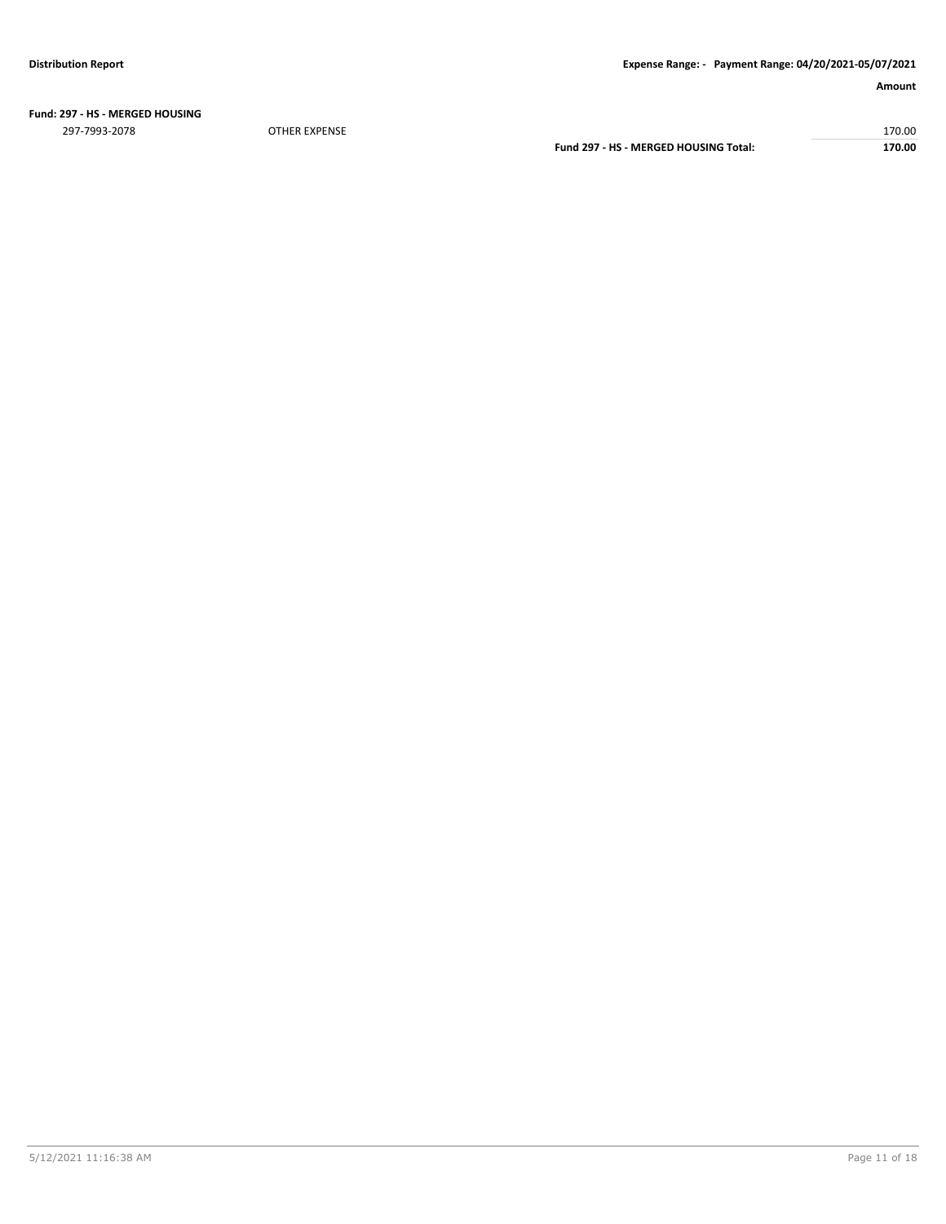## **Fund: 297 - HS - MERGED HOUSING**

297-7993-2078 OTHER EXPENSE 170.00 **Fund 297 - HS - MERGED HOUSING Total: 170.00**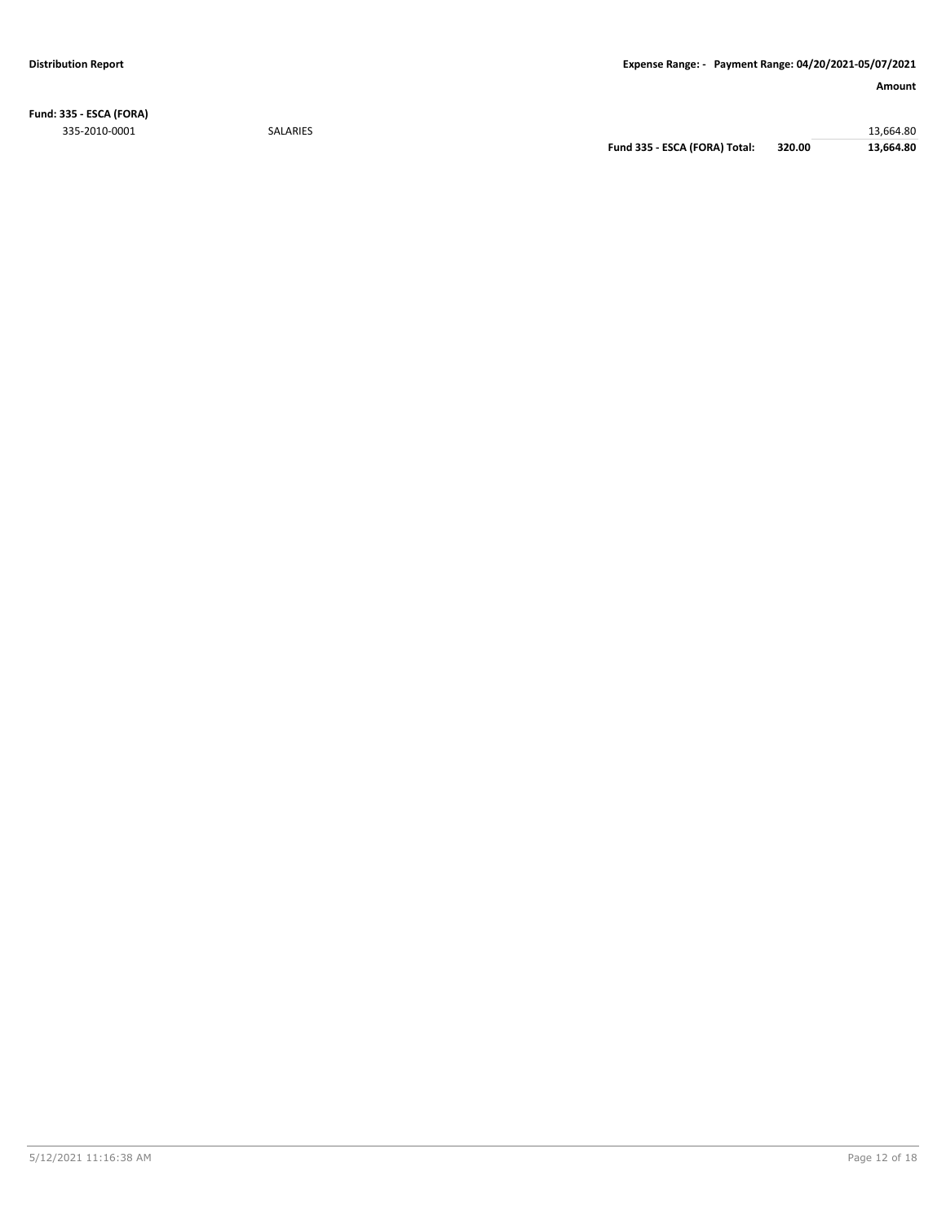**Fund: 335 - ESCA (FORA)** 335-2010-0001 SALARIES 13,664.80

**Fund 335 - ESCA (FORA) Total: 320.00 13,664.80**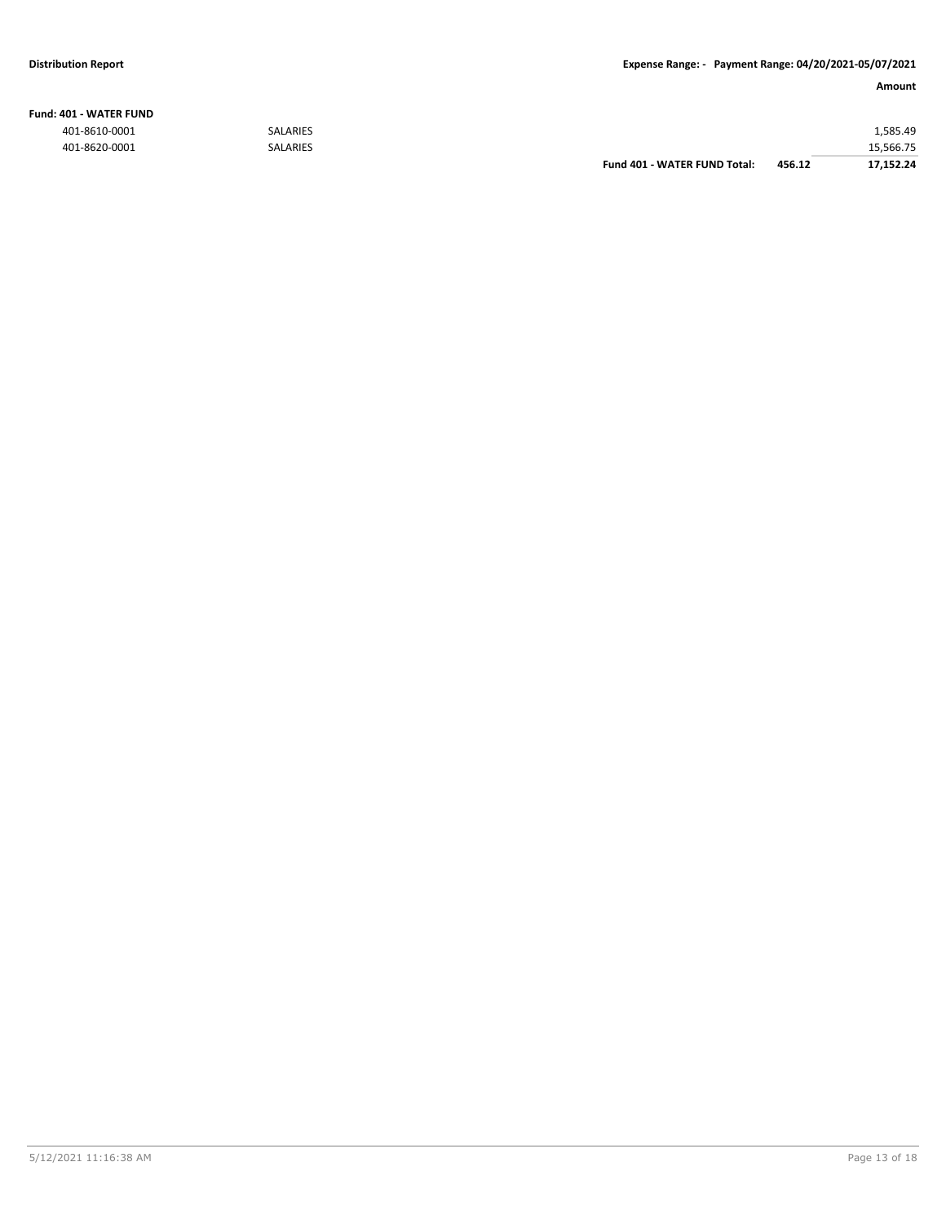### **Fund: 401 - WATER FUND**

|               |                 | Fund 401 - WATER FUND Total: | 456.12 | 17.152.24 |
|---------------|-----------------|------------------------------|--------|-----------|
| 401-8620-0001 | <b>SALARIES</b> |                              |        | 15,566.75 |
| 401-8610-0001 | <b>SALARIES</b> |                              |        | 1.585.49  |
|               |                 |                              |        |           |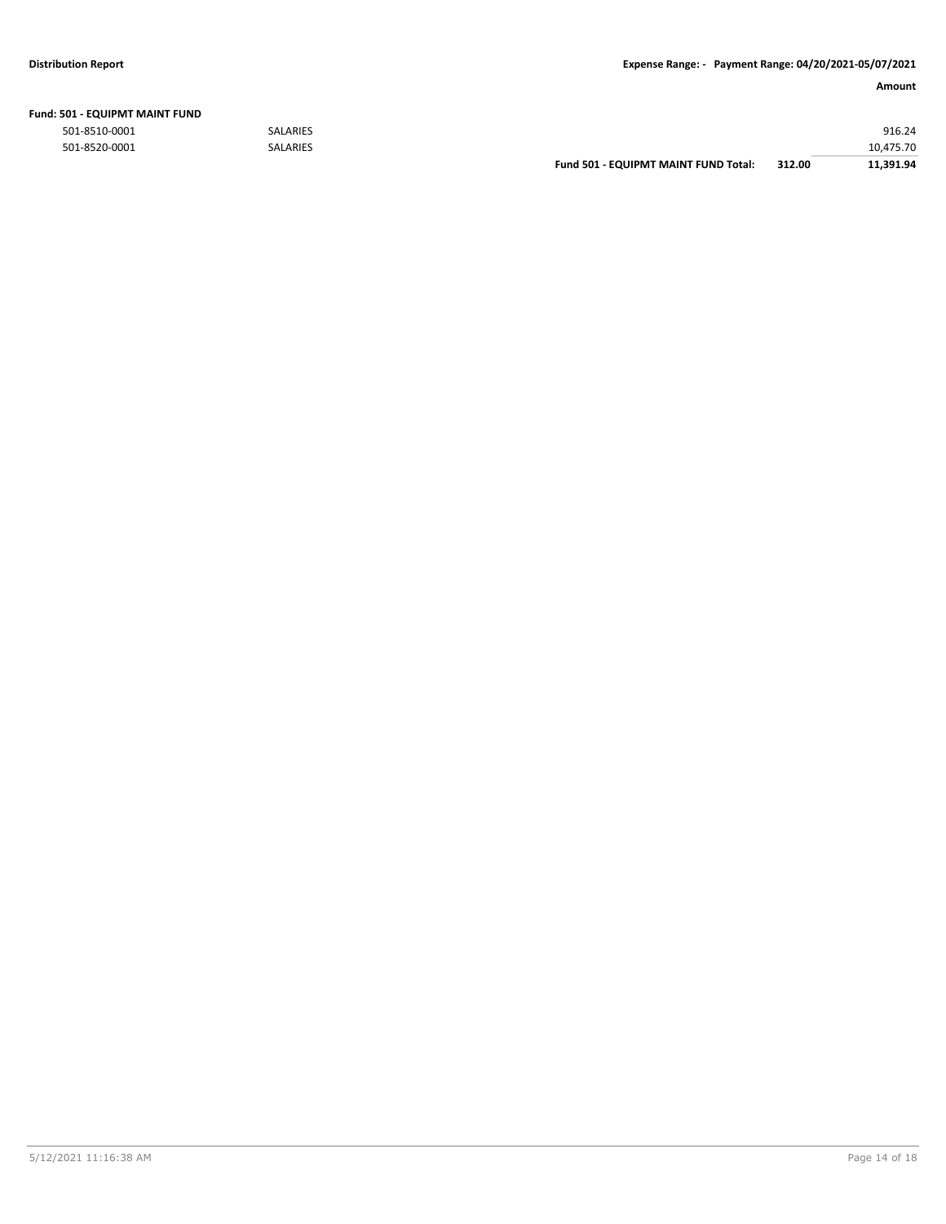| Fund: 501 - EQUIPMT MAINT FUND |  |  |  |  |  |
|--------------------------------|--|--|--|--|--|
|--------------------------------|--|--|--|--|--|

| 10.475.70 |
|-----------|
| 916.24    |
|           |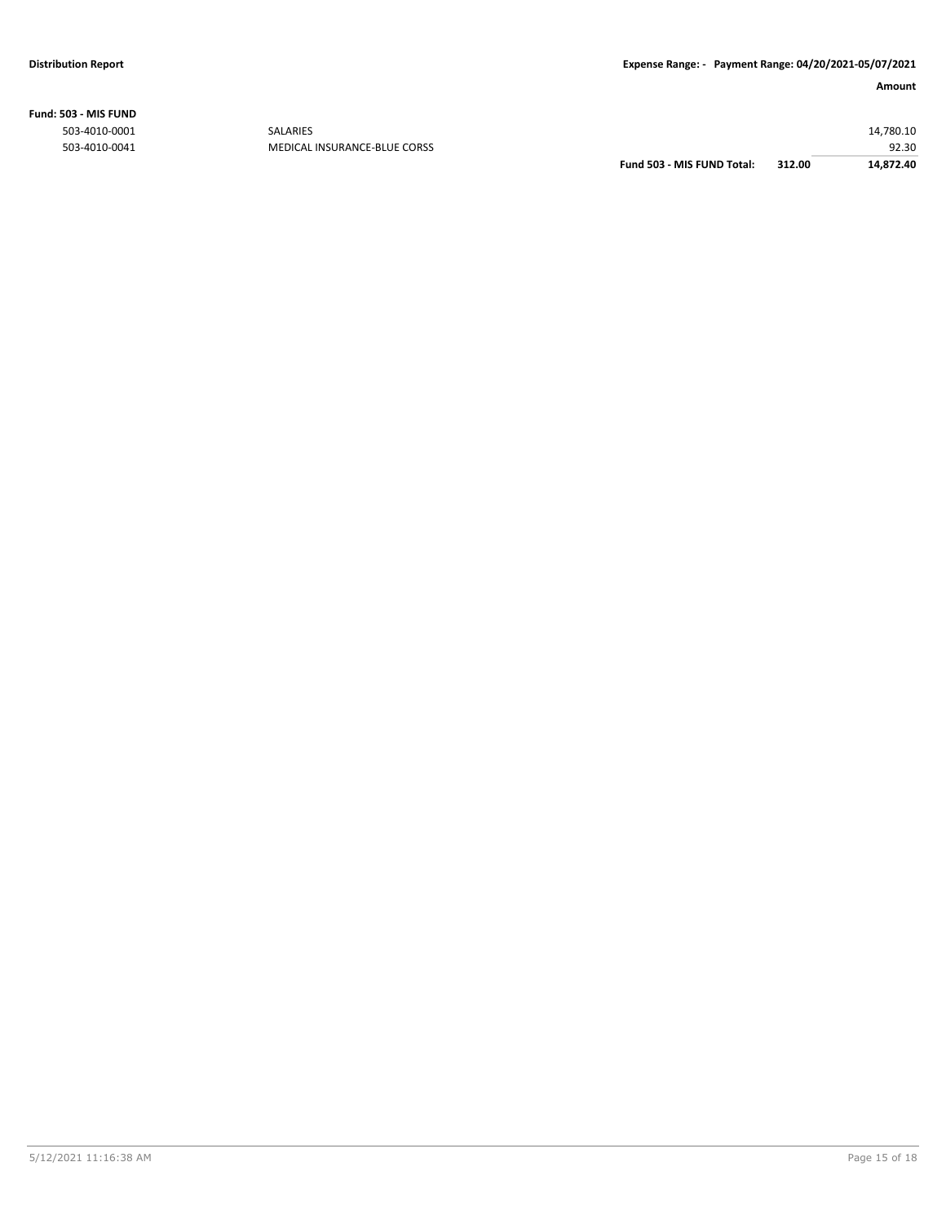**Fund: 503 - MIS FUND**

| 312.00<br>14,872.40 |
|---------------------|
| 92.30               |
| 14,780.10           |
|                     |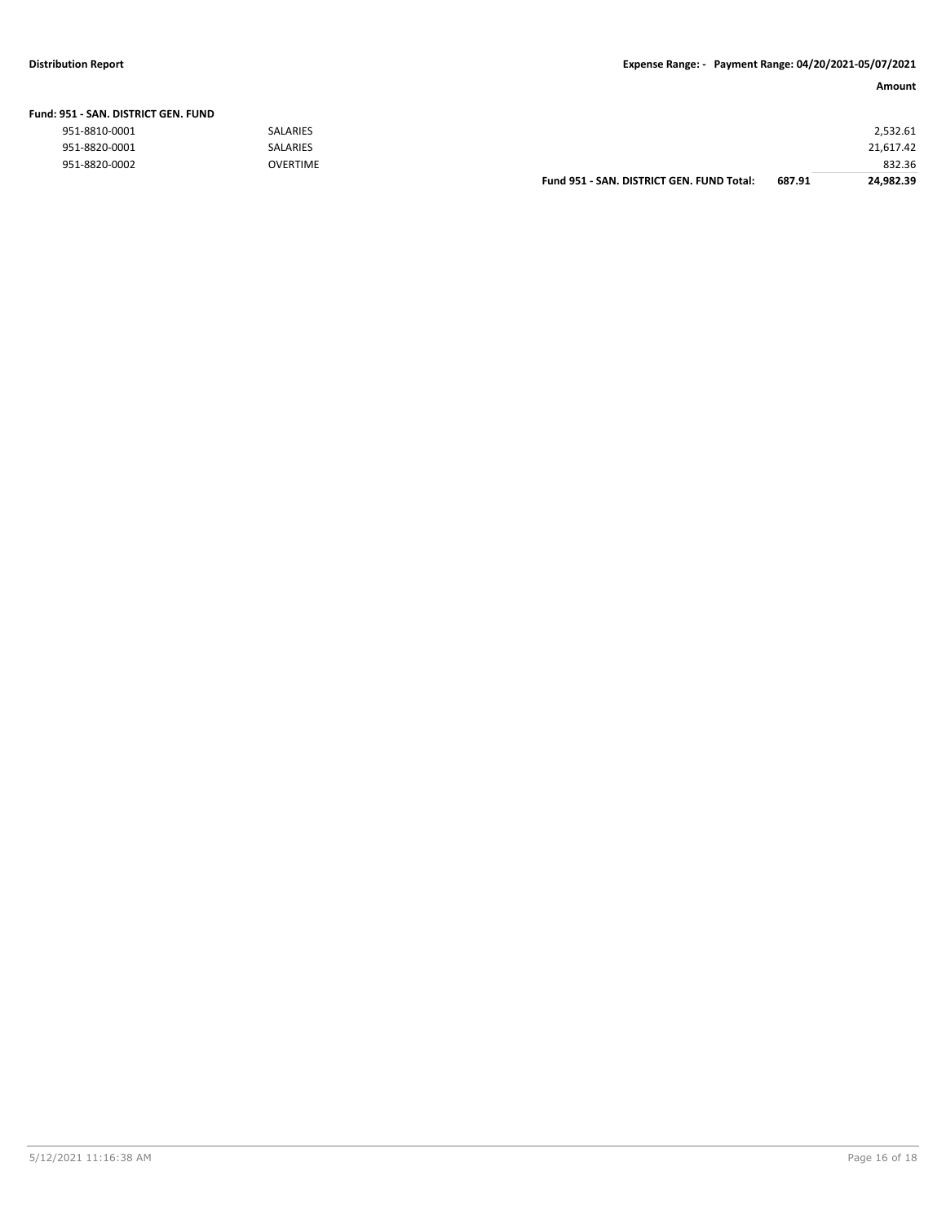| Fund: 951 - SAN. DISTRICT GEN. FUND |                 |                                           |        |           |
|-------------------------------------|-----------------|-------------------------------------------|--------|-----------|
| 951-8810-0001                       | <b>SALARIES</b> |                                           |        | 2,532.61  |
| 951-8820-0001                       | <b>SALARIES</b> |                                           |        | 21,617.42 |
| 951-8820-0002                       | <b>OVERTIME</b> |                                           |        | 832.36    |
|                                     |                 | Fund 951 - SAN, DISTRICT GEN, FUND Total: | 687.91 | 24.982.39 |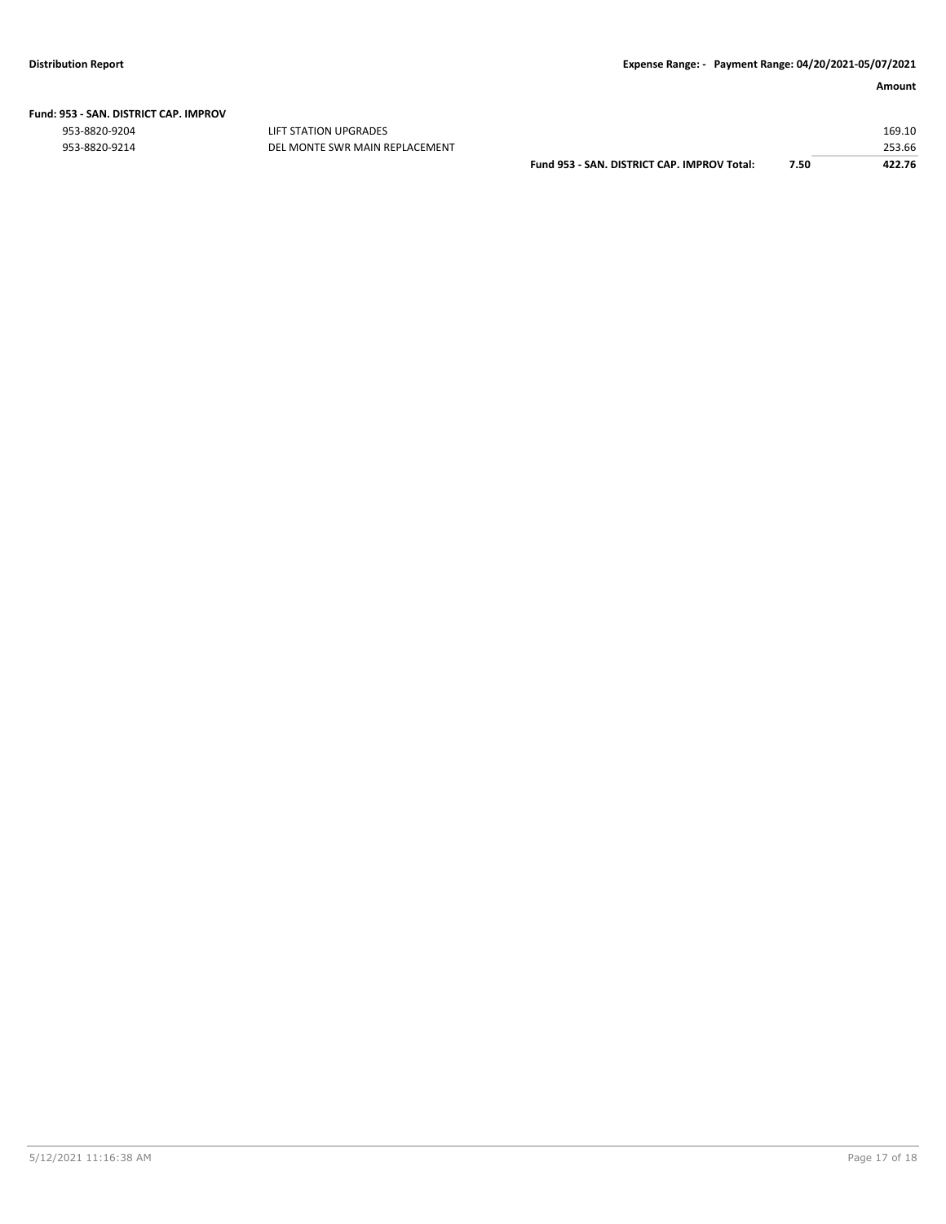|  | Fund: 953 - SAN. DISTRICT CAP. IMPROV |  |
|--|---------------------------------------|--|
|  |                                       |  |

ers and the state of the state of the state of the state of the state of the state of the state of the state of the state of the state of the state of the state of the state of the state of the state of the state of the st

| 953-8820-9214 | DEL MONTE SWR MAIN REPLACEMENT |                                             | 253.66 |
|---------------|--------------------------------|---------------------------------------------|--------|
|               |                                | Fund 953 - SAN, DISTRICT CAP, IMPROV Total: | 422.76 |